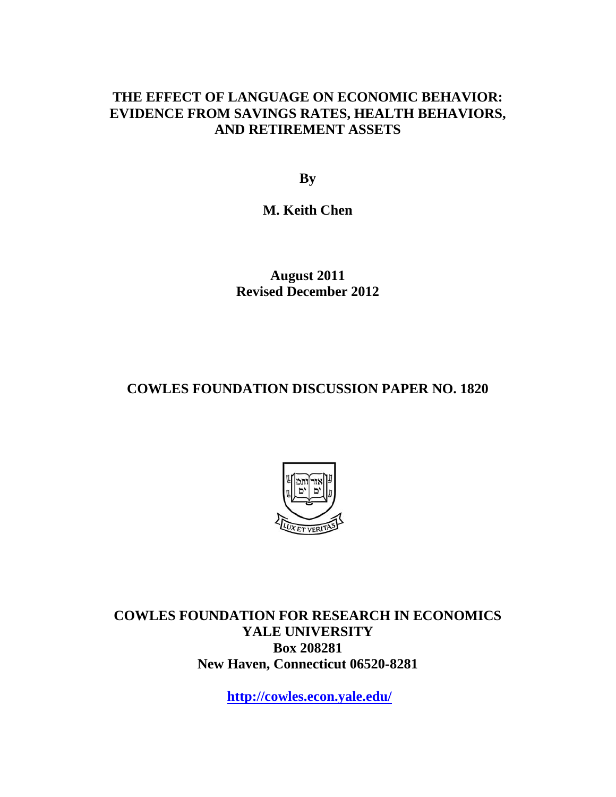## **THE EFFECT OF LANGUAGE ON ECONOMIC BEHAVIOR: EVIDENCE FROM SAVINGS RATES, HEALTH BEHAVIORS, AND RETIREMENT ASSETS**

**By** 

**M. Keith Chen** 

**August 2011 Revised December 2012** 

## **COWLES FOUNDATION DISCUSSION PAPER NO. 1820**



**COWLES FOUNDATION FOR RESEARCH IN ECONOMICS YALE UNIVERSITY Box 208281 New Haven, Connecticut 06520-8281** 

**http://cowles.econ.yale.edu/**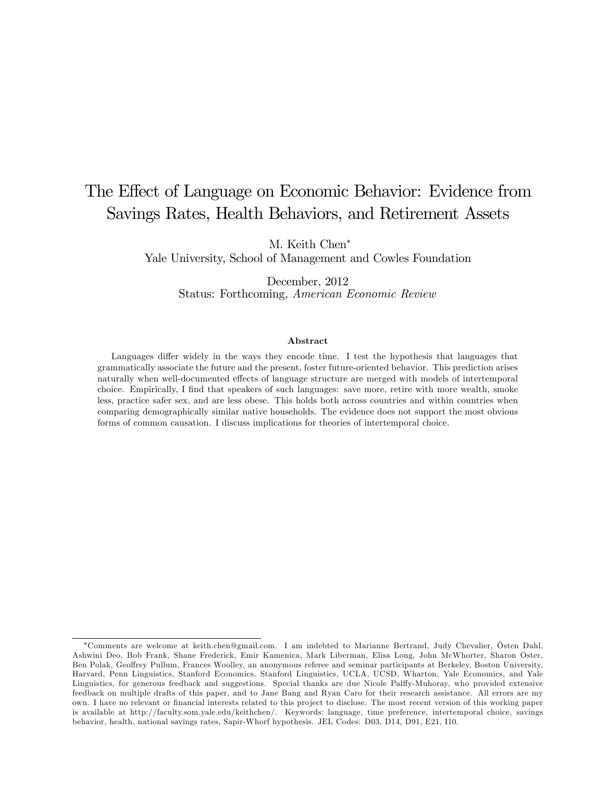# The Effect of Language on Economic Behavior: Evidence from Savings Rates, Health Behaviors, and Retirement Assets

M. Keith Chen<sup>∗</sup>

Yale University, School of Management and Cowles Foundation

December, 2012 Status: Forthcoming, American Economic Review

#### Abstract

Languages differ widely in the ways they encode time. I test the hypothesis that languages that grammatically associate the future and the present, foster future-oriented behavior. This prediction arises naturally when well-documented effects of language structure are merged with models of intertemporal choice. Empirically, I find that speakers of such languages: save more, retire with more wealth, smoke less, practice safer sex, and are less obese. This holds both across countries and within countries when comparing demographically similar native households. The evidence does not support the most obvious forms of common causation. I discuss implications for theories of intertemporal choice.

<sup>∗</sup>Comments are welcome at keith.chen@gmail.com. I am indebted to Marianne Bertrand, Judy Chevalier, Östen Dahl, Ashwini Deo, Bob Frank, Shane Frederick, Emir Kamenica, Mark Liberman, Elisa Long, John McWhorter, Sharon Oster, Ben Polak, Geoffrey Pullum, Frances Woolley, an anonymous referee and seminar participants at Berkeley, Boston University, Harvard, Penn Linguistics, Stanford Economics, Stanford Linguistics, UCLA, UCSD, Wharton, Yale Economics, and Yale Linguistics, for generous feedback and suggestions. Special thanks are due Nicole Palffy-Muhoray, who provided extensive feedback on multiple drafts of this paper, and to Jane Bang and Ryan Caro for their research assistance. All errors are my own. I have no relevant or financial interests related to this project to disclose. The most recent version of this working paper is available at http://faculty.som.yale.edu/keithchen/. Keywords: language, time preference, intertemporal choice, savings behavior, health, national savings rates, Sapir-Whorf hypothesis. JEL Codes: D03, D14, D91, E21, I10.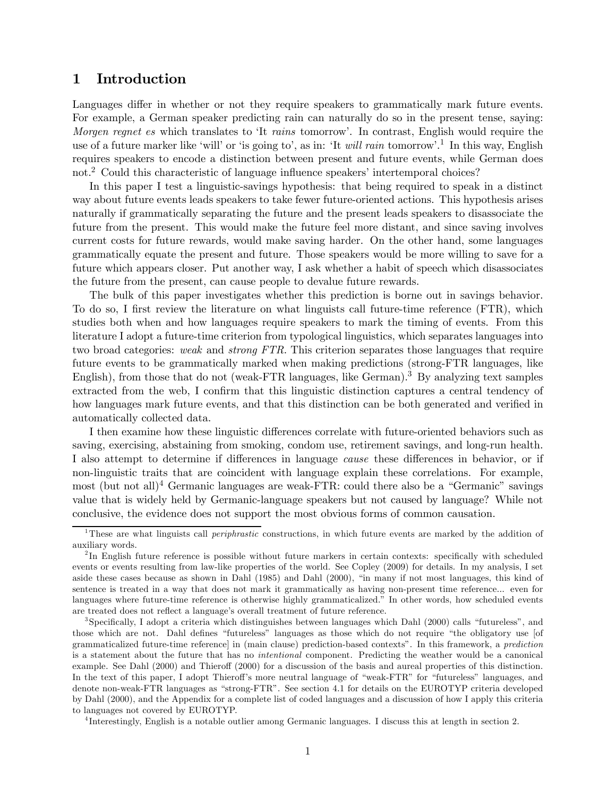## 1 Introduction

Languages differ in whether or not they require speakers to grammatically mark future events. For example, a German speaker predicting rain can naturally do so in the present tense, saying: Morgen regnet es which translates to 'It rains tomorrow'. In contrast, English would require the use of a future marker like 'will' or 'is going to', as in: 'It *will rain* tomorrow'.<sup>1</sup> In this way, English requires speakers to encode a distinction between present and future events, while German does not.2 Could this characteristic of language influence speakers' intertemporal choices?

In this paper I test a linguistic-savings hypothesis: that being required to speak in a distinct way about future events leads speakers to take fewer future-oriented actions. This hypothesis arises naturally if grammatically separating the future and the present leads speakers to disassociate the future from the present. This would make the future feel more distant, and since saving involves current costs for future rewards, would make saving harder. On the other hand, some languages grammatically equate the present and future. Those speakers would be more willing to save for a future which appears closer. Put another way, I ask whether a habit of speech which disassociates the future from the present, can cause people to devalue future rewards.

The bulk of this paper investigates whether this prediction is borne out in savings behavior. To do so, I first review the literature on what linguists call future-time reference (FTR), which studies both when and how languages require speakers to mark the timing of events. From this literature I adopt a future-time criterion from typological linguistics, which separates languages into two broad categories: weak and strong FTR. This criterion separates those languages that require future events to be grammatically marked when making predictions (strong-FTR languages, like English), from those that do not (weak-FTR languages, like German).<sup>3</sup> By analyzing text samples extracted from the web, I confirm that this linguistic distinction captures a central tendency of how languages mark future events, and that this distinction can be both generated and verified in automatically collected data.

I then examine how these linguistic differences correlate with future-oriented behaviors such as saving, exercising, abstaining from smoking, condom use, retirement savings, and long-run health. I also attempt to determine if differences in language cause these differences in behavior, or if non-linguistic traits that are coincident with language explain these correlations. For example, most (but not all)<sup>4</sup> Germanic languages are weak-FTR: could there also be a "Germanic" savings value that is widely held by Germanic-language speakers but not caused by language? While not conclusive, the evidence does not support the most obvious forms of common causation.

<sup>4</sup> Interestingly, English is a notable outlier among Germanic languages. I discuss this at length in section 2.

<sup>&</sup>lt;sup>1</sup>These are what linguists call *periphrastic* constructions, in which future events are marked by the addition of auxiliary words.

<sup>&</sup>lt;sup>2</sup>In English future reference is possible without future markers in certain contexts: specifically with scheduled events or events resulting from law-like properties of the world. See Copley (2009) for details. In my analysis, I set aside these cases because as shown in Dahl (1985) and Dahl (2000), "in many if not most languages, this kind of sentence is treated in a way that does not mark it grammatically as having non-present time reference... even for languages where future-time reference is otherwise highly grammaticalized." In other words, how scheduled events are treated does not reflect a language's overall treatment of future reference.

<sup>3</sup>Specifically, I adopt a criteria which distinguishes between languages which Dahl (2000) calls "futureless", and those which are not. Dahl defines "futureless" languages as those which do not require "the obligatory use [of grammaticalized future-time reference] in (main clause) prediction-based contexts". In this framework, a prediction is a statement about the future that has no intentional component. Predicting the weather would be a canonical example. See Dahl (2000) and Thieroff (2000) for a discussion of the basis and aureal properties of this distinction. In the text of this paper, I adopt Thieroff's more neutral language of "weak-FTR" for "futureless" languages, and denote non-weak-FTR languages as "strong-FTR". See section 4.1 for details on the EUROTYP criteria developed by Dahl (2000), and the Appendix for a complete list of coded languages and a discussion of how I apply this criteria to languages not covered by EUROTYP.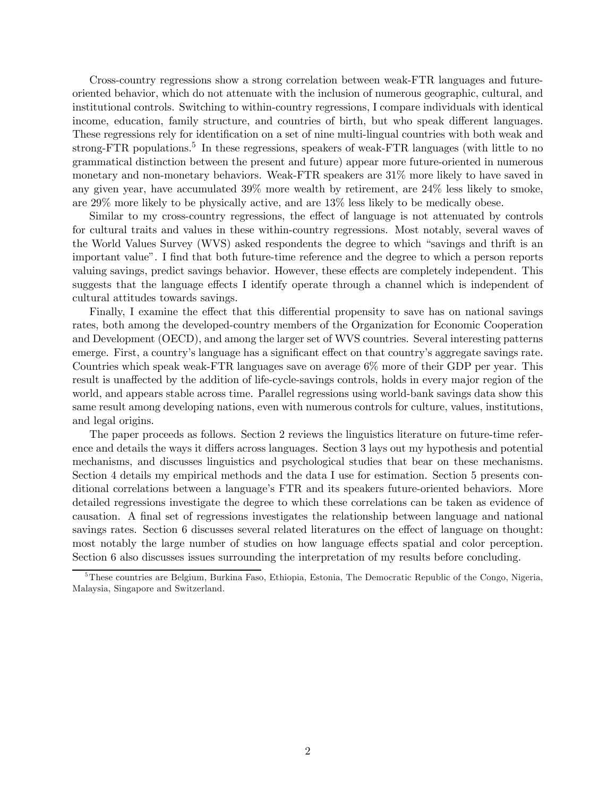Cross-country regressions show a strong correlation between weak-FTR languages and futureoriented behavior, which do not attenuate with the inclusion of numerous geographic, cultural, and institutional controls. Switching to within-country regressions, I compare individuals with identical income, education, family structure, and countries of birth, but who speak different languages. These regressions rely for identification on a set of nine multi-lingual countries with both weak and strong-FTR populations.<sup>5</sup> In these regressions, speakers of weak-FTR languages (with little to no grammatical distinction between the present and future) appear more future-oriented in numerous monetary and non-monetary behaviors. Weak-FTR speakers are 31% more likely to have saved in any given year, have accumulated 39% more wealth by retirement, are 24% less likely to smoke, are 29% more likely to be physically active, and are 13% less likely to be medically obese.

Similar to my cross-country regressions, the effect of language is not attenuated by controls for cultural traits and values in these within-country regressions. Most notably, several waves of the World Values Survey (WVS) asked respondents the degree to which "savings and thrift is an important value". I find that both future-time reference and the degree to which a person reports valuing savings, predict savings behavior. However, these effects are completely independent. This suggests that the language effects I identify operate through a channel which is independent of cultural attitudes towards savings.

Finally, I examine the effect that this differential propensity to save has on national savings rates, both among the developed-country members of the Organization for Economic Cooperation and Development (OECD), and among the larger set of WVS countries. Several interesting patterns emerge. First, a country's language has a significant effect on that country's aggregate savings rate. Countries which speak weak-FTR languages save on average 6% more of their GDP per year. This result is unaffected by the addition of life-cycle-savings controls, holds in every major region of the world, and appears stable across time. Parallel regressions using world-bank savings data show this same result among developing nations, even with numerous controls for culture, values, institutions, and legal origins.

The paper proceeds as follows. Section 2 reviews the linguistics literature on future-time reference and details the ways it differs across languages. Section 3 lays out my hypothesis and potential mechanisms, and discusses linguistics and psychological studies that bear on these mechanisms. Section 4 details my empirical methods and the data I use for estimation. Section 5 presents conditional correlations between a language's FTR and its speakers future-oriented behaviors. More detailed regressions investigate the degree to which these correlations can be taken as evidence of causation. A final set of regressions investigates the relationship between language and national savings rates. Section 6 discusses several related literatures on the effect of language on thought: most notably the large number of studies on how language effects spatial and color perception. Section 6 also discusses issues surrounding the interpretation of my results before concluding.

<sup>&</sup>lt;sup>5</sup>These countries are Belgium, Burkina Faso, Ethiopia, Estonia, The Democratic Republic of the Congo, Nigeria, Malaysia, Singapore and Switzerland.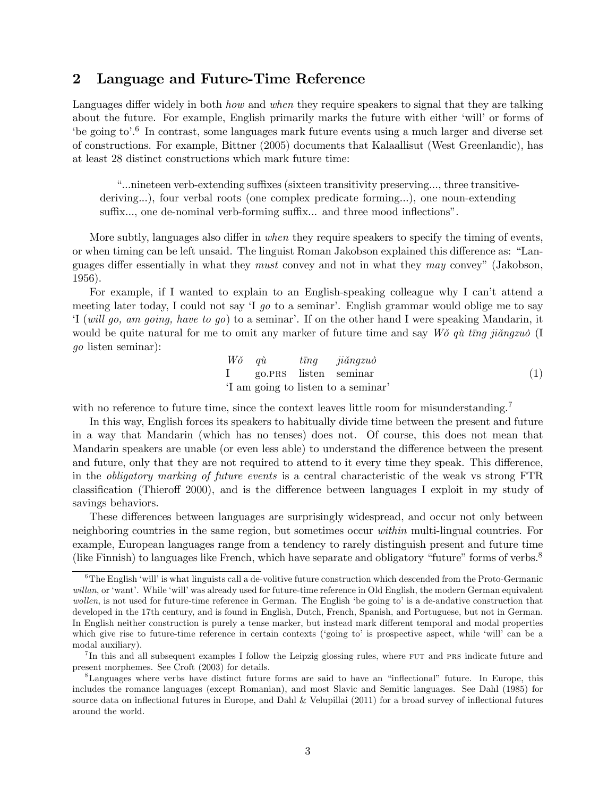## 2 Language and Future-Time Reference

Languages differ widely in both *how* and *when* they require speakers to signal that they are talking about the future. For example, English primarily marks the future with either 'will' or forms of 'be going to'.6 In contrast, some languages mark future events using a much larger and diverse set of constructions. For example, Bittner (2005) documents that Kalaallisut (West Greenlandic), has at least 28 distinct constructions which mark future time:

"...nineteen verb-extending suffixes (sixteen transitivity preserving..., three transitivederiving...), four verbal roots (one complex predicate forming...), one noun-extending suffix..., one de-nominal verb-forming suffix... and three mood inflections".

More subtly, languages also differ in *when* they require speakers to specify the timing of events, or when timing can be left unsaid. The linguist Roman Jakobson explained this difference as: "Languages differ essentially in what they must convey and not in what they may convey" (Jakobson, 1956).

For example, if I wanted to explain to an English-speaking colleague why I can't attend a meeting later today, I could not say 'I go to a seminar'. English grammar would oblige me to say 'I (will go, am going, have to go) to a seminar'. If on the other hand I were speaking Mandarin, it would be quite natural for me to omit any marker of future time and say  $W\delta q\dot{u}$  ting jiǎngzuò (I go listen seminar):

$$
W\delta \quad q\dot{u} \quad t\bar{n}g \quad ji\check{a}ngzu\delta
$$
  
I go.PRS listen seminar  
'I am going to listen to a seminar' (1)

with no reference to future time, since the context leaves little room for misunderstanding.<sup>7</sup>

In this way, English forces its speakers to habitually divide time between the present and future in a way that Mandarin (which has no tenses) does not. Of course, this does not mean that Mandarin speakers are unable (or even less able) to understand the difference between the present and future, only that they are not required to attend to it every time they speak. This difference, in the obligatory marking of future events is a central characteristic of the weak vs strong FTR classification (Thieroff 2000), and is the difference between languages I exploit in my study of savings behaviors.

These differences between languages are surprisingly widespread, and occur not only between neighboring countries in the same region, but sometimes occur within multi-lingual countries. For example, European languages range from a tendency to rarely distinguish present and future time (like Finnish) to languages like French, which have separate and obligatory "future" forms of verbs.8

<sup>6</sup>The English 'will' is what linguists call a de-volitive future construction which descended from the Proto-Germanic willan, or 'want'. While 'will' was already used for future-time reference in Old English, the modern German equivalent wollen, is not used for future-time reference in German. The English 'be going to' is a de-andative construction that developed in the 17th century, and is found in English, Dutch, French, Spanish, and Portuguese, but not in German. In English neither construction is purely a tense marker, but instead mark different temporal and modal properties which give rise to future-time reference in certain contexts ('going to' is prospective aspect, while 'will' can be a modal auxiliary).

<sup>&</sup>lt;sup>7</sup>In this and all subsequent examples I follow the Leipzig glossing rules, where FUT and PRS indicate future and present morphemes. See Croft (2003) for details.

<sup>8</sup>Languages where verbs have distinct future forms are said to have an "inflectional" future. In Europe, this includes the romance languages (except Romanian), and most Slavic and Semitic languages. See Dahl (1985) for source data on inflectional futures in Europe, and Dahl & Velupillai (2011) for a broad survey of inflectional futures around the world.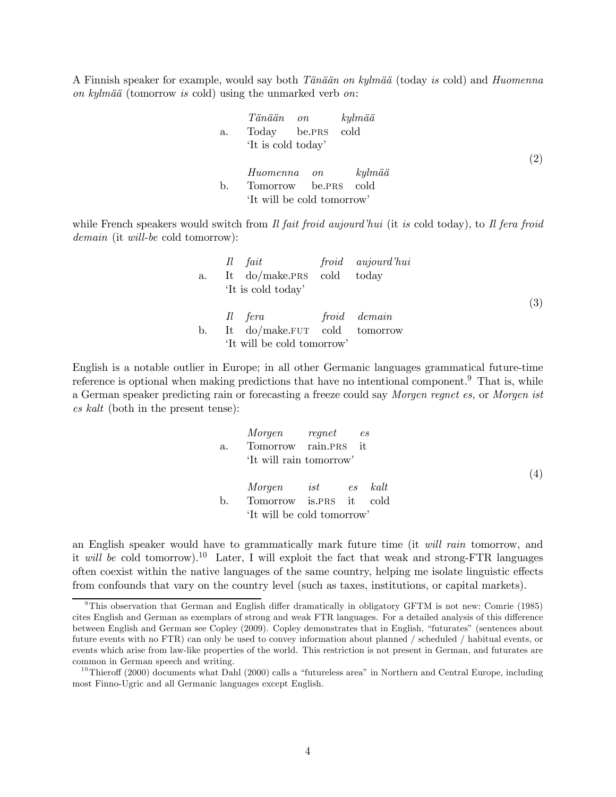A Finnish speaker for example, would say both Tänään on kylmää (today is cold) and Huomenna on kylmää (tomorrow is cold) using the unmarked verb on:

|    | Tänään on kylmää           |  |     |
|----|----------------------------|--|-----|
| a. | Today be.PRS cold          |  |     |
|    | 'It is cold today'         |  |     |
|    |                            |  | (2) |
|    | Huomenna on kylmää         |  |     |
| b. | Tomorrow be.PRS cold       |  |     |
|    | 'It will be cold tomorrow' |  |     |

while French speakers would switch from Il fait froid aujourd'hui (it is cold today), to Il fera froid demain (it will-be cold tomorrow):

|    | Il fait froid aujourd'hui    |  |     |
|----|------------------------------|--|-----|
| a. | It do/make.PRS cold today    |  |     |
|    | 'It is cold today'           |  |     |
|    |                              |  | (3) |
|    | Il fera froid demain         |  |     |
| b. | It do/make.FUT cold tomorrow |  |     |
|    | 'It will be cold tomorrow'   |  |     |

English is a notable outlier in Europe; in all other Germanic languages grammatical future-time reference is optional when making predictions that have no intentional component.<sup>9</sup> That is, while a German speaker predicting rain or forecasting a freeze could say Morgen regnet es, or Morgen ist es kalt (both in the present tense):

|    | Morgen regnet es           |  |  |
|----|----------------------------|--|--|
| a. | Tomorrow rain.PRS it       |  |  |
|    | 'It will rain tomorrow'    |  |  |
|    |                            |  |  |
|    | Morgen ist es kalt         |  |  |
| b. | Tomorrow is.PRS it cold    |  |  |
|    | 'It will be cold tomorrow' |  |  |

an English speaker would have to grammatically mark future time (it will rain tomorrow, and it will be cold tomorrow).<sup>10</sup> Later, I will exploit the fact that weak and strong-FTR languages often coexist within the native languages of the same country, helping me isolate linguistic effects from confounds that vary on the country level (such as taxes, institutions, or capital markets).

<sup>9</sup>This observation that German and English differ dramatically in obligatory GFTM is not new: Comrie (1985) cites English and German as exemplars of strong and weak FTR languages. For a detailed analysis of this difference between English and German see Copley (2009). Copley demonstrates that in English, "futurates" (sentences about future events with no FTR) can only be used to convey information about planned / scheduled / habitual events, or events which arise from law-like properties of the world. This restriction is not present in German, and futurates are common in German speech and writing.

<sup>&</sup>lt;sup>10</sup>Thieroff (2000) documents what Dahl (2000) calls a "futureless area" in Northern and Central Europe, including most Finno-Ugric and all Germanic languages except English.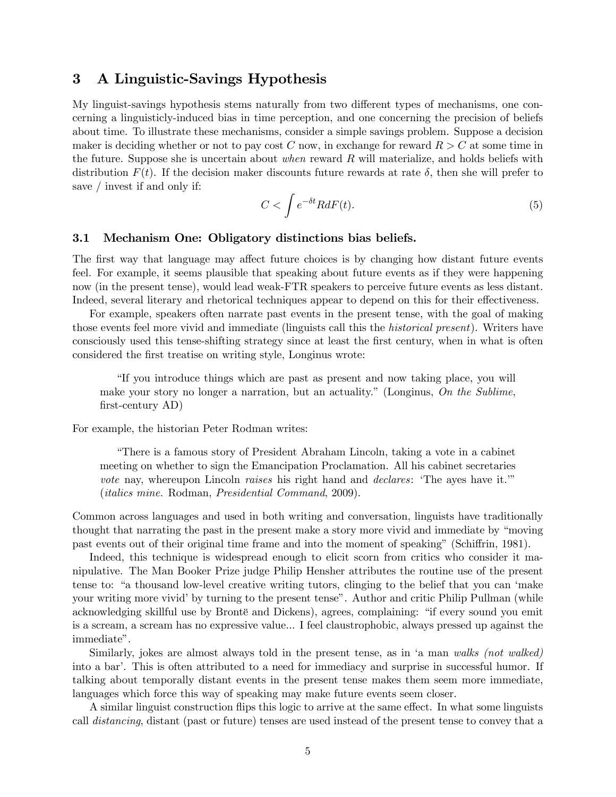## 3 A Linguistic-Savings Hypothesis

My linguist-savings hypothesis stems naturally from two different types of mechanisms, one concerning a linguisticly-induced bias in time perception, and one concerning the precision of beliefs about time. To illustrate these mechanisms, consider a simple savings problem. Suppose a decision maker is deciding whether or not to pay cost C now, in exchange for reward  $R > C$  at some time in the future. Suppose she is uncertain about when reward  $R$  will materialize, and holds beliefs with distribution  $F(t)$ . If the decision maker discounts future rewards at rate  $\delta$ , then she will prefer to save / invest if and only if:

$$
C < \int e^{-\delta t} R dF(t). \tag{5}
$$

### 3.1 Mechanism One: Obligatory distinctions bias beliefs.

The first way that language may affect future choices is by changing how distant future events feel. For example, it seems plausible that speaking about future events as if they were happening now (in the present tense), would lead weak-FTR speakers to perceive future events as less distant. Indeed, several literary and rhetorical techniques appear to depend on this for their effectiveness.

For example, speakers often narrate past events in the present tense, with the goal of making those events feel more vivid and immediate (linguists call this the *historical present*). Writers have consciously used this tense-shifting strategy since at least the first century, when in what is often considered the first treatise on writing style, Longinus wrote:

"If you introduce things which are past as present and now taking place, you will make your story no longer a narration, but an actuality." (Longinus, On the Sublime, first-century AD)

For example, the historian Peter Rodman writes:

"There is a famous story of President Abraham Lincoln, taking a vote in a cabinet meeting on whether to sign the Emancipation Proclamation. All his cabinet secretaries vote nay, whereupon Lincoln raises his right hand and *declares*: 'The ayes have it.'" (italics mine. Rodman, Presidential Command, 2009).

Common across languages and used in both writing and conversation, linguists have traditionally thought that narrating the past in the present make a story more vivid and immediate by "moving past events out of their original time frame and into the moment of speaking" (Schiffrin, 1981).

Indeed, this technique is widespread enough to elicit scorn from critics who consider it manipulative. The Man Booker Prize judge Philip Hensher attributes the routine use of the present tense to: "a thousand low-level creative writing tutors, clinging to the belief that you can 'make your writing more vivid' by turning to the present tense". Author and critic Philip Pullman (while acknowledging skillful use by Brontë and Dickens), agrees, complaining: "if every sound you emit is a scream, a scream has no expressive value... I feel claustrophobic, always pressed up against the immediate".

Similarly, jokes are almost always told in the present tense, as in 'a man walks (not walked) into a bar'. This is often attributed to a need for immediacy and surprise in successful humor. If talking about temporally distant events in the present tense makes them seem more immediate, languages which force this way of speaking may make future events seem closer.

A similar linguist construction flips this logic to arrive at the same effect. In what some linguists call distancing, distant (past or future) tenses are used instead of the present tense to convey that a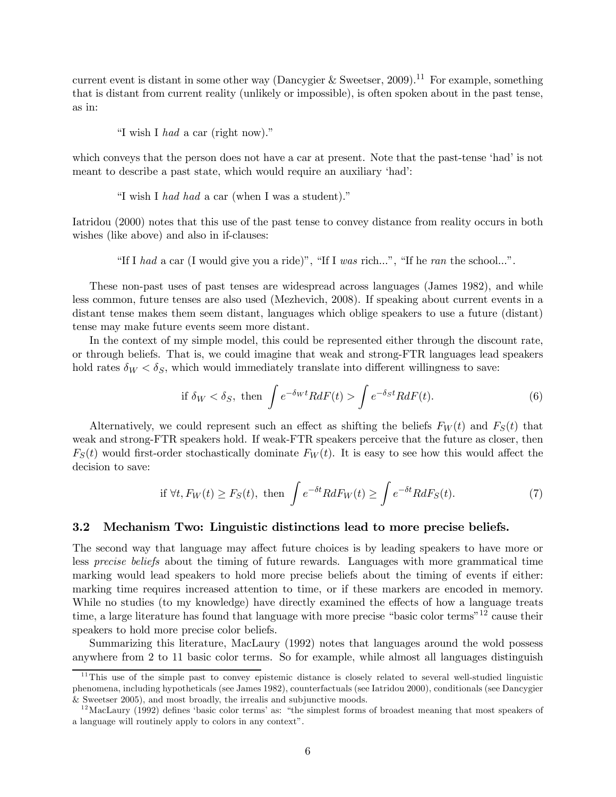current event is distant in some other way (Dancygier & Sweetser, 2009).<sup>11</sup> For example, something that is distant from current reality (unlikely or impossible), is often spoken about in the past tense, as in:

"I wish I had a car (right now)."

which conveys that the person does not have a car at present. Note that the past-tense 'had' is not meant to describe a past state, which would require an auxiliary 'had':

"I wish I had had a car (when I was a student)."

Iatridou (2000) notes that this use of the past tense to convey distance from reality occurs in both wishes (like above) and also in if-clauses:

"If I had a car (I would give you a ride)", "If I was rich...", "If he ran the school...".

These non-past uses of past tenses are widespread across languages (James 1982), and while less common, future tenses are also used (Mezhevich, 2008). If speaking about current events in a distant tense makes them seem distant, languages which oblige speakers to use a future (distant) tense may make future events seem more distant.

In the context of my simple model, this could be represented either through the discount rate, or through beliefs. That is, we could imagine that weak and strong-FTR languages lead speakers hold rates  $\delta_W < \delta_S$ , which would immediately translate into different willingness to save:

if 
$$
\delta_W < \delta_S
$$
, then  $\int e^{-\delta_W t} R dF(t) > \int e^{-\delta_S t} R dF(t)$ . (6)

Alternatively, we could represent such an effect as shifting the beliefs  $F_W(t)$  and  $F_S(t)$  that weak and strong-FTR speakers hold. If weak-FTR speakers perceive that the future as closer, then  $F<sub>S</sub>(t)$  would first-order stochastically dominate  $F<sub>W</sub>(t)$ . It is easy to see how this would affect the decision to save:

if 
$$
\forall t, F_W(t) \ge F_S(t)
$$
, then  $\int e^{-\delta t} R dF_W(t) \ge \int e^{-\delta t} R dF_S(t)$ . (7)

#### 3.2 Mechanism Two: Linguistic distinctions lead to more precise beliefs.

The second way that language may affect future choices is by leading speakers to have more or less precise beliefs about the timing of future rewards. Languages with more grammatical time marking would lead speakers to hold more precise beliefs about the timing of events if either: marking time requires increased attention to time, or if these markers are encoded in memory. While no studies (to my knowledge) have directly examined the effects of how a language treats time, a large literature has found that language with more precise "basic color terms"<sup>12</sup> cause their speakers to hold more precise color beliefs.

Summarizing this literature, MacLaury (1992) notes that languages around the wold possess anywhere from 2 to 11 basic color terms. So for example, while almost all languages distinguish

 $11$ This use of the simple past to convey epistemic distance is closely related to several well-studied linguistic phenomena, including hypotheticals (see James 1982), counterfactuals (see Iatridou 2000), conditionals (see Dancygier & Sweetser 2005), and most broadly, the irrealis and subjunctive moods.

 $12$ MacLaury (1992) defines 'basic color terms' as: "the simplest forms of broadest meaning that most speakers of a language will routinely apply to colors in any context".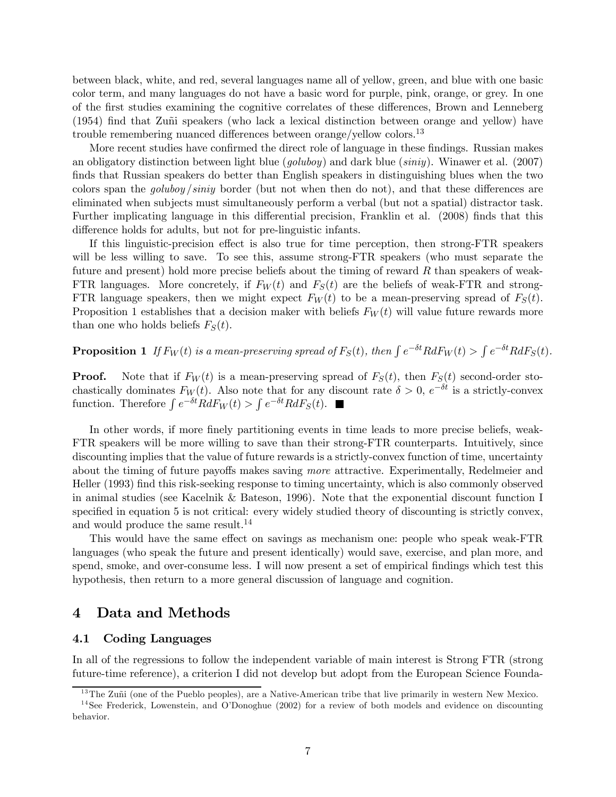between black, white, and red, several languages name all of yellow, green, and blue with one basic color term, and many languages do not have a basic word for purple, pink, orange, or grey. In one of the first studies examining the cognitive correlates of these differences, Brown and Lenneberg (1954) find that Zuñi speakers (who lack a lexical distinction between orange and yellow) have trouble remembering nuanced differences between orange/yellow colors.13

More recent studies have confirmed the direct role of language in these findings. Russian makes an obligatory distinction between light blue (*goluboy*) and dark blue (*siniy*). Winawer et al. (2007) finds that Russian speakers do better than English speakers in distinguishing blues when the two colors span the *goluboy sinity* border (but not when then do not), and that these differences are eliminated when subjects must simultaneously perform a verbal (but not a spatial) distractor task. Further implicating language in this differential precision, Franklin et al. (2008) finds that this difference holds for adults, but not for pre-linguistic infants.

If this linguistic-precision effect is also true for time perception, then strong-FTR speakers will be less willing to save. To see this, assume strong-FTR speakers (who must separate the future and present) hold more precise beliefs about the timing of reward  $R$  than speakers of weak-FTR languages. More concretely, if  $F_W(t)$  and  $F_S(t)$  are the beliefs of weak-FTR and strong-FTR language speakers, then we might expect  $F_W(t)$  to be a mean-preserving spread of  $F_S(t)$ . Proposition 1 establishes that a decision maker with beliefs  $F_W(t)$  will value future rewards more than one who holds beliefs  $F_S(t)$ .

**Proposition 1** If  $F_W(t)$  is a mean-preserving spread of  $F_S(t)$ , then  $\int e^{-\delta t} R dF_W(t) > \int e^{-\delta t} R dF_S(t)$ .

**Proof.** Note that if  $F_W(t)$  is a mean-preserving spread of  $F_S(t)$ , then  $F_S(t)$  second-order stochastically dominates  $F_W(t)$ . Also note that for any discount rate  $\delta > 0$ ,  $e^{-\delta t}$  is a strictly-convex function. Therefore  $\int e^{-\delta t} R dF_W(t) > \int e^{-\delta t} R dF_S(t)$ .

In other words, if more finely partitioning events in time leads to more precise beliefs, weak-FTR speakers will be more willing to save than their strong-FTR counterparts. Intuitively, since discounting implies that the value of future rewards is a strictly-convex function of time, uncertainty about the timing of future payoffs makes saving more attractive. Experimentally, Redelmeier and Heller (1993) find this risk-seeking response to timing uncertainty, which is also commonly observed in animal studies (see Kacelnik & Bateson, 1996). Note that the exponential discount function I specified in equation 5 is not critical: every widely studied theory of discounting is strictly convex, and would produce the same result.<sup>14</sup>

This would have the same effect on savings as mechanism one: people who speak weak-FTR languages (who speak the future and present identically) would save, exercise, and plan more, and spend, smoke, and over-consume less. I will now present a set of empirical findings which test this hypothesis, then return to a more general discussion of language and cognition.

## 4 Data and Methods

#### 4.1 Coding Languages

In all of the regressions to follow the independent variable of main interest is Strong FTR (strong future-time reference), a criterion I did not develop but adopt from the European Science Founda-

 $13$ The Zuñi (one of the Pueblo peoples), are a Native-American tribe that live primarily in western New Mexico.

<sup>&</sup>lt;sup>14</sup> See Frederick, Lowenstein, and O'Donoghue (2002) for a review of both models and evidence on discounting behavior.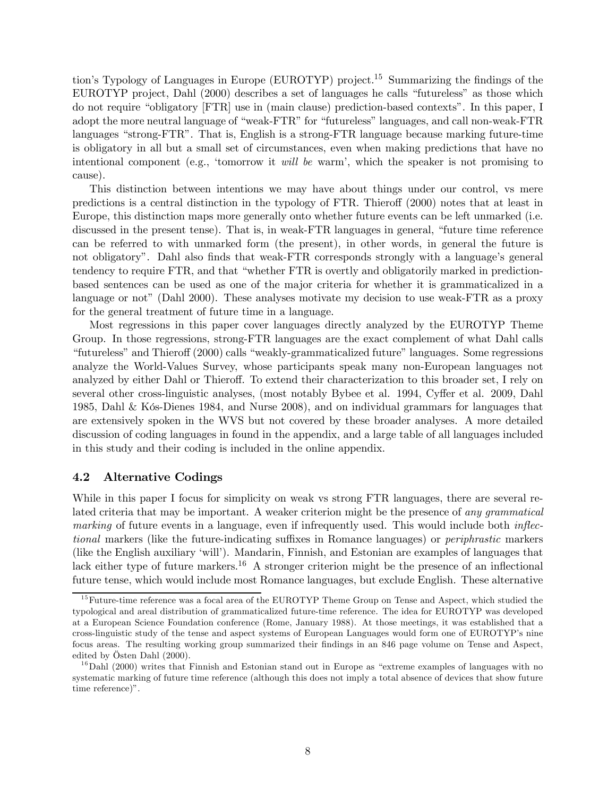tion's Typology of Languages in Europe (EUROTYP) project.15 Summarizing the findings of the EUROTYP project, Dahl (2000) describes a set of languages he calls "futureless" as those which do not require "obligatory [FTR] use in (main clause) prediction-based contexts". In this paper, I adopt the more neutral language of "weak-FTR" for "futureless" languages, and call non-weak-FTR languages "strong-FTR". That is, English is a strong-FTR language because marking future-time is obligatory in all but a small set of circumstances, even when making predictions that have no intentional component (e.g., 'tomorrow it will be warm', which the speaker is not promising to cause).

This distinction between intentions we may have about things under our control, vs mere predictions is a central distinction in the typology of FTR. Thieroff (2000) notes that at least in Europe, this distinction maps more generally onto whether future events can be left unmarked (i.e. discussed in the present tense). That is, in weak-FTR languages in general, "future time reference can be referred to with unmarked form (the present), in other words, in general the future is not obligatory". Dahl also finds that weak-FTR corresponds strongly with a language's general tendency to require FTR, and that "whether FTR is overtly and obligatorily marked in predictionbased sentences can be used as one of the major criteria for whether it is grammaticalized in a language or not" (Dahl 2000). These analyses motivate my decision to use weak-FTR as a proxy for the general treatment of future time in a language.

Most regressions in this paper cover languages directly analyzed by the EUROTYP Theme Group. In those regressions, strong-FTR languages are the exact complement of what Dahl calls "futureless" and Thieroff (2000) calls "weakly-grammaticalized future" languages. Some regressions analyze the World-Values Survey, whose participants speak many non-European languages not analyzed by either Dahl or Thieroff. To extend their characterization to this broader set, I rely on several other cross-linguistic analyses, (most notably Bybee et al. 1994, Cyffer et al. 2009, Dahl 1985, Dahl & Kós-Dienes 1984, and Nurse 2008), and on individual grammars for languages that are extensively spoken in the WVS but not covered by these broader analyses. A more detailed discussion of coding languages in found in the appendix, and a large table of all languages included in this study and their coding is included in the online appendix.

### 4.2 Alternative Codings

While in this paper I focus for simplicity on weak vs strong FTR languages, there are several related criteria that may be important. A weaker criterion might be the presence of any grammatical marking of future events in a language, even if infrequently used. This would include both *inflec*tional markers (like the future-indicating suffixes in Romance languages) or periphrastic markers (like the English auxiliary 'will'). Mandarin, Finnish, and Estonian are examples of languages that lack either type of future markers.<sup>16</sup> A stronger criterion might be the presence of an inflectional future tense, which would include most Romance languages, but exclude English. These alternative

<sup>&</sup>lt;sup>15</sup> Future-time reference was a focal area of the EUROTYP Theme Group on Tense and Aspect, which studied the typological and areal distribution of grammaticalized future-time reference. The idea for EUROTYP was developed at a European Science Foundation conference (Rome, January 1988). At those meetings, it was established that a cross-linguistic study of the tense and aspect systems of European Languages would form one of EUROTYP's nine focus areas. The resulting working group summarized their findings in an 846 page volume on Tense and Aspect, edited by Östen Dahl (2000).

 $16$ Dahl (2000) writes that Finnish and Estonian stand out in Europe as "extreme examples of languages with no systematic marking of future time reference (although this does not imply a total absence of devices that show future time reference)".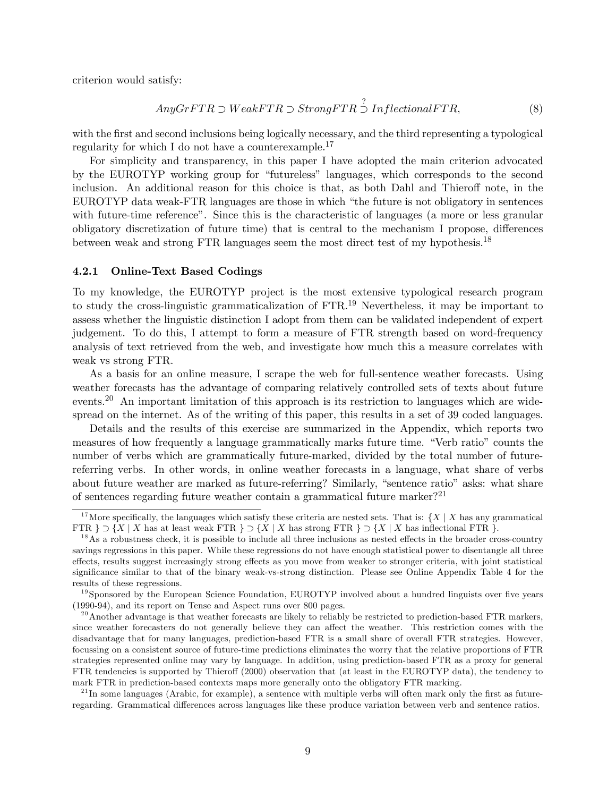criterion would satisfy:

$$
Any GrFTR \supset WeakFTR \supset StrongFTR \stackrel{?}{\supset} InflectionalFTR,
$$
\n(8)

with the first and second inclusions being logically necessary, and the third representing a typological regularity for which I do not have a counterexample.<sup>17</sup>

For simplicity and transparency, in this paper I have adopted the main criterion advocated by the EUROTYP working group for "futureless" languages, which corresponds to the second inclusion. An additional reason for this choice is that, as both Dahl and Thieroff note, in the EUROTYP data weak-FTR languages are those in which "the future is not obligatory in sentences with future-time reference". Since this is the characteristic of languages (a more or less granular obligatory discretization of future time) that is central to the mechanism I propose, differences between weak and strong FTR languages seem the most direct test of my hypothesis.18

#### 4.2.1 Online-Text Based Codings

To my knowledge, the EUROTYP project is the most extensive typological research program to study the cross-linguistic grammaticalization of FTR.19 Nevertheless, it may be important to assess whether the linguistic distinction I adopt from them can be validated independent of expert judgement. To do this, I attempt to form a measure of FTR strength based on word-frequency analysis of text retrieved from the web, and investigate how much this a measure correlates with weak vs strong FTR.

As a basis for an online measure, I scrape the web for full-sentence weather forecasts. Using weather forecasts has the advantage of comparing relatively controlled sets of texts about future events.<sup>20</sup> An important limitation of this approach is its restriction to languages which are widespread on the internet. As of the writing of this paper, this results in a set of 39 coded languages.

Details and the results of this exercise are summarized in the Appendix, which reports two measures of how frequently a language grammatically marks future time. "Verb ratio" counts the number of verbs which are grammatically future-marked, divided by the total number of futurereferring verbs. In other words, in online weather forecasts in a language, what share of verbs about future weather are marked as future-referring? Similarly, "sentence ratio" asks: what share of sentences regarding future weather contain a grammatical future marker?<sup>21</sup>

<sup>&</sup>lt;sup>17</sup>More specifically, the languages which satisfy these criteria are nested sets. That is:  $\{X \mid X \text{ has any grammatical}$ <br>FTR  $\} \supset \{X \mid X \text{ has at least weak FTR } \} \supset \{X \mid X \text{ has strong FTR } \} \supset \{X \mid X \text{ has inflectional FTR } \}.$ 

 $^{18}$ As a robustness check, it is possible to include all three inclusions as nested effects in the broader cross-country savings regressions in this paper. While these regressions do not have enough statistical power to disentangle all three effects, results suggest increasingly strong effects as you move from weaker to stronger criteria, with joint statistical significance similar to that of the binary weak-vs-strong distinction. Please see Online Appendix Table 4 for the results of these regressions.

 $19$ Sponsored by the European Science Foundation, EUROTYP involved about a hundred linguists over five years (1990-94), and its report on Tense and Aspect runs over 800 pages.

 $^{20}$  Another advantage is that weather forecasts are likely to reliably be restricted to prediction-based FTR markers, since weather forecasters do not generally believe they can affect the weather. This restriction comes with the disadvantage that for many languages, prediction-based FTR is a small share of overall FTR strategies. However, focussing on a consistent source of future-time predictions eliminates the worry that the relative proportions of FTR strategies represented online may vary by language. In addition, using prediction-based FTR as a proxy for general FTR tendencies is supported by Thieroff (2000) observation that (at least in the EUROTYP data), the tendency to mark FTR in prediction-based contexts maps more generally onto the obligatory FTR marking.

 $^{21}$ In some languages (Arabic, for example), a sentence with multiple verbs will often mark only the first as futureregarding. Grammatical differences across languages like these produce variation between verb and sentence ratios.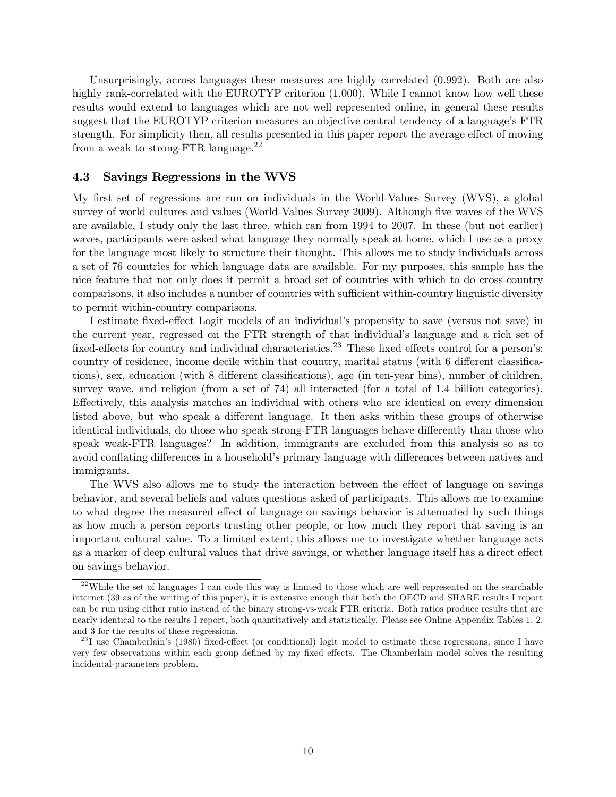Unsurprisingly, across languages these measures are highly correlated  $(0.992)$ . Both are also highly rank-correlated with the EUROTYP criterion (1.000). While I cannot know how well these results would extend to languages which are not well represented online, in general these results suggest that the EUROTYP criterion measures an objective central tendency of a language's FTR strength. For simplicity then, all results presented in this paper report the average effect of moving from a weak to strong-FTR language.22

### 4.3 Savings Regressions in the WVS

My first set of regressions are run on individuals in the World-Values Survey (WVS), a global survey of world cultures and values (World-Values Survey 2009). Although five waves of the WVS are available, I study only the last three, which ran from 1994 to 2007. In these (but not earlier) waves, participants were asked what language they normally speak at home, which I use as a proxy for the language most likely to structure their thought. This allows me to study individuals across a set of 76 countries for which language data are available. For my purposes, this sample has the nice feature that not only does it permit a broad set of countries with which to do cross-country comparisons, it also includes a number of countries with sufficient within-country linguistic diversity to permit within-country comparisons.

I estimate fixed-effect Logit models of an individual's propensity to save (versus not save) in the current year, regressed on the FTR strength of that individual's language and a rich set of fixed-effects for country and individual characteristics.<sup>23</sup> These fixed effects control for a person's: country of residence, income decile within that country, marital status (with 6 different classifications), sex, education (with 8 different classifications), age (in ten-year bins), number of children, survey wave, and religion (from a set of 74) all interacted (for a total of 1.4 billion categories). Effectively, this analysis matches an individual with others who are identical on every dimension listed above, but who speak a different language. It then asks within these groups of otherwise identical individuals, do those who speak strong-FTR languages behave differently than those who speak weak-FTR languages? In addition, immigrants are excluded from this analysis so as to avoid conflating differences in a household's primary language with differences between natives and immigrants.

The WVS also allows me to study the interaction between the effect of language on savings behavior, and several beliefs and values questions asked of participants. This allows me to examine to what degree the measured effect of language on savings behavior is attenuated by such things as how much a person reports trusting other people, or how much they report that saving is an important cultural value. To a limited extent, this allows me to investigate whether language acts as a marker of deep cultural values that drive savings, or whether language itself has a direct effect on savings behavior.

 $^{22}$ While the set of languages I can code this way is limited to those which are well represented on the searchable internet (39 as of the writing of this paper), it is extensive enough that both the OECD and SHARE results I report can be run using either ratio instead of the binary strong-vs-weak FTR criteria. Both ratios produce results that are nearly identical to the results I report, both quantitatively and statistically. Please see Online Appendix Tables 1, 2, and 3 for the results of these regressions.

 $^{23}$ I use Chamberlain's (1980) fixed-effect (or conditional) logit model to estimate these regressions, since I have very few observations within each group defined by my fixed effects. The Chamberlain model solves the resulting incidental-parameters problem.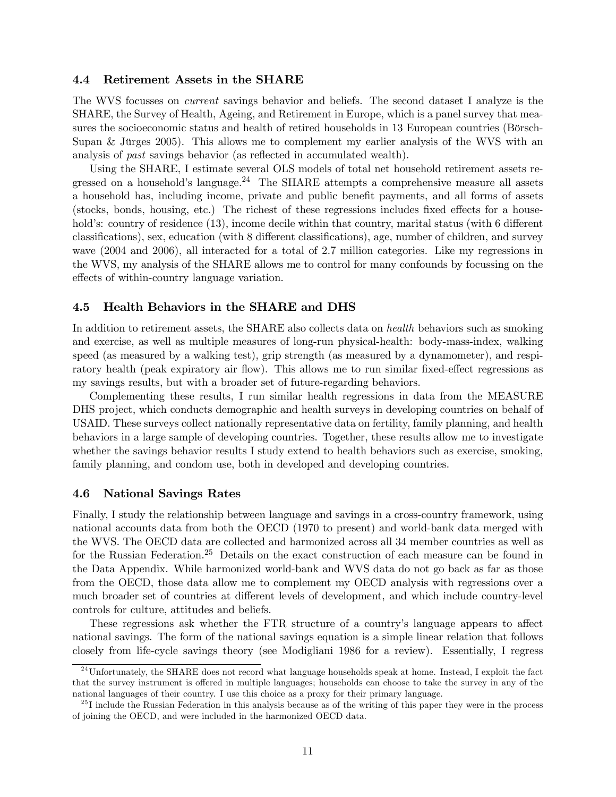### 4.4 Retirement Assets in the SHARE

The WVS focusses on current savings behavior and beliefs. The second dataset I analyze is the SHARE, the Survey of Health, Ageing, and Retirement in Europe, which is a panel survey that measures the socioeconomic status and health of retired households in 13 European countries (Börsch-Supan & Jürges 2005). This allows me to complement my earlier analysis of the WVS with an analysis of past savings behavior (as reflected in accumulated wealth).

Using the SHARE, I estimate several OLS models of total net household retirement assets regressed on a household's language.<sup>24</sup> The SHARE attempts a comprehensive measure all assets a household has, including income, private and public benefit payments, and all forms of assets (stocks, bonds, housing, etc.) The richest of these regressions includes fixed effects for a household's: country of residence (13), income decile within that country, marital status (with 6 different classifications), sex, education (with 8 different classifications), age, number of children, and survey wave (2004 and 2006), all interacted for a total of 2.7 million categories. Like my regressions in the WVS, my analysis of the SHARE allows me to control for many confounds by focussing on the effects of within-country language variation.

### 4.5 Health Behaviors in the SHARE and DHS

In addition to retirement assets, the SHARE also collects data on *health* behaviors such as smoking and exercise, as well as multiple measures of long-run physical-health: body-mass-index, walking speed (as measured by a walking test), grip strength (as measured by a dynamometer), and respiratory health (peak expiratory air flow). This allows me to run similar fixed-effect regressions as my savings results, but with a broader set of future-regarding behaviors.

Complementing these results, I run similar health regressions in data from the MEASURE DHS project, which conducts demographic and health surveys in developing countries on behalf of USAID. These surveys collect nationally representative data on fertility, family planning, and health behaviors in a large sample of developing countries. Together, these results allow me to investigate whether the savings behavior results I study extend to health behaviors such as exercise, smoking, family planning, and condom use, both in developed and developing countries.

#### 4.6 National Savings Rates

Finally, I study the relationship between language and savings in a cross-country framework, using national accounts data from both the OECD (1970 to present) and world-bank data merged with the WVS. The OECD data are collected and harmonized across all 34 member countries as well as for the Russian Federation.<sup>25</sup> Details on the exact construction of each measure can be found in the Data Appendix. While harmonized world-bank and WVS data do not go back as far as those from the OECD, those data allow me to complement my OECD analysis with regressions over a much broader set of countries at different levels of development, and which include country-level controls for culture, attitudes and beliefs.

These regressions ask whether the FTR structure of a country's language appears to affect national savings. The form of the national savings equation is a simple linear relation that follows closely from life-cycle savings theory (see Modigliani 1986 for a review). Essentially, I regress

 $^{24}$ Unfortunately, the SHARE does not record what language households speak at home. Instead, I exploit the fact that the survey instrument is offered in multiple languages; households can choose to take the survey in any of the national languages of their country. I use this choice as a proxy for their primary language.

 $25$  I include the Russian Federation in this analysis because as of the writing of this paper they were in the process of joining the OECD, and were included in the harmonized OECD data.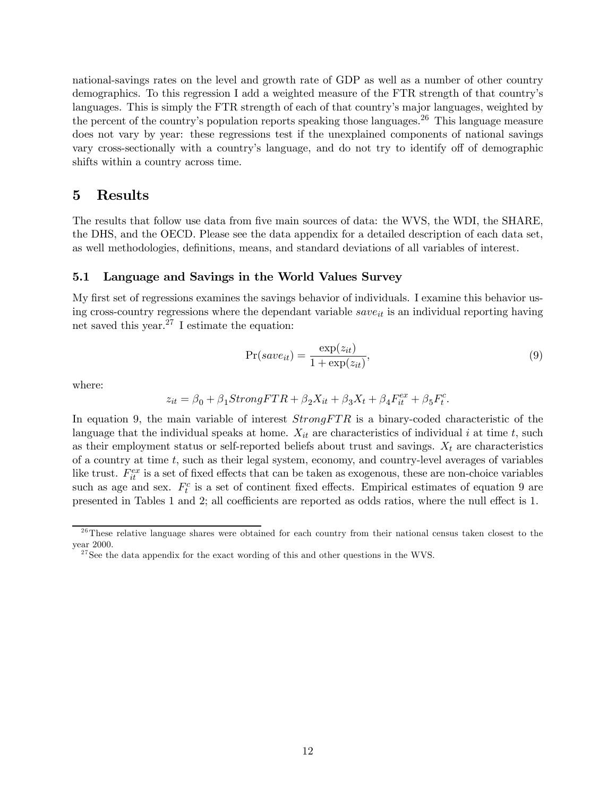national-savings rates on the level and growth rate of GDP as well as a number of other country demographics. To this regression I add a weighted measure of the FTR strength of that country's languages. This is simply the FTR strength of each of that country's major languages, weighted by the percent of the country's population reports speaking those languages.<sup>26</sup> This language measure does not vary by year: these regressions test if the unexplained components of national savings vary cross-sectionally with a country's language, and do not try to identify off of demographic shifts within a country across time.

## 5 Results

The results that follow use data from five main sources of data: the WVS, the WDI, the SHARE, the DHS, and the OECD. Please see the data appendix for a detailed description of each data set, as well methodologies, definitions, means, and standard deviations of all variables of interest.

### 5.1 Language and Savings in the World Values Survey

My first set of regressions examines the savings behavior of individuals. I examine this behavior using cross-country regressions where the dependant variable  $save_{it}$  is an individual reporting having net saved this year. $27$  I estimate the equation:

$$
Pr(save_{it}) = \frac{\exp(z_{it})}{1 + \exp(z_{it})},\tag{9}
$$

where:

$$
z_{it} = \beta_0 + \beta_1 StrongFTR + \beta_2 X_{it} + \beta_3 X_t + \beta_4 F_{it}^{ex} + \beta_5 F_t^c.
$$

In equation 9, the main variable of interest  $StrongFTR$  is a binary-coded characteristic of the language that the individual speaks at home.  $X_{it}$  are characteristics of individual i at time t, such as their employment status or self-reported beliefs about trust and savings.  $X_t$  are characteristics of a country at time  $t$ , such as their legal system, economy, and country-level averages of variables like trust.  $F_{it}^{ex}$  is a set of fixed effects that can be taken as exogenous, these are non-choice variables such as age and sex.  $F_t^c$  is a set of continent fixed effects. Empirical estimates of equation 9 are presented in Tables 1 and 2; all coefficients are reported as odds ratios, where the null effect is 1.

 $^{26}$ These relative language shares were obtained for each country from their national census taken closest to the year 2000.

<sup>&</sup>lt;sup>27</sup>See the data appendix for the exact wording of this and other questions in the WVS.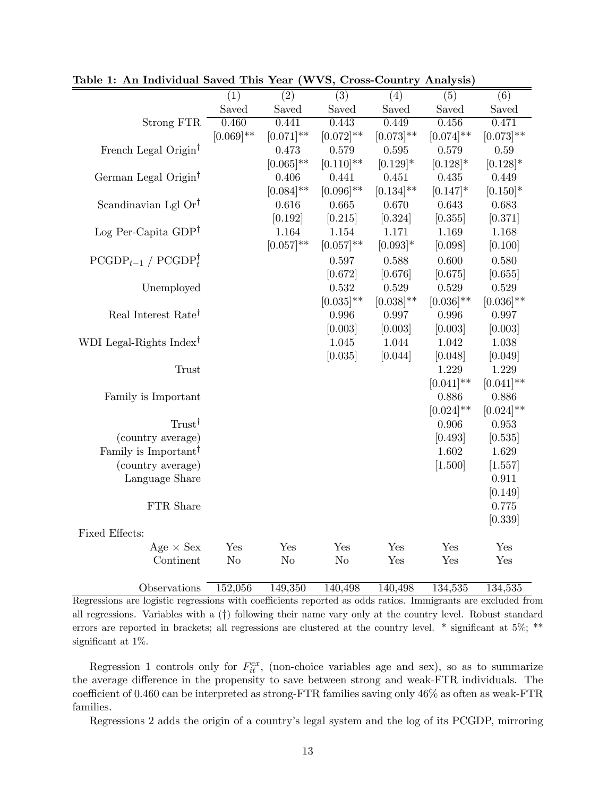|                                     | (1)            | (2)            | (3)            | (4)            | (5)          | (6)            |
|-------------------------------------|----------------|----------------|----------------|----------------|--------------|----------------|
|                                     | Saved          | Saved          | Saved          | Saved          | Saved        | Saved          |
| Strong FTR                          | 0.460          | 0.441          | 0.443          | 0.449          | 0.456        | 0.471          |
|                                     | $[0.069]$ **   | $[0.071]$ **   | $[0.072]$ **   | $[0.073]$ **   | $[0.074]$ ** | $[0.073]$ **   |
| French Legal Origin <sup>†</sup>    |                | 0.473          | 0.579          | 0.595          | 0.579        | 0.59           |
|                                     |                | $[0.065]$ **   | $[0.110]$ **   | $[0.129]*$     | $[0.128]*$   | $[0.128]$ *    |
| German Legal Origin <sup>†</sup>    |                | 0.406          | 0.441          | 0.451          | 0.435        | 0.449          |
|                                     |                | $[0.084]$ **   | $[0.096]$ **   | $[0.134]^{**}$ | $[0.147]*$   | $[0.150]$ *    |
| Scandinavian Lgl Or <sup>†</sup>    |                | 0.616          | 0.665          | 0.670          | 0.643        | 0.683          |
|                                     |                | [0.192]        | [0.215]        | [0.324]        | [0.355]      | [0.371]        |
| Log Per-Capita $GDP^{\dagger}$      |                | 1.164          | 1.154          | 1.171          | 1.169        | 1.168          |
|                                     |                | $[0.057]^{**}$ | $[0.057]$ **   | $[0.093]$ *    | [0.098]      | [0.100]        |
| $PCGDP_{t-1} / PCGDP_t^{\dagger}$   |                |                | 0.597          | 0.588          | 0.600        | 0.580          |
|                                     |                |                | [0.672]        | [0.676]        | [0.675]      | [0.655]        |
| Unemployed                          |                |                | 0.532          | 0.529          | 0.529        | 0.529          |
|                                     |                |                | $[0.035]^{**}$ | $[0.038]^{**}$ | $[0.036]$ ** | $[0.036]^{**}$ |
| Real Interest Rate <sup>†</sup>     |                |                | 0.996          | 0.997          | 0.996        | 0.997          |
|                                     |                |                | [0.003]        | [0.003]        | [0.003]      | [0.003]        |
| WDI Legal-Rights Index <sup>†</sup> |                |                | 1.045          | 1.044          | 1.042        | 1.038          |
|                                     |                |                | [0.035]        | [0.044]        | [0.048]      | [0.049]        |
| <b>Trust</b>                        |                |                |                |                | 1.229        | 1.229          |
|                                     |                |                |                |                | $[0.041]$ ** | $[0.041]$ **   |
| Family is Important                 |                |                |                |                | 0.886        | 0.886          |
|                                     |                |                |                |                | $[0.024]$ ** | $[0.024]$ **   |
| $T$ rust <sup>†</sup>               |                |                |                |                | 0.906        | 0.953          |
| (country average)                   |                |                |                |                | [0.493]      | [0.535]        |
| Family is Important <sup>†</sup>    |                |                |                |                | 1.602        | 1.629          |
| (country average)                   |                |                |                |                | [1.500]      | [1.557]        |
| Language Share                      |                |                |                |                |              | 0.911          |
|                                     |                |                |                |                |              | [0.149]        |
| FTR Share                           |                |                |                |                |              | 0.775          |
|                                     |                |                |                |                |              | [0.339]        |
| Fixed Effects:                      |                |                |                |                |              |                |
| Age $\times$ Sex                    | Yes            | Yes            | Yes            | Yes            | Yes          | Yes            |
| Continent                           | N <sub>o</sub> | N <sub>o</sub> | N <sub>o</sub> | Yes            | Yes          | Yes            |
|                                     |                |                |                |                |              |                |

Table 1: An Individual Saved This Year (WVS, Cross-Country Analysis)

Observations 152,056 149,350 140,498 140,498 134,535 134,535 Regressions are logistic regressions with coefficients reported as odds ratios. Immigrants are excluded from all regressions. Variables with a (†) following their name vary only at the country level. Robust standard errors are reported in brackets; all regressions are clustered at the country level. \* significant at 5%; \*\* significant at 1%.

Regression 1 controls only for  $F_{it}^{ex}$ , (non-choice variables age and sex), so as to summarize the average difference in the propensity to save between strong and weak-FTR individuals. The coefficient of 0460 can be interpreted as strong-FTR families saving only 46% as often as weak-FTR families.

Regressions 2 adds the origin of a country's legal system and the log of its PCGDP, mirroring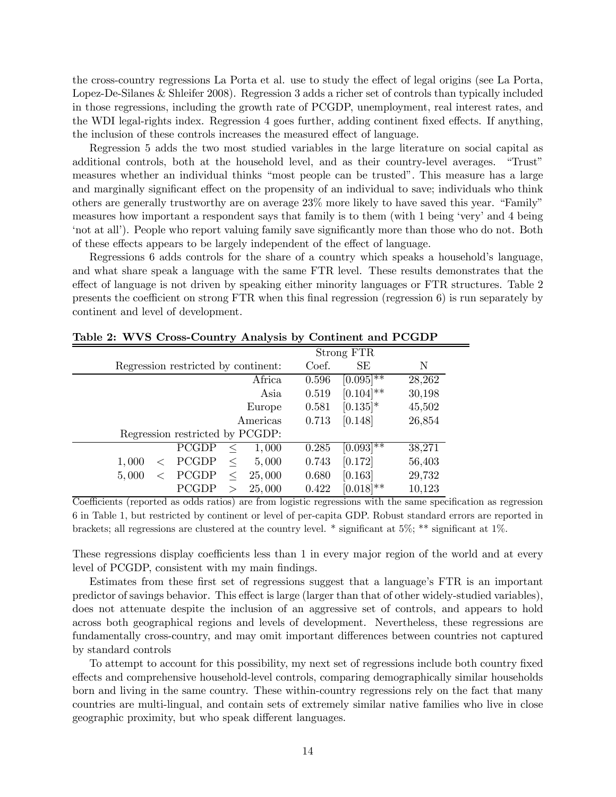the cross-country regressions La Porta et al. use to study the effect of legal origins (see La Porta, Lopez-De-Silanes & Shleifer 2008). Regression 3 adds a richer set of controls than typically included in those regressions, including the growth rate of PCGDP, unemployment, real interest rates, and the WDI legal-rights index. Regression 4 goes further, adding continent fixed effects. If anything, the inclusion of these controls increases the measured effect of language.

Regression 5 adds the two most studied variables in the large literature on social capital as additional controls, both at the household level, and as their country-level averages. "Trust" measures whether an individual thinks "most people can be trusted". This measure has a large and marginally significant effect on the propensity of an individual to save; individuals who think others are generally trustworthy are on average 23% more likely to have saved this year. "Family" measures how important a respondent says that family is to them (with 1 being 'very' and 4 being 'not at all'). People who report valuing family save significantly more than those who do not. Both of these effects appears to be largely independent of the effect of language.

Regressions 6 adds controls for the share of a country which speaks a household's language, and what share speak a language with the same FTR level. These results demonstrates that the effect of language is not driven by speaking either minority languages or FTR structures. Table 2 presents the coefficient on strong FTR when this final regression (regression 6) is run separately by continent and level of development.

|                                     |       | Strong FTR   |        |
|-------------------------------------|-------|--------------|--------|
| Regression restricted by continent: | Coef. | SE           | N      |
| Africa                              | 0.596 | $[0.095]$ ** | 28,262 |
| Asia                                | 0.519 | $[0.104]$ ** | 30,198 |
| Europe                              | 0.581 | $[0.135]$ *  | 45,502 |
| Americas                            | 0.713 | [0.148]      | 26,854 |
| Regression restricted by PCGDP:     |       |              |        |
| PCGDP<br>1,000<br>$\,<\,$           | 0.285 | $[0.093]$ ** | 38,271 |
| PCGDP<br>5,000<br>1,000<br>$\,<\,$  | 0.743 | [0.172]      | 56,403 |
| PCGDP<br>25,000<br>5,000<br>$\,<\,$ | 0.680 | [0.163]      | 29,732 |
| PCGDP<br>25,000<br>$\rm{>}$         | 0.422 | $[0.018]$ ** | 10,123 |

Table 2: WVS Cross-Country Analysis by Continent and PCGDP

Coefficients (reported as odds ratios) are from logistic regressions with the same specification as regression 6 in Table 1, but restricted by continent or level of per-capita GDP. Robust standard errors are reported in brackets; all regressions are clustered at the country level. \* significant at 5%; \*\* significant at 1%.

These regressions display coefficients less than 1 in every major region of the world and at every level of PCGDP, consistent with my main findings.

Estimates from these first set of regressions suggest that a language's FTR is an important predictor of savings behavior. This effect is large (larger than that of other widely-studied variables), does not attenuate despite the inclusion of an aggressive set of controls, and appears to hold across both geographical regions and levels of development. Nevertheless, these regressions are fundamentally cross-country, and may omit important differences between countries not captured by standard controls

To attempt to account for this possibility, my next set of regressions include both country fixed effects and comprehensive household-level controls, comparing demographically similar households born and living in the same country. These within-country regressions rely on the fact that many countries are multi-lingual, and contain sets of extremely similar native families who live in close geographic proximity, but who speak different languages.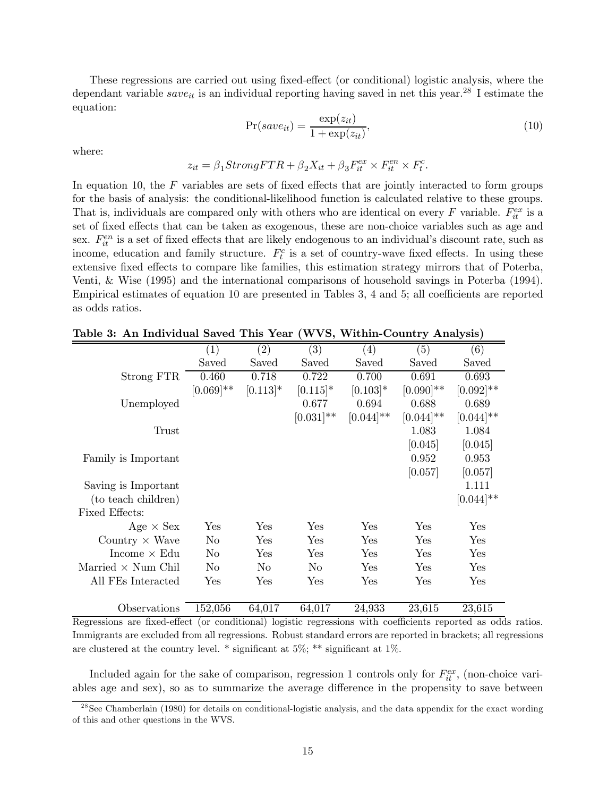These regressions are carried out using fixed-effect (or conditional) logistic analysis, where the dependant variable  $save_{it}$  is an individual reporting having saved in net this year.<sup>28</sup> I estimate the equation:

$$
Pr(save_{it}) = \frac{\exp(z_{it})}{1 + \exp(z_{it})},\tag{10}
$$

where:

$$
z_{it} = \beta_1 StrongFTR + \beta_2 X_{it} + \beta_3 F_{it}^{ex} \times F_{it}^{en} \times F_t^c.
$$

In equation 10, the  $F$  variables are sets of fixed effects that are jointly interacted to form groups for the basis of analysis: the conditional-likelihood function is calculated relative to these groups. That is, individuals are compared only with others who are identical on every  $F$  variable.  $F_{it}^{ex}$  is a set of fixed effects that can be taken as exogenous, these are non-choice variables such as age and sex.  $F_{it}^{en}$  is a set of fixed effects that are likely endogenous to an individual's discount rate, such as income, education and family structure.  $F_t^c$  is a set of country-wave fixed effects. In using these extensive fixed effects to compare like families, this estimation strategy mirrors that of Poterba, Venti, & Wise (1995) and the international comparisons of household savings in Poterba (1994). Empirical estimates of equation 10 are presented in Tables 3, 4 and 5; all coefficients are reported as odds ratios.

|                           | $\left( 1\right)$    | (2)            | (3)            | $\left( 4\right)$ | (5)          | (6)          |
|---------------------------|----------------------|----------------|----------------|-------------------|--------------|--------------|
|                           | Saved                | Saved          | Saved          | Saved             | Saved        | Saved        |
| Strong FTR                | 0.460                | 0.718          | 0.722          | 0.700             | 0.691        | 0.693        |
|                           | $[0.069]$ **         | $[0.113]*$     | $[0.115]*$     | $[0.103]*$        | $[0.090]$ ** | $[0.092]$ ** |
| Unemployed                |                      |                | 0.677          | 0.694             | 0.688        | 0.689        |
|                           |                      |                | $[0.031]$ **   | $[0.044]$ **      | $[0.044]$ ** | $[0.044]$ ** |
| Trust                     |                      |                |                |                   | 1.083        | 1.084        |
|                           |                      |                |                |                   | [0.045]      | [0.045]      |
| Family is Important       |                      |                |                |                   | 0.952        | 0.953        |
|                           |                      |                |                |                   | [0.057]      | [0.057]      |
| Saving is Important       |                      |                |                |                   |              | 1.111        |
| (to teach children)       |                      |                |                |                   |              | $[0.044]$ ** |
| Fixed Effects:            |                      |                |                |                   |              |              |
| Age $\times$ Sex          | Yes                  | Yes            | Yes            | Yes               | Yes          | Yes          |
| Country $\times$ Wave     | $\rm No$             | Yes            | Yes            | Yes               | Yes          | Yes          |
| Income $\times$ Edu       | No                   | Yes            | <b>Yes</b>     | Yes               | Yes          | Yes          |
| Married $\times$ Num Chil | No                   | N <sub>o</sub> | N <sub>o</sub> | Yes               | Yes          | Yes          |
| All FEs Interacted        | $\operatorname{Yes}$ | Yes            | Yes            | Yes               | Yes          | Yes          |
|                           |                      |                |                |                   |              |              |
| Observations              | 152,056              | 64,017         | 64,017         | 24,933            | 23,615       | 23,615       |

Table 3: An Individual Saved This Year (WVS, Within-Country Analysis)

Regressions are fixed-effect (or conditional) logistic regressions with coefficients reported as odds ratios. Immigrants are excluded from all regressions. Robust standard errors are reported in brackets; all regressions are clustered at the country level.  $*$  significant at  $5\%$ ;  $**$  significant at  $1\%$ .

Included again for the sake of comparison, regression 1 controls only for  $F_{it}^{ex}$ , (non-choice variables age and sex), so as to summarize the average difference in the propensity to save between

 $^{28}$ See Chamberlain (1980) for details on conditional-logistic analysis, and the data appendix for the exact wording of this and other questions in the WVS.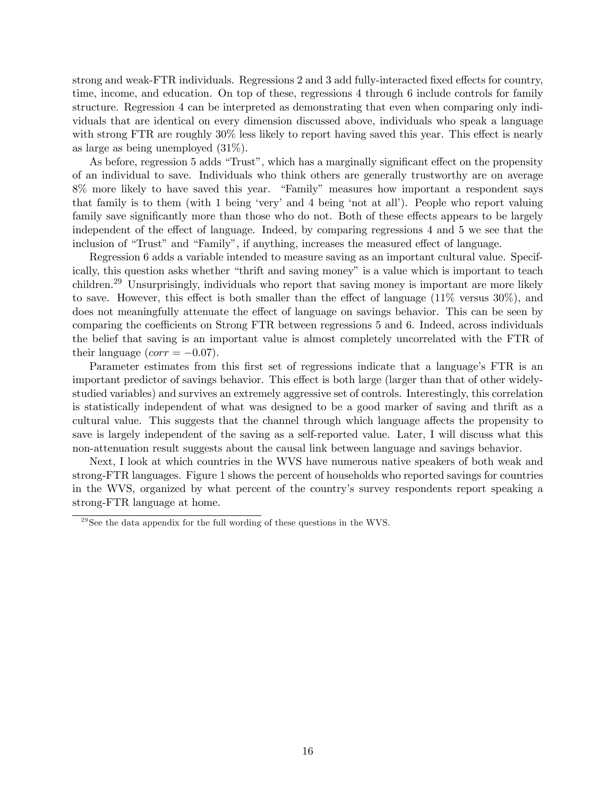strong and weak-FTR individuals. Regressions 2 and 3 add fully-interacted fixed effects for country, time, income, and education. On top of these, regressions 4 through 6 include controls for family structure. Regression 4 can be interpreted as demonstrating that even when comparing only individuals that are identical on every dimension discussed above, individuals who speak a language with strong FTR are roughly 30% less likely to report having saved this year. This effect is nearly as large as being unemployed (31%).

As before, regression 5 adds "Trust", which has a marginally significant effect on the propensity of an individual to save. Individuals who think others are generally trustworthy are on average 8% more likely to have saved this year. "Family" measures how important a respondent says that family is to them (with 1 being 'very' and 4 being 'not at all'). People who report valuing family save significantly more than those who do not. Both of these effects appears to be largely independent of the effect of language. Indeed, by comparing regressions 4 and 5 we see that the inclusion of "Trust" and "Family", if anything, increases the measured effect of language.

Regression 6 adds a variable intended to measure saving as an important cultural value. Specifically, this question asks whether "thrift and saving money" is a value which is important to teach children.29 Unsurprisingly, individuals who report that saving money is important are more likely to save. However, this effect is both smaller than the effect of language (11% versus 30%), and does not meaningfully attenuate the effect of language on savings behavior. This can be seen by comparing the coefficients on Strong FTR between regressions 5 and 6. Indeed, across individuals the belief that saving is an important value is almost completely uncorrelated with the FTR of their language  $(corr = -0.07)$ .

Parameter estimates from this first set of regressions indicate that a language's FTR is an important predictor of savings behavior. This effect is both large (larger than that of other widelystudied variables) and survives an extremely aggressive set of controls. Interestingly, this correlation is statistically independent of what was designed to be a good marker of saving and thrift as a cultural value. This suggests that the channel through which language affects the propensity to save is largely independent of the saving as a self-reported value. Later, I will discuss what this non-attenuation result suggests about the causal link between language and savings behavior.

Next, I look at which countries in the WVS have numerous native speakers of both weak and strong-FTR languages. Figure 1 shows the percent of households who reported savings for countries in the WVS, organized by what percent of the country's survey respondents report speaking a strong-FTR language at home.

 $^{29}$ See the data appendix for the full wording of these questions in the WVS.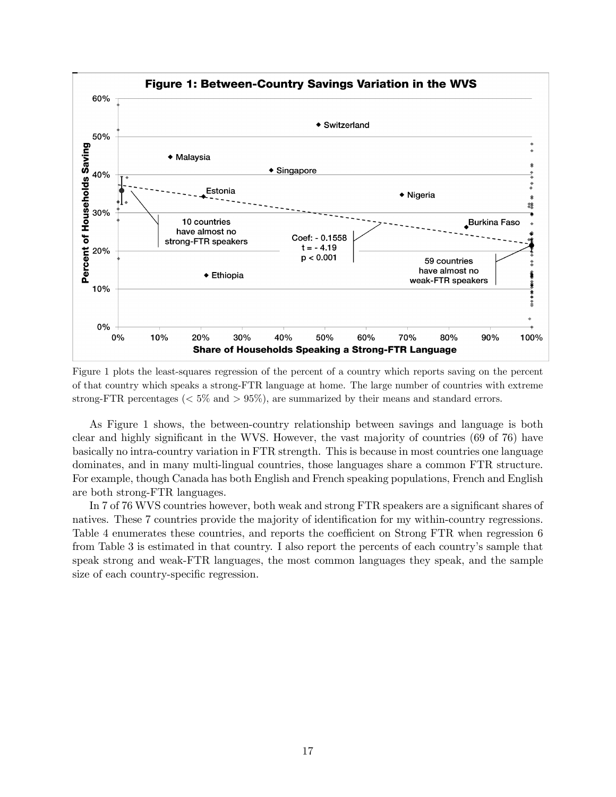

Figure 1 plots the least-squares regression of the percent of a country which reports saving on the percent of that country which speaks a strong-FTR language at home. The large number of countries with extreme strong-FTR percentages ( $\langle 5\% \text{ and } 59\% \rangle$ , are summarized by their means and standard errors.

As Figure 1 shows, the between-country relationship between savings and language is both clear and highly significant in the WVS. However, the vast majority of countries (69 of 76) have basically no intra-country variation in FTR strength. This is because in most countries one language dominates, and in many multi-lingual countries, those languages share a common FTR structure. For example, though Canada has both English and French speaking populations, French and English are both strong-FTR languages.

In 7 of 76 WVS countries however, both weak and strong FTR speakers are a significant shares of natives. These 7 countries provide the majority of identification for my within-country regressions. Table 4 enumerates these countries, and reports the coefficient on Strong FTR when regression 6 from Table 3 is estimated in that country. I also report the percents of each country's sample that speak strong and weak-FTR languages, the most common languages they speak, and the sample size of each country-specific regression.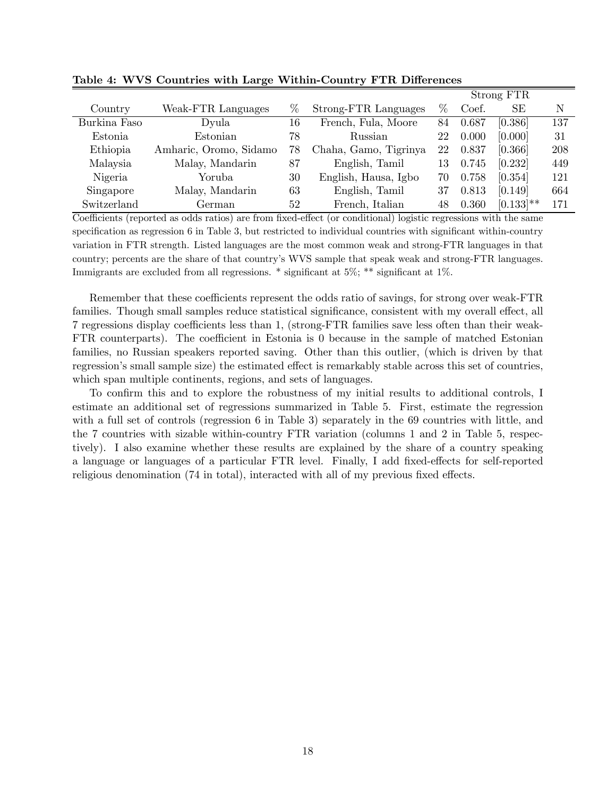|              |                        |    |                       |      |       | Strong FTR   |     |
|--------------|------------------------|----|-----------------------|------|-------|--------------|-----|
| Country      | Weak-FTR Languages     | %  | Strong-FTR Languages  | $\%$ | Coef. | SЕ           | N   |
| Burkina Faso | Dyula                  | 16 | French, Fula, Moore   | 84   | 0.687 | [0.386]      | 137 |
| Estonia      | Estonian               | 78 | Russian               | 22   | 0.000 | [0.000]      | 31  |
| Ethiopia     | Amharic, Oromo, Sidamo | 78 | Chaha, Gamo, Tigrinya | 22   | 0.837 | [0.366]      | 208 |
| Malaysia     | Malay, Mandarin        | 87 | English, Tamil        | 13   | 0.745 | [0.232]      | 449 |
| Nigeria      | Yoruba                 | 30 | English, Hausa, Igbo  | 70   | 0.758 | [0.354]      | 121 |
| Singapore    | Malay, Mandarin        | 63 | English, Tamil        | 37   | 0.813 | [0.149]      | 664 |
| Switzerland  | German                 | 52 | French, Italian       | 48   | 0.360 | $[0.133]$ ** | 171 |

Table 4: WVS Countries with Large Within-Country FTR Differences

Coefficients (reported as odds ratios) are from fixed-effect (or conditional) logistic regressions with the same specification as regression 6 in Table 3, but restricted to individual countries with significant within-country variation in FTR strength. Listed languages are the most common weak and strong-FTR languages in that country; percents are the share of that country's WVS sample that speak weak and strong-FTR languages. Immigrants are excluded from all regressions. \* significant at 5%; \*\* significant at 1%.

Remember that these coefficients represent the odds ratio of savings, for strong over weak-FTR families. Though small samples reduce statistical significance, consistent with my overall effect, all 7 regressions display coefficients less than 1, (strong-FTR families save less often than their weak-FTR counterparts). The coefficient in Estonia is 0 because in the sample of matched Estonian families, no Russian speakers reported saving. Other than this outlier, (which is driven by that regression's small sample size) the estimated effect is remarkably stable across this set of countries, which span multiple continents, regions, and sets of languages.

To confirm this and to explore the robustness of my initial results to additional controls, I estimate an additional set of regressions summarized in Table 5. First, estimate the regression with a full set of controls (regression 6 in Table 3) separately in the 69 countries with little, and the 7 countries with sizable within-country FTR variation (columns 1 and 2 in Table 5, respectively). I also examine whether these results are explained by the share of a country speaking a language or languages of a particular FTR level. Finally, I add fixed-effects for self-reported religious denomination (74 in total), interacted with all of my previous fixed effects.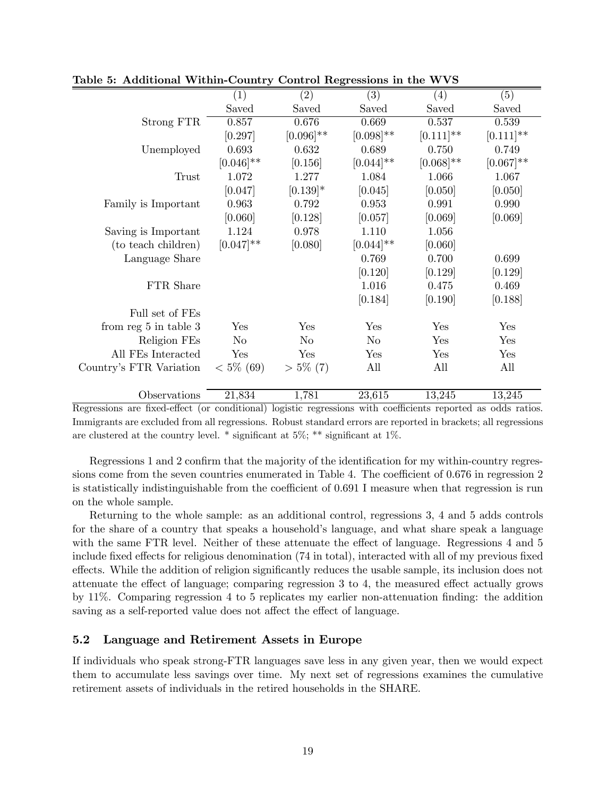|                           | (1)            | (2)          | $\overline{(3)}$ | (4)          | (5)          |
|---------------------------|----------------|--------------|------------------|--------------|--------------|
|                           | Saved          | Saved        | Saved            | Saved        | Saved        |
| Strong FTR                | 0.857          | 0.676        | 0.669            | 0.537        | 0.539        |
|                           | [0.297]        | $[0.096]$ ** | $[0.098]$ **     | $[0.111]$ ** | $[0.111]$ ** |
| Unemployed                | 0.693          | 0.632        | 0.689            | 0.750        | 0.749        |
|                           | $[0.046]$ **   | [0.156]      | $[0.044]$ **     | $[0.068]$ ** | $[0.067]$ ** |
| <b>Trust</b>              | 1.072          | 1.277        | 1.084            | 1.066        | 1.067        |
|                           | [0.047]        | $[0.139]*$   | [0.045]          | [0.050]      | [0.050]      |
| Family is Important       | 0.963          | 0.792        | 0.953            | 0.991        | 0.990        |
|                           | [0.060]        | [0.128]      | [0.057]          | [0.069]      | [0.069]      |
| Saving is Important       | 1.124          | 0.978        | 1.110            | 1.056        |              |
| (to teach children)       | $[0.047]$ **   | [0.080]      | $[0.044]$ **     | [0.060]      |              |
| Language Share            |                |              | 0.769            | 0.700        | 0.699        |
|                           |                |              | [0.120]          | [0.129]      | [0.129]      |
| FTR Share                 |                |              | 1.016            | 0.475        | 0.469        |
|                           |                |              | [0.184]          | [0.190]      | [0.188]      |
| Full set of FEs           |                |              |                  |              |              |
| from reg $5$ in table $3$ | Yes            | Yes          | Yes              | Yes          | Yes          |
| Religion FEs              | N <sub>o</sub> | $\rm No$     | $\rm No$         | Yes          | Yes          |
| All FEs Interacted        | Yes            | Yes          | Yes              | Yes          | Yes          |
| Country's FTR Variation   | $< 5\%$ (69)   | $> 5\%$ (7)  | All              | All          | All          |
|                           |                |              |                  |              |              |
| Observations              | 21,834         | 1,781        | 23,615           | 13,245       | 13,245       |

Table 5: Additional Within-Country Control Regressions in the WVS

Regressions are fixed-effect (or conditional) logistic regressions with coefficients reported as odds ratios. Immigrants are excluded from all regressions. Robust standard errors are reported in brackets; all regressions are clustered at the country level.  $*$  significant at 5%;  $**$  significant at 1%.

Regressions 1 and 2 confirm that the majority of the identification for my within-country regressions come from the seven countries enumerated in Table 4. The coefficient of 0676 in regression 2 is statistically indistinguishable from the coefficient of 0691 I measure when that regression is run on the whole sample.

Returning to the whole sample: as an additional control, regressions 3, 4 and 5 adds controls for the share of a country that speaks a household's language, and what share speak a language with the same FTR level. Neither of these attenuate the effect of language. Regressions 4 and 5 include fixed effects for religious denomination (74 in total), interacted with all of my previous fixed effects. While the addition of religion significantly reduces the usable sample, its inclusion does not attenuate the effect of language; comparing regression 3 to 4, the measured effect actually grows by 11%. Comparing regression 4 to 5 replicates my earlier non-attenuation finding: the addition saving as a self-reported value does not affect the effect of language.

### 5.2 Language and Retirement Assets in Europe

If individuals who speak strong-FTR languages save less in any given year, then we would expect them to accumulate less savings over time. My next set of regressions examines the cumulative retirement assets of individuals in the retired households in the SHARE.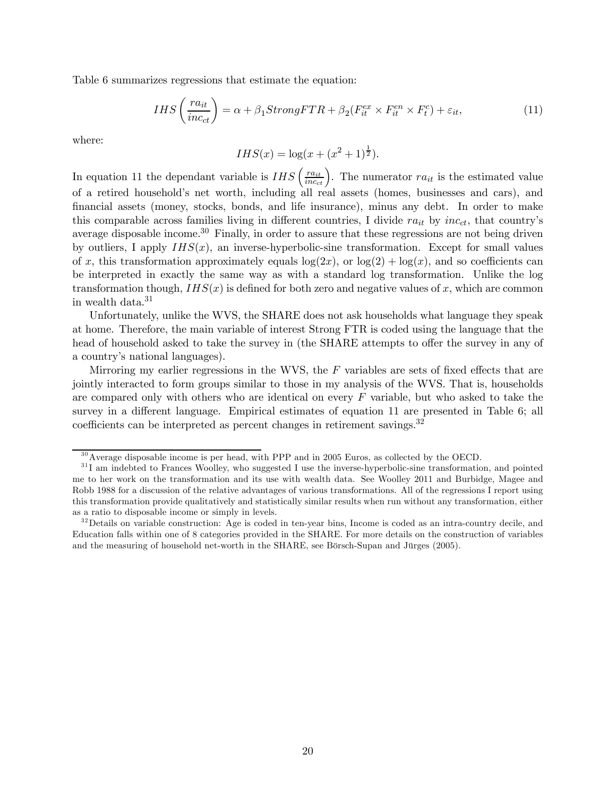Table 6 summarizes regressions that estimate the equation:

$$
IHS\left(\frac{ra_{it}}{inc_{ct}}\right) = \alpha + \beta_1 StrongFTR + \beta_2(F_{it}^{ex} \times F_{it}^{en} \times F_t^c) + \varepsilon_{it},\tag{11}
$$

where:

$$
IHS(x) = \log(x + (x^2 + 1)^{\frac{1}{2}}).
$$

In equation 11 the dependant variable is  $IHS\left(\frac{r_{a_{it}}}{r_{a_{c_{it}}}}\right)$ . The numerator  $ra_{it}$  is the estimated value of a retired household's net worth, including all real assets (homes, businesses and cars), and financial assets (money, stocks, bonds, and life insurance), minus any debt. In order to make this comparable across families living in different countries, I divide  $ra_{it}$  by  $inc_{ct}$ , that country's average disposable income.<sup>30</sup> Finally, in order to assure that these regressions are not being driven by outliers, I apply  $IHS(x)$ , an inverse-hyperbolic-sine transformation. Except for small values of x, this transformation approximately equals  $log(2x)$ , or  $log(2) + log(x)$ , and so coefficients can be interpreted in exactly the same way as with a standard log transformation. Unlike the log transformation though,  $IHS(x)$  is defined for both zero and negative values of x, which are common in wealth data.<sup>31</sup>

Unfortunately, unlike the WVS, the SHARE does not ask households what language they speak at home. Therefore, the main variable of interest Strong FTR is coded using the language that the head of household asked to take the survey in (the SHARE attempts to offer the survey in any of a country's national languages).

Mirroring my earlier regressions in the WVS, the  $F$  variables are sets of fixed effects that are jointly interacted to form groups similar to those in my analysis of the WVS. That is, households are compared only with others who are identical on every  $F$  variable, but who asked to take the survey in a different language. Empirical estimates of equation 11 are presented in Table 6; all coefficients can be interpreted as percent changes in retirement savings.<sup>32</sup>

 $30$  Average disposable income is per head, with PPP and in 2005 Euros, as collected by the OECD.

 $31$  I am indebted to Frances Woolley, who suggested I use the inverse-hyperbolic-sine transformation, and pointed me to her work on the transformation and its use with wealth data. See Woolley 2011 and Burbidge, Magee and Robb 1988 for a discussion of the relative advantages of various transformations. All of the regressions I report using this transformation provide qualitatively and statistically similar results when run without any transformation, either as a ratio to disposable income or simply in levels.

 $32$  Details on variable construction: Age is coded in ten-year bins, Income is coded as an intra-country decile, and Education falls within one of 8 categories provided in the SHARE. For more details on the construction of variables and the measuring of household net-worth in the SHARE, see Börsch-Supan and Jürges (2005).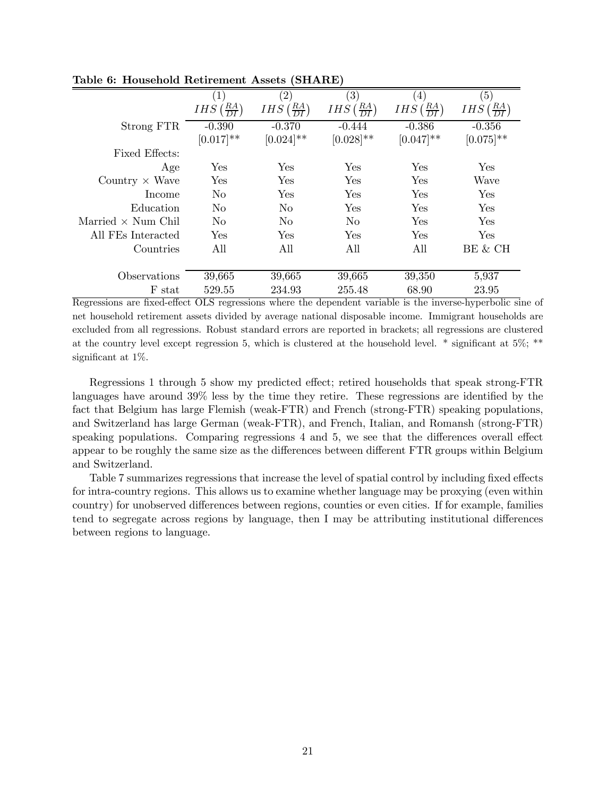|                           | $\left( 1\right)$               | $\left( 2\right)$                       | $\left( 3\right)$               | $\left(4\right)$                | (5)                             |
|---------------------------|---------------------------------|-----------------------------------------|---------------------------------|---------------------------------|---------------------------------|
|                           | $IHS\left(\frac{RA}{DI}\right)$ | <i>IHS</i> $\left(\frac{RA}{DI}\right)$ | $IHS\left(\frac{RA}{DI}\right)$ | $IHS\left(\frac{RA}{DI}\right)$ | $IHS\left(\frac{RA}{DI}\right)$ |
| Strong FTR                | $-0.390$                        | $-0.370$                                | $-0.444$                        | $-0.386$                        | $-0.356$                        |
|                           | $[0.017]$ **                    | $[0.024]$ **                            | $[0.028]$ **                    | $[0.047]$ **                    | $[0.075]^{**}$                  |
| Fixed Effects:            |                                 |                                         |                                 |                                 |                                 |
| Age                       | Yes                             | Yes                                     | <b>Yes</b>                      | Yes                             | Yes                             |
| Country $\times$ Wave     | Yes                             | Yes                                     | Yes                             | Yes                             | Wave                            |
| Income                    | N <sub>o</sub>                  | Yes                                     | Yes                             | Yes                             | Yes                             |
| Education                 | N <sub>0</sub>                  | No.                                     | <b>Yes</b>                      | Yes                             | Yes                             |
| Married $\times$ Num Chil | No.                             | N <sub>o</sub>                          | No.                             | Yes                             | Yes                             |
| All FEs Interacted        | Yes                             | Yes                                     | <b>Yes</b>                      | Yes                             | Yes                             |
| Countries                 | All                             | All                                     | All                             | All                             | BE & CH                         |
|                           |                                 |                                         |                                 |                                 |                                 |
| Observations              | 39,665                          | 39,665                                  | 39,665                          | 39,350                          | 5,937                           |
| F stat                    | 529.55                          | 234.93                                  | 255.48                          | 68.90                           | 23.95                           |

Table 6: Household Retirement Assets (SHARE)

Regressions are fixed-effect OLS regressions where the dependent variable is the inverse-hyperbolic sine of net household retirement assets divided by average national disposable income. Immigrant households are excluded from all regressions. Robust standard errors are reported in brackets; all regressions are clustered at the country level except regression 5, which is clustered at the household level. \* significant at 5%; \*\* significant at 1%.

Regressions 1 through 5 show my predicted effect; retired households that speak strong-FTR languages have around 39% less by the time they retire. These regressions are identified by the fact that Belgium has large Flemish (weak-FTR) and French (strong-FTR) speaking populations, and Switzerland has large German (weak-FTR), and French, Italian, and Romansh (strong-FTR) speaking populations. Comparing regressions 4 and 5, we see that the differences overall effect appear to be roughly the same size as the differences between different FTR groups within Belgium and Switzerland.

Table 7 summarizes regressions that increase the level of spatial control by including fixed effects for intra-country regions. This allows us to examine whether language may be proxying (even within country) for unobserved differences between regions, counties or even cities. If for example, families tend to segregate across regions by language, then I may be attributing institutional differences between regions to language.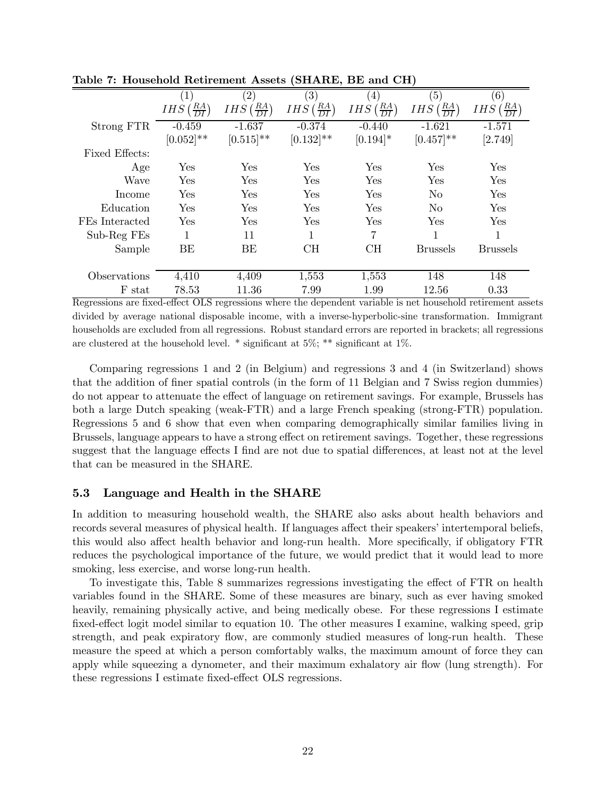|                | $\left(1\right)$              | $\left( 2\right)$                       | $\left( 3\right)$               | (4)                             | (5)                                     | (6)                                     |
|----------------|-------------------------------|-----------------------------------------|---------------------------------|---------------------------------|-----------------------------------------|-----------------------------------------|
|                | $\frac{RA}{DI}$<br><b>IHS</b> | <i>IHS</i> $\left(\frac{RA}{DI}\right)$ | $IHS\left(\frac{RA}{DI}\right)$ | $IHS\left(\frac{RA}{DI}\right)$ | <i>IHS</i> $\left(\frac{RA}{DI}\right)$ | <i>IHS</i> $\left(\frac{RA}{DI}\right)$ |
| Strong FTR     | $-0.459$                      | $-1.637$                                | $-0.374$                        | $-0.440$                        | $-1.621$                                | $-1.571$                                |
|                | $[0.052]$ **                  | $[0.515]^{**}$                          | $[0.132]^{**}$                  | $[0.194]$ *                     | $[0.457]$ **                            | [2.749]                                 |
| Fixed Effects: |                               |                                         |                                 |                                 |                                         |                                         |
| Age            | Yes                           | Yes                                     | Yes                             | Yes                             | Yes                                     | Yes                                     |
| Wave           | Yes                           | Yes                                     | Yes                             | Yes                             | Yes                                     | Yes                                     |
| Income         | Yes                           | Yes                                     | Yes                             | Yes                             | N <sub>0</sub>                          | Yes                                     |
| Education      | Yes                           | Yes                                     | Yes                             | Yes                             | N <sub>0</sub>                          | Yes                                     |
| FEs Interacted | Yes                           | Yes                                     | Yes                             | Yes                             | Yes                                     | Yes                                     |
| Sub-Reg FEs    |                               | 11                                      |                                 | 7                               | 1                                       | 1                                       |
| Sample         | BE                            | BE                                      | CН                              | CH                              | <b>Brussels</b>                         | Brussels                                |
|                |                               |                                         |                                 |                                 |                                         |                                         |
| Observations   | 4,410                         | 4,409                                   | 1,553                           | 1,553                           | 148                                     | 148                                     |
| F stat         | 78.53                         | 11.36                                   | 7.99                            | 1.99                            | 12.56                                   | 0.33                                    |

Table 7: Household Retirement Assets (SHARE, BE and CH)

Regressions are fixed-effect OLS regressions where the dependent variable is net household retirement assets divided by average national disposable income, with a inverse-hyperbolic-sine transformation. Immigrant households are excluded from all regressions. Robust standard errors are reported in brackets; all regressions are clustered at the household level.  $*$  significant at  $5\%$ ;  $**$  significant at  $1\%$ .

Comparing regressions 1 and 2 (in Belgium) and regressions 3 and 4 (in Switzerland) shows that the addition of finer spatial controls (in the form of 11 Belgian and 7 Swiss region dummies) do not appear to attenuate the effect of language on retirement savings. For example, Brussels has both a large Dutch speaking (weak-FTR) and a large French speaking (strong-FTR) population. Regressions 5 and 6 show that even when comparing demographically similar families living in Brussels, language appears to have a strong effect on retirement savings. Together, these regressions suggest that the language effects I find are not due to spatial differences, at least not at the level that can be measured in the SHARE.

### 5.3 Language and Health in the SHARE

In addition to measuring household wealth, the SHARE also asks about health behaviors and records several measures of physical health. If languages affect their speakers' intertemporal beliefs, this would also affect health behavior and long-run health. More specifically, if obligatory FTR reduces the psychological importance of the future, we would predict that it would lead to more smoking, less exercise, and worse long-run health.

To investigate this, Table 8 summarizes regressions investigating the effect of FTR on health variables found in the SHARE. Some of these measures are binary, such as ever having smoked heavily, remaining physically active, and being medically obese. For these regressions I estimate fixed-effect logit model similar to equation 10. The other measures I examine, walking speed, grip strength, and peak expiratory flow, are commonly studied measures of long-run health. These measure the speed at which a person comfortably walks, the maximum amount of force they can apply while squeezing a dynometer, and their maximum exhalatory air flow (lung strength). For these regressions I estimate fixed-effect OLS regressions.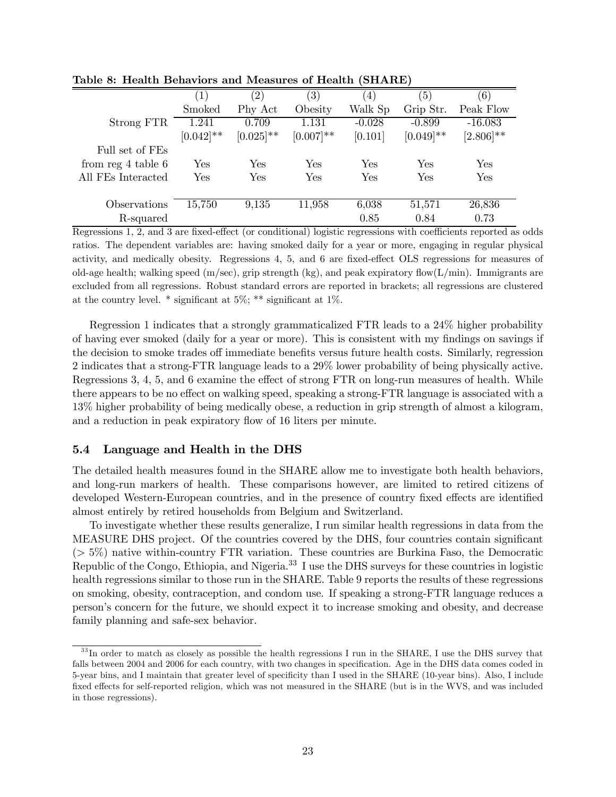|                       | $\left(1\right)$ | $\left( 2\right)$ | $\left( 3\right)$ | $\left(4\right)$ | (5)          | (6)          |
|-----------------------|------------------|-------------------|-------------------|------------------|--------------|--------------|
|                       | Smoked           | Phy Act           | Obesity           | Walk Sp          | Grip Str.    | Peak Flow    |
| Strong FTR            | 1.241            | 0.709             | 1.131             | $-0.028$         | $-0.899$     | $-16.083$    |
|                       | $[0.042]$ **     | $[0.025]$ **      | $[0.007]$ **      | [0.101]          | $[0.049]$ ** | $[2.806]$ ** |
| Full set of FEs       |                  |                   |                   |                  |              |              |
| from $reg\ 4$ table 6 | Yes              | Yes               | Yes               | Yes              | Yes          | Yes          |
| All FEs Interacted    | Yes              | Yes               | Yes               | Yes              | Yes          | Yes          |
|                       |                  |                   |                   |                  |              |              |
| Observations          | 15,750           | 9,135             | 11,958            | 6,038            | 51,571       | 26,836       |
| R-squared             |                  |                   |                   | 0.85             | 0.84         | 0.73         |

Table 8: Health Behaviors and Measures of Health (SHARE)

Regressions 1, 2, and 3 are fixed-effect (or conditional) logistic regressions with coefficients reported as odds ratios. The dependent variables are: having smoked daily for a year or more, engaging in regular physical activity, and medically obesity. Regressions 4, 5, and 6 are fixed-effect OLS regressions for measures of old-age health; walking speed  $(m/sec)$ , grip strength (kg), and peak expiratory flow $(L/min)$ . Immigrants are excluded from all regressions. Robust standard errors are reported in brackets; all regressions are clustered at the country level.  $*$  significant at 5%;  $**$  significant at 1%.

Regression 1 indicates that a strongly grammaticalized FTR leads to a 24% higher probability of having ever smoked (daily for a year or more). This is consistent with my findings on savings if the decision to smoke trades off immediate benefits versus future health costs. Similarly, regression 2 indicates that a strong-FTR language leads to a 29% lower probability of being physically active. Regressions 3, 4, 5, and 6 examine the effect of strong FTR on long-run measures of health. While there appears to be no effect on walking speed, speaking a strong-FTR language is associated with a 13% higher probability of being medically obese, a reduction in grip strength of almost a kilogram, and a reduction in peak expiratory flow of 16 liters per minute.

### 5.4 Language and Health in the DHS

The detailed health measures found in the SHARE allow me to investigate both health behaviors, and long-run markers of health. These comparisons however, are limited to retired citizens of developed Western-European countries, and in the presence of country fixed effects are identified almost entirely by retired households from Belgium and Switzerland.

To investigate whether these results generalize, I run similar health regressions in data from the MEASURE DHS project. Of the countries covered by the DHS, four countries contain significant  $($   $>$  5%) native within-country FTR variation. These countries are Burkina Faso, the Democratic Republic of the Congo, Ethiopia, and Nigeria.33 I use the DHS surveys for these countries in logistic health regressions similar to those run in the SHARE. Table 9 reports the results of these regressions on smoking, obesity, contraception, and condom use. If speaking a strong-FTR language reduces a person's concern for the future, we should expect it to increase smoking and obesity, and decrease family planning and safe-sex behavior.

<sup>&</sup>lt;sup>33</sup>In order to match as closely as possible the health regressions I run in the SHARE, I use the DHS survey that falls between 2004 and 2006 for each country, with two changes in specification. Age in the DHS data comes coded in 5-year bins, and I maintain that greater level of specificity than I used in the SHARE (10-year bins). Also, I include fixed effects for self-reported religion, which was not measured in the SHARE (but is in the WVS, and was included in those regressions).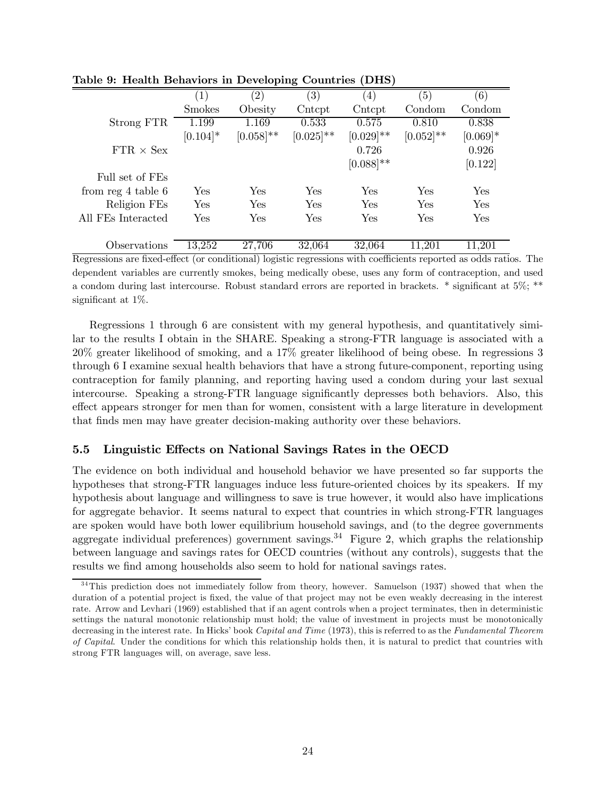|                                | $\left( 1\right)$ | $\left( 2\right)$ | $\left( 3\right)$ | (4)            | $\left(5\right)$ | (6)        |
|--------------------------------|-------------------|-------------------|-------------------|----------------|------------------|------------|
|                                | <b>Smokes</b>     | Obesity           | Cntcpt            | Cntcpt         | Condom           | Condom     |
| Strong FTR                     | 1.199             | 1.169             | 0.533             | 0.575          | 0.810            | 0.838      |
|                                | $[0.104]*$        | $[0.058]$ **      | $[0.025]$ **      | $[0.029]$ **   | $[0.052]$ **     | $[0.069]*$ |
| $\text{FTR} \times \text{Sex}$ |                   |                   |                   | 0.726          |                  | 0.926      |
|                                |                   |                   |                   | $[0.088]^{**}$ |                  | [0.122]    |
| Full set of FEs                |                   |                   |                   |                |                  |            |
| from reg $4$ table $6$         | Yes               | Yes               | Yes               | Yes            | Yes              | Yes        |
| Religion FEs                   | Yes               | Yes               | Yes               | Yes            | Yes              | Yes        |
| All FEs Interacted             | Yes               | Yes               | Yes               | Yes            | Yes              | Yes        |
| Observations                   | 13,252            | 27,706            | 32,064            | 32,064         | 11,201           | 11.201     |

Table 9: Health Behaviors in Developing Countries (DHS)

Regressions are fixed-effect (or conditional) logistic regressions with coefficients reported as odds ratios. The dependent variables are currently smokes, being medically obese, uses any form of contraception, and used a condom during last intercourse. Robust standard errors are reported in brackets. \* significant at 5%; \*\* significant at 1%.

Regressions 1 through 6 are consistent with my general hypothesis, and quantitatively similar to the results I obtain in the SHARE. Speaking a strong-FTR language is associated with a 20% greater likelihood of smoking, and a 17% greater likelihood of being obese. In regressions 3 through 6 I examine sexual health behaviors that have a strong future-component, reporting using contraception for family planning, and reporting having used a condom during your last sexual intercourse. Speaking a strong-FTR language significantly depresses both behaviors. Also, this effect appears stronger for men than for women, consistent with a large literature in development that finds men may have greater decision-making authority over these behaviors.

## 5.5 Linguistic Effects on National Savings Rates in the OECD

The evidence on both individual and household behavior we have presented so far supports the hypotheses that strong-FTR languages induce less future-oriented choices by its speakers. If my hypothesis about language and willingness to save is true however, it would also have implications for aggregate behavior. It seems natural to expect that countries in which strong-FTR languages are spoken would have both lower equilibrium household savings, and (to the degree governments aggregate individual preferences) government savings.<sup>34</sup> Figure 2, which graphs the relationship between language and savings rates for OECD countries (without any controls), suggests that the results we find among households also seem to hold for national savings rates.

 $34$ This prediction does not immediately follow from theory, however. Samuelson (1937) showed that when the duration of a potential project is fixed, the value of that project may not be even weakly decreasing in the interest rate. Arrow and Levhari (1969) established that if an agent controls when a project terminates, then in deterministic settings the natural monotonic relationship must hold; the value of investment in projects must be monotonically decreasing in the interest rate. In Hicks' book Capital and Time (1973), this is referred to as the Fundamental Theorem of Capital. Under the conditions for which this relationship holds then, it is natural to predict that countries with strong FTR languages will, on average, save less.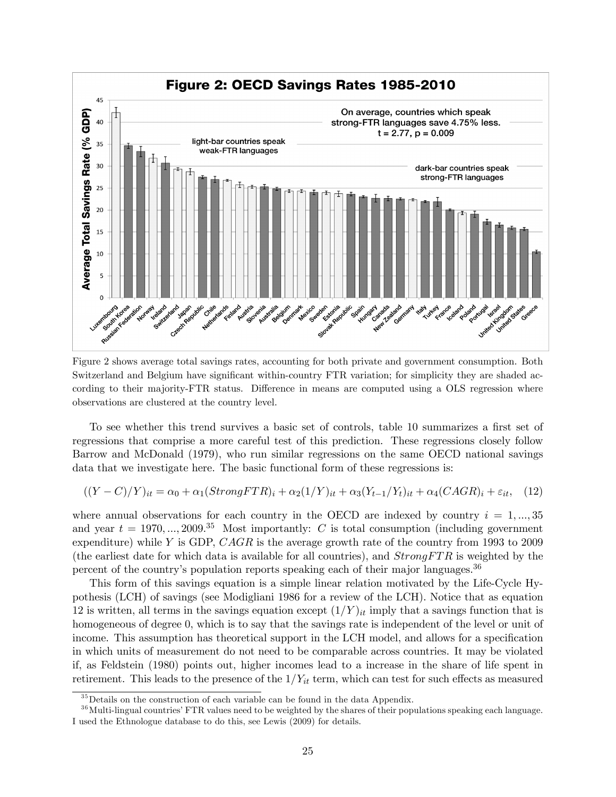

Figure 2 shows average total savings rates, accounting for both private and government consumption. Both Switzerland and Belgium have significant within-country FTR variation; for simplicity they are shaded according to their majority-FTR status. Difference in means are computed using a OLS regression where observations are clustered at the country level.

To see whether this trend survives a basic set of controls, table 10 summarizes a first set of regressions that comprise a more careful test of this prediction. These regressions closely follow Barrow and McDonald (1979), who run similar regressions on the same OECD national savings data that we investigate here. The basic functional form of these regressions is:

$$
((Y-C)/Y)_{it} = \alpha_0 + \alpha_1 (StrongFTR)_i + \alpha_2 (1/Y)_{it} + \alpha_3 (Y_{t-1}/Y_t)_{it} + \alpha_4 (CAGR)_i + \varepsilon_{it}, \quad (12)
$$

where annual observations for each country in the OECD are indexed by country  $i = 1, ..., 35$ and year  $t = 1970, ..., 2009$ <sup>35</sup> Most importantly: C is total consumption (including government expenditure) while  $Y$  is GDP,  $CAGR$  is the average growth rate of the country from 1993 to 2009 (the earliest date for which data is available for all countries), and  $StrongFTR$  is weighted by the percent of the country's population reports speaking each of their major languages.<sup>36</sup>

This form of this savings equation is a simple linear relation motivated by the Life-Cycle Hypothesis (LCH) of savings (see Modigliani 1986 for a review of the LCH). Notice that as equation 12 is written, all terms in the savings equation except  $(1/Y)_{it}$  imply that a savings function that is homogeneous of degree 0, which is to say that the savings rate is independent of the level or unit of income. This assumption has theoretical support in the LCH model, and allows for a specification in which units of measurement do not need to be comparable across countries. It may be violated if, as Feldstein (1980) points out, higher incomes lead to a increase in the share of life spent in retirement. This leads to the presence of the  $1/Y_{it}$  term, which can test for such effects as measured

 $35$  Details on the construction of each variable can be found in the data Appendix.

 $36$  Multi-lingual countries' FTR values need to be weighted by the shares of their populations speaking each language. I used the Ethnologue database to do this, see Lewis (2009) for details.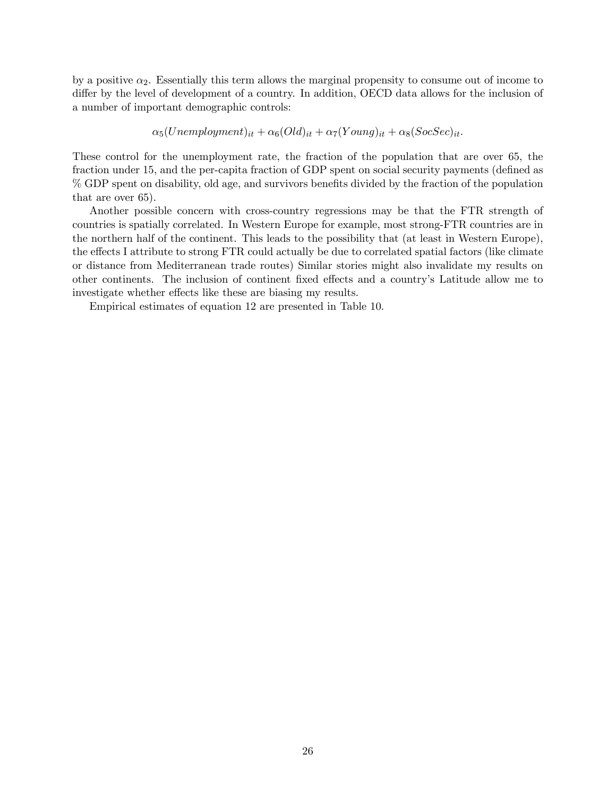by a positive  $\alpha_2$ . Essentially this term allows the marginal propensity to consume out of income to differ by the level of development of a country. In addition, OECD data allows for the inclusion of a number of important demographic controls:

 $\alpha_5(Unemplogment)_{it} + \alpha_6(Old)_{it} + \alpha_7(Young)_{it} + \alpha_8(SocSec)_{it}.$ 

These control for the unemployment rate, the fraction of the population that are over 65, the fraction under 15, and the per-capita fraction of GDP spent on social security payments (defined as % GDP spent on disability, old age, and survivors benefits divided by the fraction of the population that are over 65).

Another possible concern with cross-country regressions may be that the FTR strength of countries is spatially correlated. In Western Europe for example, most strong-FTR countries are in the northern half of the continent. This leads to the possibility that (at least in Western Europe), the effects I attribute to strong FTR could actually be due to correlated spatial factors (like climate or distance from Mediterranean trade routes) Similar stories might also invalidate my results on other continents. The inclusion of continent fixed effects and a country's Latitude allow me to investigate whether effects like these are biasing my results.

Empirical estimates of equation 12 are presented in Table 10.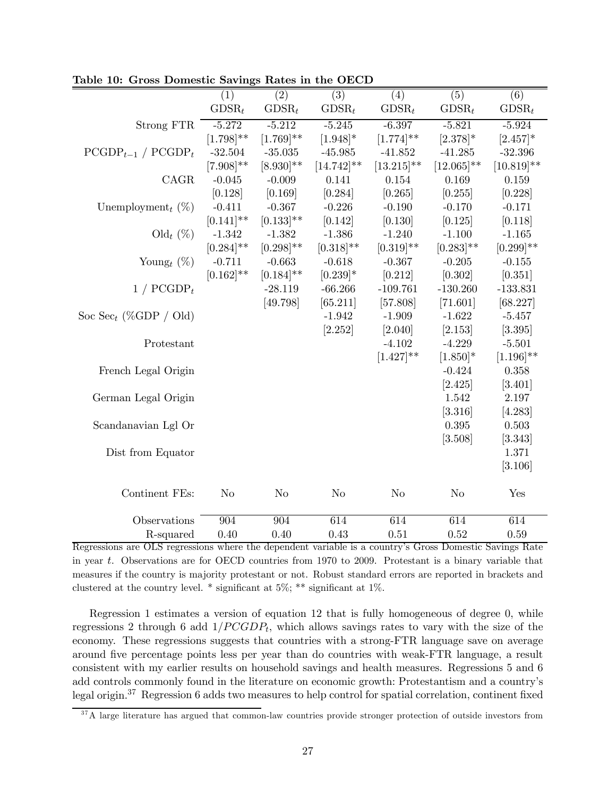|                                   | (1)            | $\overline{(2)}$ | $\overline{(3)}$ | $\overline{(4)}$ | $\overline{(5)}$ | (6)            |
|-----------------------------------|----------------|------------------|------------------|------------------|------------------|----------------|
|                                   | $GDSR_t$       | $GDSR_t$         | $GDSR_t$         | $GDSR_t$         | $GDSR_t$         | $GDSR_t$       |
| <b>Strong FTR</b>                 | $-5.272$       | $-5.212$         | $-5.245$         | $-6.397$         | $-5.821$         | $-5.924$       |
|                                   | $[1.798]^{**}$ | $[1.769]^{**}$   | $[1.948]$ *      | $[1.774]^{**}$   | $[2.378]$ *      | $[2.457]$ *    |
| $PCGDP_{t-1}$ / $PCGDP_t$         | $-32.504$      | $-35.035$        | $-45.985$        | $-41.852$        | $-41.285$        | $-32.396$      |
|                                   | $[7.908]^{**}$ | $[8.930]^{**}$   | $[14.742]$ **    | $[13.215]^{**}$  | $[12.065]$ **    | $[10.819]$ **  |
| CAGR                              | $-0.045$       | $-0.009$         | 0.141            | 0.154            | 0.169            | 0.159          |
|                                   | [0.128]        | [0.169]          | [0.284]          | [0.265]          | [0.255]          | [0.228]        |
| Unemployment <sub>t</sub> $(\%)$  | $-0.411$       | $-0.367$         | $-0.226$         | $-0.190$         | $-0.170$         | $-0.171$       |
|                                   | $[0.141]$ **   | $[0.133]$ **     | [0.142]          | [0.130]          | [0.125]          | [0.118]        |
| Old $_t$ (%)                      | $-1.342$       | $-1.382$         | $-1.386$         | $-1.240$         | $-1.100$         | $-1.165$       |
|                                   | $[0.284]^{**}$ | $[0.298]^{**}$   | $[0.318]^{**}$   | $[0.319]$ **     | $[0.283]$ **     | $[0.299]$ **   |
| Young <sub>t</sub> $(\%)$         | $-0.711$       | $-0.663$         | $-0.618$         | $-0.367$         | $-0.205$         | $-0.155$       |
|                                   | $[0.162]^{**}$ | $[0.184]^{**}$   | $[0.239]*$       | [0.212]          | [0.302]          | [0.351]        |
| $1 / PCGDP_t$                     |                | $-28.119$        | $-66.266$        | $-109.761$       | $-130.260$       | $-133.831$     |
|                                   |                | [49.798]         | [65.211]         | [57.808]         | [71.601]         | [68.227]       |
| Soc Sec <sub>t</sub> (%GDP / Old) |                |                  | $-1.942$         | $-1.909$         | $-1.622$         | $-5.457$       |
|                                   |                |                  | [2.252]          | [2.040]          | [2.153]          | [3.395]        |
| Protestant                        |                |                  |                  | $-4.102$         | $-4.229$         | $-5.501$       |
|                                   |                |                  |                  | $[1.427]^{**}$   | $[1.850]$ *      | $[1.196]^{**}$ |
| French Legal Origin               |                |                  |                  |                  | $-0.424$         | 0.358          |
|                                   |                |                  |                  |                  | [2.425]          | [3.401]        |
| German Legal Origin               |                |                  |                  |                  | 1.542            | 2.197          |
|                                   |                |                  |                  |                  | [3.316]          | [4.283]        |
| Scandanavian Lgl Or               |                |                  |                  |                  | 0.395            | 0.503          |
|                                   |                |                  |                  |                  | [3.508]          | [3.343]        |
| Dist from Equator                 |                |                  |                  |                  |                  | 1.371          |
|                                   |                |                  |                  |                  |                  | [3.106]        |
| Continent FEs:                    | $\rm No$       | $\rm No$         | $\rm No$         | $\rm No$         | $\rm No$         | Yes            |
| Observations                      | 904            | 904              | 614              | 614              | 614              | 614            |
| R-squared                         | 0.40           | 0.40             | 0.43             | 0.51             | 0.52             | 0.59           |

Table 10: Gross Domestic Savings Rates in the OECD

Regressions are OLS regressions where the dependent variable is a country's Gross Domestic Savings Rate in year  $t$ . Observations are for OECD countries from 1970 to 2009. Protestant is a binary variable that measures if the country is majority protestant or not. Robust standard errors are reported in brackets and clustered at the country level. \* significant at 5%; \*\* significant at 1%.

Regression 1 estimates a version of equation 12 that is fully homogeneous of degree 0, while regressions 2 through 6 add  $1/PCGDP_t$ , which allows savings rates to vary with the size of the economy. These regressions suggests that countries with a strong-FTR language save on average around five percentage points less per year than do countries with weak-FTR language, a result consistent with my earlier results on household savings and health measures. Regressions 5 and 6 add controls commonly found in the literature on economic growth: Protestantism and a country's legal origin.37 Regression 6 adds two measures to help control for spatial correlation, continent fixed

<sup>&</sup>lt;sup>37</sup>A large literature has argued that common-law countries provide stronger protection of outside investors from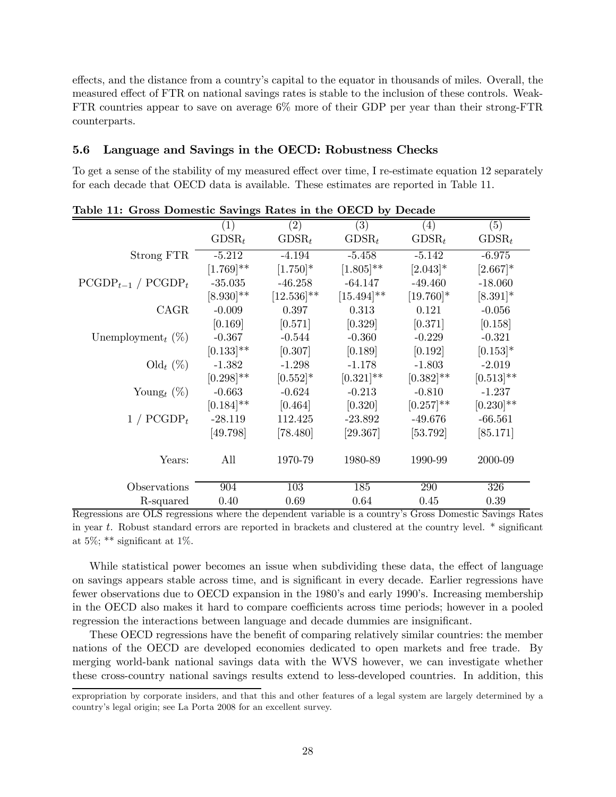effects, and the distance from a country's capital to the equator in thousands of miles. Overall, the measured effect of FTR on national savings rates is stable to the inclusion of these controls. Weak-FTR countries appear to save on average 6% more of their GDP per year than their strong-FTR counterparts.

### 5.6 Language and Savings in the OECD: Robustness Checks

To get a sense of the stability of my measured effect over time, I re-estimate equation 12 separately for each decade that OECD data is available. These estimates are reported in Table 11.

|                                                      | (1)            | $\rm(2)$        | (3)                 | (4)          | (5)          |
|------------------------------------------------------|----------------|-----------------|---------------------|--------------|--------------|
|                                                      | $GDSR_t$       | $GDSR_t$        | $GDSR_t$            | $GDSR_t$     | $GDSR_t$     |
| Strong FTR                                           | $-5.212$       | $-4.194$        | $-5.458$            | $-5.142$     | $-6.975$     |
|                                                      | $[1.769]$ **   | $[1.750]$ *     | $[1.805]$ **        | $[2.043]*$   | $[2.667]$ *  |
| $PCGDP_{t-1}$ / $PCGDP_t$                            | $-35.035$      | $-46.258$       | $-64.147$           | $-49.460$    | $-18.060$    |
|                                                      | $[8.930]^{**}$ | $[12.536]^{**}$ | $[15.494]$ **       | $[19.760]$ * | $[8.391]$ *  |
| CAGR                                                 | $-0.009$       | 0.397           | 0.313               | 0.121        | $-0.056$     |
|                                                      | [0.169]        | [0.571]         | [0.329]             | [0.371]      | [0.158]      |
| Unemployment <sub>t</sub> $(\%)$                     | $-0.367$       | $-0.544$        | $-0.360$            | $-0.229$     | $-0.321$     |
|                                                      | $[0.133]$ **   | [0.307]         | [0.189]             | [0.192]      | $[0.153]$ *  |
| $\text{Old}_t (\%)$                                  | $-1.382$       | $-1.298$        | $-1.178$            | $-1.803$     | $-2.019$     |
|                                                      | $[0.298]$ **   | $[0.552]$ *     | $[0.321]$ **        | $[0.382]$ ** | $[0.513]$ ** |
| Young <sub>t</sub> $(\%)$                            | $-0.663$       | $-0.624$        | $-0.213$            | $-0.810$     | $-1.237$     |
|                                                      | $[0.184]^{**}$ | [0.464]         | [0.320]             | $[0.257]$ ** | $[0.230]$ ** |
| $1 / PCGDP_t$                                        | $-28.119$      | 112.425         | $-23.892$           | $-49.676$    | $-66.561$    |
|                                                      | [49.798]       | [78.480]        | [29.367]            | [53.792]     | [85.171]     |
| Years:                                               | All            | 1970-79         | 1980-89             | 1990-99      | 2000-09      |
| Observations                                         | 904            | 103             | 185                 | 290          | 326          |
| R-squared<br>$\overline{\Omega}$ $\overline{\Omega}$ | 0.40           | 0.69            | 0.64<br>$\cdot$ 11. | 0.45         | 0.39         |

Regressions are OLS regressions where the dependent variable is a country's Gross Domestic Savings Rates in year  $t$ . Robust standard errors are reported in brackets and clustered at the country level.  $*$  significant at  $5\%$ ; \*\* significant at  $1\%$ .

While statistical power becomes an issue when subdividing these data, the effect of language on savings appears stable across time, and is significant in every decade. Earlier regressions have fewer observations due to OECD expansion in the 1980's and early 1990's. Increasing membership in the OECD also makes it hard to compare coefficients across time periods; however in a pooled regression the interactions between language and decade dummies are insignificant.

These OECD regressions have the benefit of comparing relatively similar countries: the member nations of the OECD are developed economies dedicated to open markets and free trade. By merging world-bank national savings data with the WVS however, we can investigate whether these cross-country national savings results extend to less-developed countries. In addition, this

expropriation by corporate insiders, and that this and other features of a legal system are largely determined by a country's legal origin; see La Porta 2008 for an excellent survey.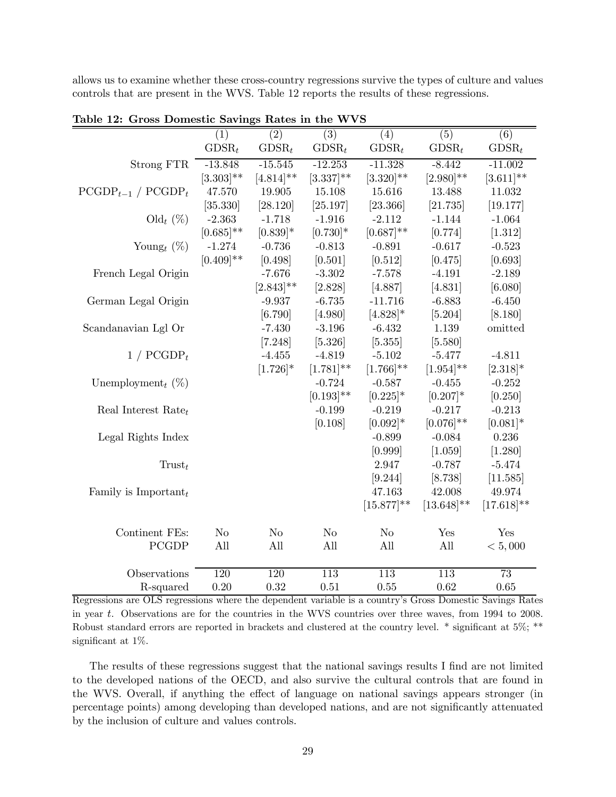allows us to examine whether these cross-country regressions survive the types of culture and values controls that are present in the WVS. Table 12 reports the results of these regressions.

|                                  | (1)              | $\overline{(2)}$ | $\overline{(3)}$ | $\overline{(4)}$ | $\overline{(5)}$ | $\overline{(6)}$ |
|----------------------------------|------------------|------------------|------------------|------------------|------------------|------------------|
|                                  | $GDSR_t$         | $GDSR_t$         | $GDSR_t$         | $GDSR_t$         | $GDSR_t$         | $GDSR_t$         |
| Strong FTR                       | $-13.848$        | $-15.545$        | $-12.253$        | $-11.328$        | $-8.442$         | $-11.002$        |
|                                  | $[3.303]$ **     | $[4.814]^{**}$   | $[3.337]^{**}$   | $[3.320]$ **     | $[2.980]$ **     | $[3.611]$ **     |
| $PCGDP_{t-1}$ / $PCGDP_t$        | 47.570           | 19.905           | 15.108           | 15.616           | 13.488           | 11.032           |
|                                  | [35.330]         | [28.120]         | [25.197]         | [23.366]         | [21.735]         | [19.177]         |
| $\text{Old}_t (\%)$              | $-2.363$         | $-1.718$         | $-1.916$         | $-2.112$         | $-1.144$         | $-1.064$         |
|                                  | $[0.685]$ **     | $[0.839]$ *      | $[0.730]$ *      | $[0.687]**$      | [0.774]          | [1.312]          |
| Young <sub>t</sub> $(\%)$        | $-1.274$         | $-0.736$         | $-0.813$         | $-0.891$         | $-0.617$         | $-0.523$         |
|                                  | $[0.409]$ **     | [0.498]          | [0.501]          | [0.512]          | [0.475]          | [0.693]          |
| French Legal Origin              |                  | $-7.676$         | $-3.302$         | $-7.578$         | $-4.191$         | $-2.189$         |
|                                  |                  | $[2.843]$ **     | [2.828]          | [4.887]          | [4.831]          | [6.080]          |
| German Legal Origin              |                  | $-9.937$         | $-6.735$         | $-11.716$        | $-6.883$         | $-6.450$         |
|                                  |                  | [6.790]          | [4.980]          | $[4.828]$ *      | [5.204]          | [8.180]          |
| Scandanavian Lgl Or              |                  | $-7.430$         | $-3.196$         | $-6.432$         | 1.139            | omitted          |
|                                  |                  | [7.248]          | [5.326]          | [5.355]          | [5.580]          |                  |
| $1 / PCGDP_t$                    |                  | $-4.455$         | $-4.819$         | $-5.102$         | $-5.477$         | $-4.811$         |
|                                  |                  | $[1.726]$ *      | $[1.781]^{**}$   | $[1.766]^{**}$   | $[1.954]^{**}$   | $[2.318]*$       |
| Unemployment <sub>t</sub> $(\%)$ |                  |                  | $-0.724$         | $-0.587$         | $-0.455$         | $-0.252$         |
|                                  |                  |                  | $[0.193]$ **     | $[0.225]$ *      | $[0.207]*$       | [0.250]          |
| Real Interest Rate $_t$          |                  |                  | $-0.199$         | $-0.219$         | $-0.217$         | $-0.213$         |
|                                  |                  |                  | [0.108]          | $[0.092]$ *      | $[0.076]$ **     | $[0.081]$ *      |
| Legal Rights Index               |                  |                  |                  | $-0.899$         | $-0.084$         | 0.236            |
|                                  |                  |                  |                  | [0.999]          | [1.059]          | [1.280]          |
| $T$ rust $_t$                    |                  |                  |                  | 2.947            | $-0.787$         | $-5.474$         |
|                                  |                  |                  |                  | [9.244]          | [8.738]          | [11.585]         |
| Family is Important $_t$         |                  |                  |                  | 47.163           | 42.008           | 49.974           |
|                                  |                  |                  |                  | $[15.877]^{**}$  | $[13.648]^{**}$  | $[17.618]^{**}$  |
| Continent FEs:                   | N <sub>o</sub>   | No               | $\rm No$         | N <sub>o</sub>   | Yes              | Yes              |
| <b>PCGDP</b>                     | All              | All              | All              | All              | All              | < 5,000          |
|                                  |                  |                  |                  |                  |                  |                  |
| Observations                     | $\overline{120}$ | $\overline{120}$ | $\overline{113}$ | $\overline{113}$ | $\overline{113}$ | $\overline{73}$  |
| R-squared                        | 0.20             | 0.32             | 0.51             | 0.55             | 0.62             | 0.65             |

Table 12: Gross Domestic Savings Rates in the WVS

Regressions are OLS regressions where the dependent variable is a country's Gross Domestic Savings Rates in year t. Observations are for the countries in the WVS countries over three waves, from 1994 to 2008. Robust standard errors are reported in brackets and clustered at the country level. \* significant at 5%; \*\* significant at 1%.

The results of these regressions suggest that the national savings results I find are not limited to the developed nations of the OECD, and also survive the cultural controls that are found in the WVS. Overall, if anything the effect of language on national savings appears stronger (in percentage points) among developing than developed nations, and are not significantly attenuated by the inclusion of culture and values controls.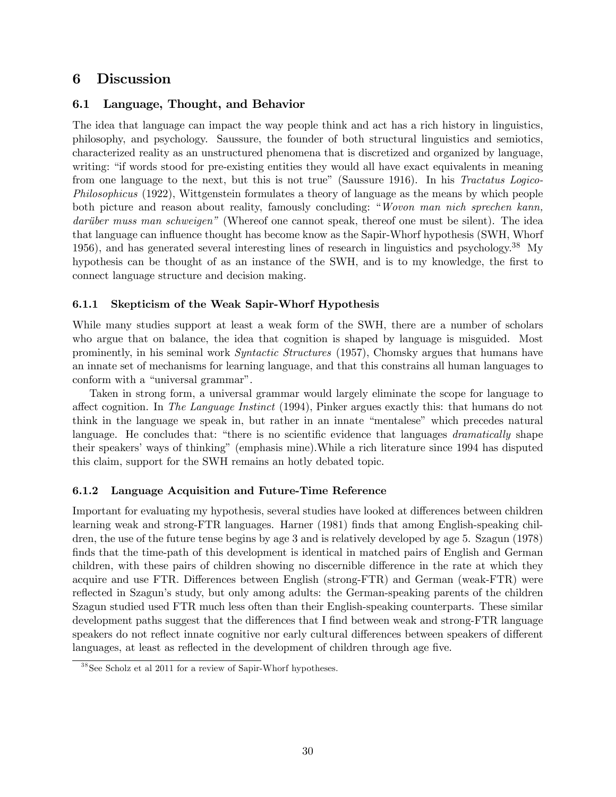## 6 Discussion

## 6.1 Language, Thought, and Behavior

The idea that language can impact the way people think and act has a rich history in linguistics, philosophy, and psychology. Saussure, the founder of both structural linguistics and semiotics, characterized reality as an unstructured phenomena that is discretized and organized by language, writing: "if words stood for pre-existing entities they would all have exact equivalents in meaning from one language to the next, but this is not true" (Saussure 1916). In his Tractatus Logico-Philosophicus (1922), Wittgenstein formulates a theory of language as the means by which people both picture and reason about reality, famously concluding: "Wovon man nich sprechen kann, darüber muss man schweigen" (Whereof one cannot speak, thereof one must be silent). The idea that language can influence thought has become know as the Sapir-Whorf hypothesis (SWH, Whorf 1956), and has generated several interesting lines of research in linguistics and psychology.<sup>38</sup> My hypothesis can be thought of as an instance of the SWH, and is to my knowledge, the first to connect language structure and decision making.

### 6.1.1 Skepticism of the Weak Sapir-Whorf Hypothesis

While many studies support at least a weak form of the SWH, there are a number of scholars who argue that on balance, the idea that cognition is shaped by language is misguided. Most prominently, in his seminal work Syntactic Structures (1957), Chomsky argues that humans have an innate set of mechanisms for learning language, and that this constrains all human languages to conform with a "universal grammar".

Taken in strong form, a universal grammar would largely eliminate the scope for language to affect cognition. In The Language Instinct (1994), Pinker argues exactly this: that humans do not think in the language we speak in, but rather in an innate "mentalese" which precedes natural language. He concludes that: "there is no scientific evidence that languages *dramatically* shape their speakers' ways of thinking" (emphasis mine).While a rich literature since 1994 has disputed this claim, support for the SWH remains an hotly debated topic.

## 6.1.2 Language Acquisition and Future-Time Reference

Important for evaluating my hypothesis, several studies have looked at differences between children learning weak and strong-FTR languages. Harner (1981) finds that among English-speaking children, the use of the future tense begins by age 3 and is relatively developed by age 5. Szagun (1978) finds that the time-path of this development is identical in matched pairs of English and German children, with these pairs of children showing no discernible difference in the rate at which they acquire and use FTR. Differences between English (strong-FTR) and German (weak-FTR) were reflected in Szagun's study, but only among adults: the German-speaking parents of the children Szagun studied used FTR much less often than their English-speaking counterparts. These similar development paths suggest that the differences that I find between weak and strong-FTR language speakers do not reflect innate cognitive nor early cultural differences between speakers of different languages, at least as reflected in the development of children through age five.

<sup>&</sup>lt;sup>38</sup> See Scholz et al 2011 for a review of Sapir-Whorf hypotheses.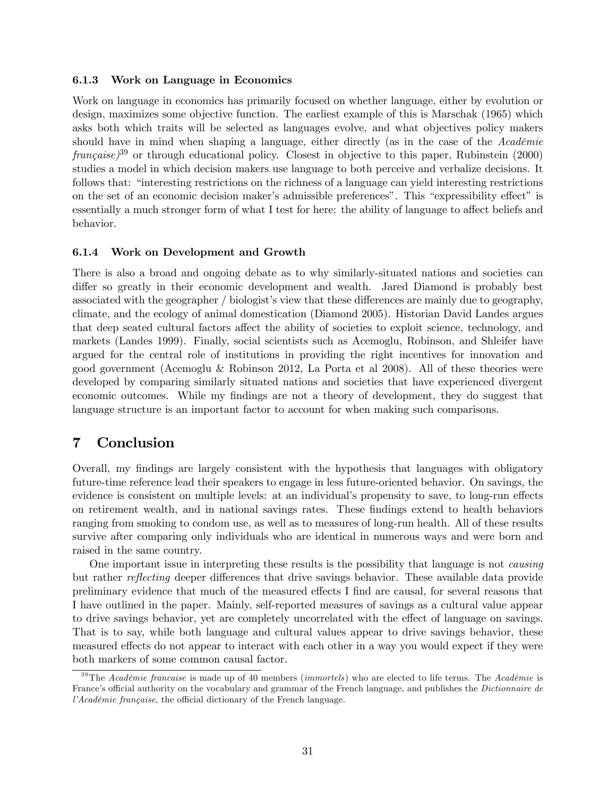### 6.1.3 Work on Language in Economics

Work on language in economics has primarily focused on whether language, either by evolution or design, maximizes some objective function. The earliest example of this is Marschak (1965) which asks both which traits will be selected as languages evolve, and what objectives policy makers should have in mind when shaping a language, either directly (as in the case of the Académie  $francaise$ <sup>39</sup> or through educational policy. Closest in objective to this paper, Rubinstein (2000) studies a model in which decision makers use language to both perceive and verbalize decisions. It follows that: "interesting restrictions on the richness of a language can yield interesting restrictions on the set of an economic decision maker's admissible preferences". This "expressibility effect" is essentially a much stronger form of what I test for here: the ability of language to affect beliefs and behavior.

### 6.1.4 Work on Development and Growth

There is also a broad and ongoing debate as to why similarly-situated nations and societies can differ so greatly in their economic development and wealth. Jared Diamond is probably best associated with the geographer / biologist's view that these differences are mainly due to geography, climate, and the ecology of animal domestication (Diamond 2005). Historian David Landes argues that deep seated cultural factors affect the ability of societies to exploit science, technology, and markets (Landes 1999). Finally, social scientists such as Acemoglu, Robinson, and Shleifer have argued for the central role of institutions in providing the right incentives for innovation and good government (Acemoglu & Robinson 2012, La Porta et al 2008). All of these theories were developed by comparing similarly situated nations and societies that have experienced divergent economic outcomes. While my findings are not a theory of development, they do suggest that language structure is an important factor to account for when making such comparisons.

## 7 Conclusion

Overall, my findings are largely consistent with the hypothesis that languages with obligatory future-time reference lead their speakers to engage in less future-oriented behavior. On savings, the evidence is consistent on multiple levels: at an individual's propensity to save, to long-run effects on retirement wealth, and in national savings rates. These findings extend to health behaviors ranging from smoking to condom use, as well as to measures of long-run health. All of these results survive after comparing only individuals who are identical in numerous ways and were born and raised in the same country.

One important issue in interpreting these results is the possibility that language is not causing but rather reflecting deeper differences that drive savings behavior. These available data provide preliminary evidence that much of the measured effects I find are causal, for several reasons that I have outlined in the paper. Mainly, self-reported measures of savings as a cultural value appear to drive savings behavior, yet are completely uncorrelated with the effect of language on savings. That is to say, while both language and cultural values appear to drive savings behavior, these measured effects do not appear to interact with each other in a way you would expect if they were both markers of some common causal factor.

<sup>&</sup>lt;sup>39</sup>The Académie francaise is made up of 40 members (*immortels*) who are elected to life terms. The Académie is France's official authority on the vocabulary and grammar of the French language, and publishes the Dictionnaire de l'Académie française, the official dictionary of the French language.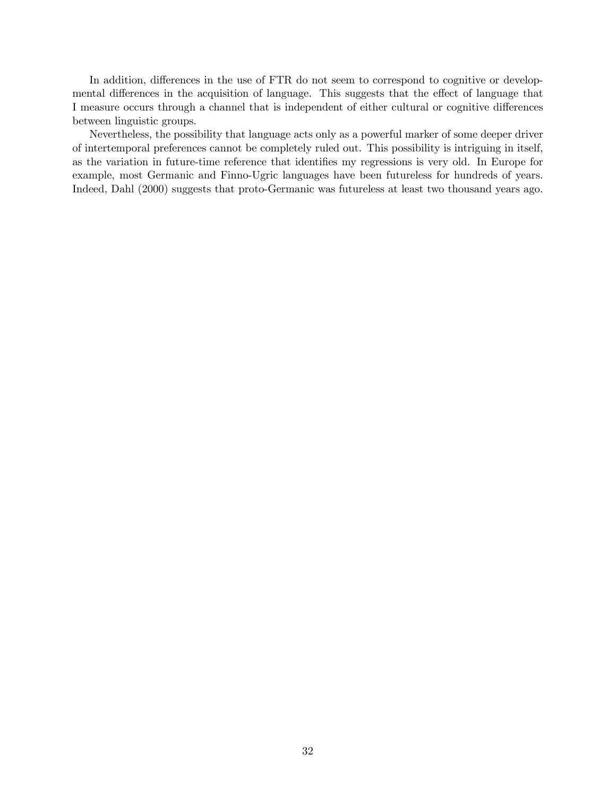In addition, differences in the use of FTR do not seem to correspond to cognitive or developmental differences in the acquisition of language. This suggests that the effect of language that I measure occurs through a channel that is independent of either cultural or cognitive differences between linguistic groups.

Nevertheless, the possibility that language acts only as a powerful marker of some deeper driver of intertemporal preferences cannot be completely ruled out. This possibility is intriguing in itself, as the variation in future-time reference that identifies my regressions is very old. In Europe for example, most Germanic and Finno-Ugric languages have been futureless for hundreds of years. Indeed, Dahl (2000) suggests that proto-Germanic was futureless at least two thousand years ago.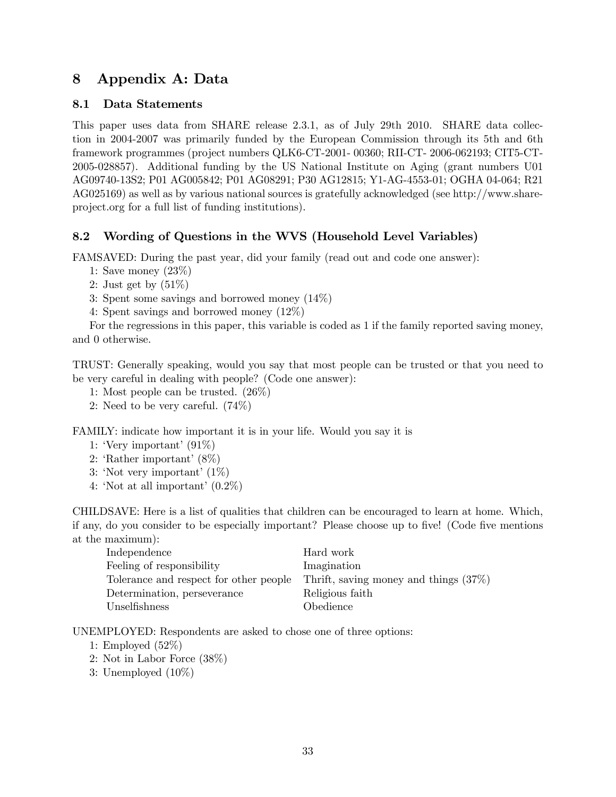## 8 Appendix A: Data

## 8.1 Data Statements

This paper uses data from SHARE release 2.3.1, as of July 29th 2010. SHARE data collection in 2004-2007 was primarily funded by the European Commission through its 5th and 6th framework programmes (project numbers QLK6-CT-2001- 00360; RII-CT- 2006-062193; CIT5-CT-2005-028857). Additional funding by the US National Institute on Aging (grant numbers U01 AG09740-13S2; P01 AG005842; P01 AG08291; P30 AG12815; Y1-AG-4553-01; OGHA 04-064; R21 AG025169) as well as by various national sources is gratefully acknowledged (see http://www.shareproject.org for a full list of funding institutions).

## 8.2 Wording of Questions in the WVS (Household Level Variables)

FAMSAVED: During the past year, did your family (read out and code one answer):

- 1: Save money (23%)
- 2: Just get by (51%)
- 3: Spent some savings and borrowed money (14%)
- 4: Spent savings and borrowed money (12%)

For the regressions in this paper, this variable is coded as 1 if the family reported saving money, and 0 otherwise.

TRUST: Generally speaking, would you say that most people can be trusted or that you need to be very careful in dealing with people? (Code one answer):

- 1: Most people can be trusted. (26%)
- 2: Need to be very careful. (74%)

FAMILY: indicate how important it is in your life. Would you say it is

- 1: 'Very important' (91%)
- 2: 'Rather important' (8%)
- 3: 'Not very important' (1%)
- 4: 'Not at all important' (0.2%)

CHILDSAVE: Here is a list of qualities that children can be encouraged to learn at home. Which, if any, do you consider to be especially important? Please choose up to five! (Code five mentions at the maximum):

| Independence                           | Hard work                                |
|----------------------------------------|------------------------------------------|
| Feeling of responsibility              | Imagination                              |
| Tolerance and respect for other people | Thrift, saving money and things $(37\%)$ |
| Determination, perseverance            | Religious faith                          |
| Unselfishness                          | <i>Obedience</i>                         |

UNEMPLOYED: Respondents are asked to chose one of three options:

- 1: Employed (52%)
- 2: Not in Labor Force (38%)
- 3: Unemployed (10%)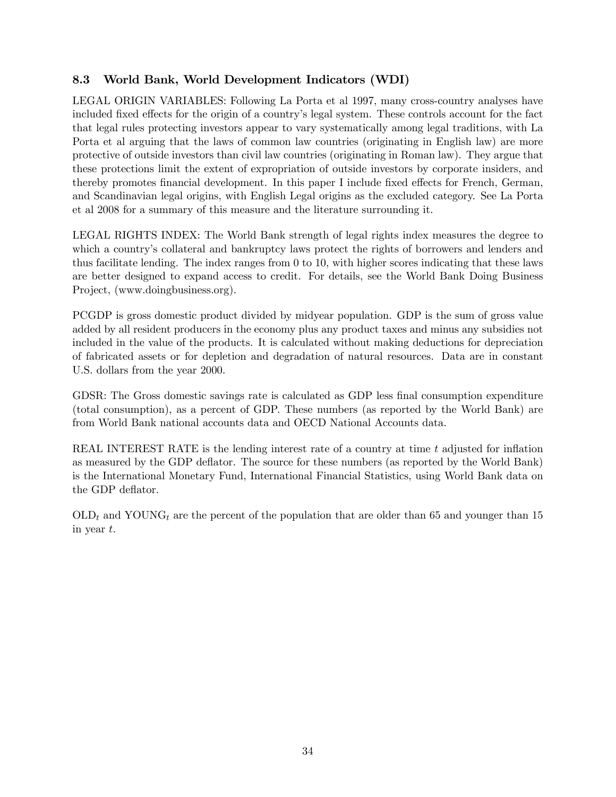## 8.3 World Bank, World Development Indicators (WDI)

LEGAL ORIGIN VARIABLES: Following La Porta et al 1997, many cross-country analyses have included fixed effects for the origin of a country's legal system. These controls account for the fact that legal rules protecting investors appear to vary systematically among legal traditions, with La Porta et al arguing that the laws of common law countries (originating in English law) are more protective of outside investors than civil law countries (originating in Roman law). They argue that these protections limit the extent of expropriation of outside investors by corporate insiders, and thereby promotes financial development. In this paper I include fixed effects for French, German, and Scandinavian legal origins, with English Legal origins as the excluded category. See La Porta et al 2008 for a summary of this measure and the literature surrounding it.

LEGAL RIGHTS INDEX: The World Bank strength of legal rights index measures the degree to which a country's collateral and bankruptcy laws protect the rights of borrowers and lenders and thus facilitate lending. The index ranges from 0 to 10, with higher scores indicating that these laws are better designed to expand access to credit. For details, see the World Bank Doing Business Project, (www.doingbusiness.org).

PCGDP is gross domestic product divided by midyear population. GDP is the sum of gross value added by all resident producers in the economy plus any product taxes and minus any subsidies not included in the value of the products. It is calculated without making deductions for depreciation of fabricated assets or for depletion and degradation of natural resources. Data are in constant U.S. dollars from the year 2000.

GDSR: The Gross domestic savings rate is calculated as GDP less final consumption expenditure (total consumption), as a percent of GDP. These numbers (as reported by the World Bank) are from World Bank national accounts data and OECD National Accounts data.

REAL INTEREST RATE is the lending interest rate of a country at time  $t$  adjusted for inflation as measured by the GDP deflator. The source for these numbers (as reported by the World Bank) is the International Monetary Fund, International Financial Statistics, using World Bank data on the GDP deflator.

 $OLD<sub>t</sub>$  and YOUNG<sub>t</sub> are the percent of the population that are older than 65 and younger than 15 in year  $t$ .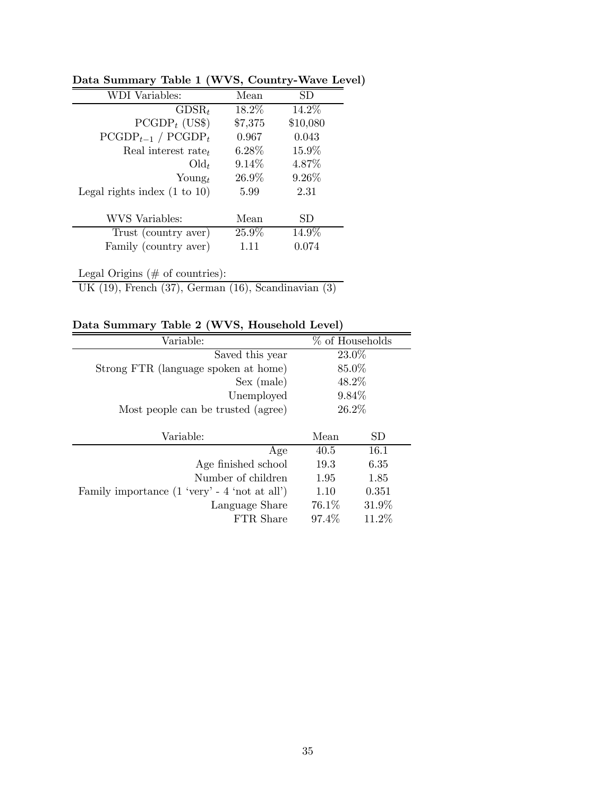| <b>WDI</b> Variables:                   | Mean     | SD       |
|-----------------------------------------|----------|----------|
| $GDSR_t$                                | 18.2%    | 14.2%    |
| $PCGDP_t$ (US\$)                        | \$7,375  | \$10,080 |
| $\text{PCGDP}_{t-1}$ / $\text{PCGDP}_t$ | 0.967    | 0.043    |
| Real interest rate $_t$                 | $6.28\%$ | $15.9\%$ |
| $\text{Old}_t$                          | $9.14\%$ | 4.87\%   |
| $\text{Young}_t$                        | $26.9\%$ | $9.26\%$ |
| Legal rights index $(1 \text{ to } 10)$ | 5.99     | 2.31     |
| WVS Variables:                          | Mean     | SD       |
| Trust (country aver)                    | $25.9\%$ | 14.9%    |
| Family (country aver)                   | 1.11     | 0.074    |
|                                         |          |          |

Data Summary Table 1 (WVS, Country-Wave Level)

Legal Origins (# of countries): UK (19), French (37), German (16), Scandinavian (3)

Data Summary Table 2 (WVS, Household Level)

| Variable:                                               |          | % of Households |  |  |
|---------------------------------------------------------|----------|-----------------|--|--|
| Saved this year                                         | 23.0%    |                 |  |  |
| Strong FTR (language spoken at home)                    | 85.0%    |                 |  |  |
| Sex (male)                                              | 48.2%    |                 |  |  |
| Unemployed                                              | $9.84\%$ |                 |  |  |
| Most people can be trusted (agree)                      | 26.2%    |                 |  |  |
|                                                         |          |                 |  |  |
|                                                         |          |                 |  |  |
| Variable:                                               | Mean     | SD              |  |  |
| Age                                                     | 40.5     | 16.1            |  |  |
| Age finished school                                     | 19.3     | 6.35            |  |  |
| Number of children                                      | 1.95     | 1.85            |  |  |
| Family importance $(1 \text{ 'very' - 4 'not at all'})$ | 1.10     | 0.351           |  |  |
| Language Share                                          | 76.1\%   | 31.9%           |  |  |
| FTR Share                                               | 97.4\%   | $11.2\%$        |  |  |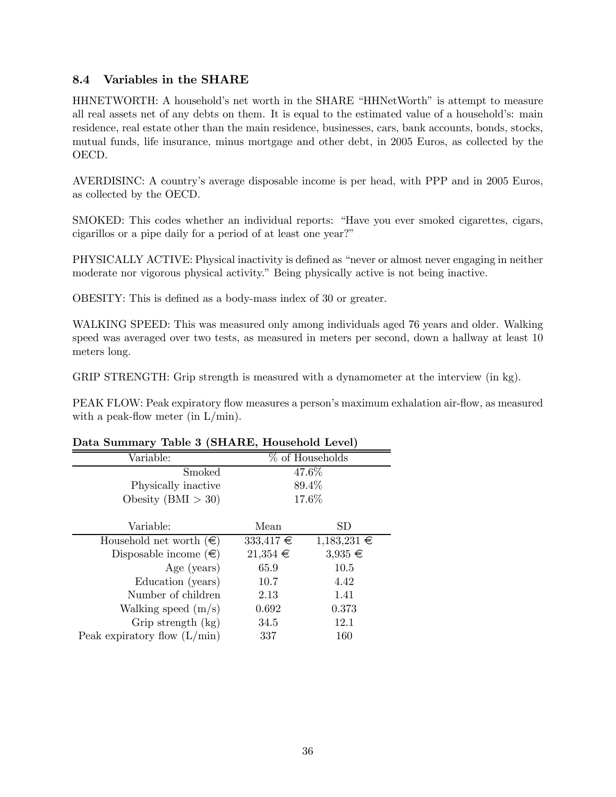## 8.4 Variables in the SHARE

HHNETWORTH: A household's net worth in the SHARE "HHNetWorth" is attempt to measure all real assets net of any debts on them. It is equal to the estimated value of a household's: main residence, real estate other than the main residence, businesses, cars, bank accounts, bonds, stocks, mutual funds, life insurance, minus mortgage and other debt, in 2005 Euros, as collected by the OECD.

AVERDISINC: A country's average disposable income is per head, with PPP and in 2005 Euros, as collected by the OECD.

SMOKED: This codes whether an individual reports: "Have you ever smoked cigarettes, cigars, cigarillos or a pipe daily for a period of at least one year?"

PHYSICALLY ACTIVE: Physical inactivity is defined as "never or almost never engaging in neither moderate nor vigorous physical activity." Being physically active is not being inactive.

OBESITY: This is defined as a body-mass index of 30 or greater.

WALKING SPEED: This was measured only among individuals aged 76 years and older. Walking speed was averaged over two tests, as measured in meters per second, down a hallway at least 10 meters long.

GRIP STRENGTH: Grip strength is measured with a dynamometer at the interview (in kg).

PEAK FLOW: Peak expiratory flow measures a person's maximum exhalation air-flow, as measured with a peak-flow meter (in  $L/min$ ).

### Data Summary Table 3 (SHARE, Household Level)

| Variable:                        |               | $%$ of Households |
|----------------------------------|---------------|-------------------|
| Smoked                           |               | 47.6%             |
| Physically inactive              | 89.4%         |                   |
| Obesity $(BMI > 30)$             | 17.6%         |                   |
|                                  |               |                   |
| Variable:                        | Mean          | SD                |
| Household net worth $(\epsilon)$ | $333,417 \in$ | $1,183,231 \in$   |
| Disposable income $(\epsilon)$   | $21,354 \in$  | $3,935 \in$       |
| Age (years)                      | 65.9          | 10.5              |
| Education (years)                | 10.7          | 4.42              |
| Number of children               | 2.13          | 1.41              |
| Walking speed $(m/s)$            | 0.692         | 0.373             |
| Grip strength (kg)               | 34.5          | 12.1              |
| Peak expiratory flow $(L/min)$   | 337           | 160               |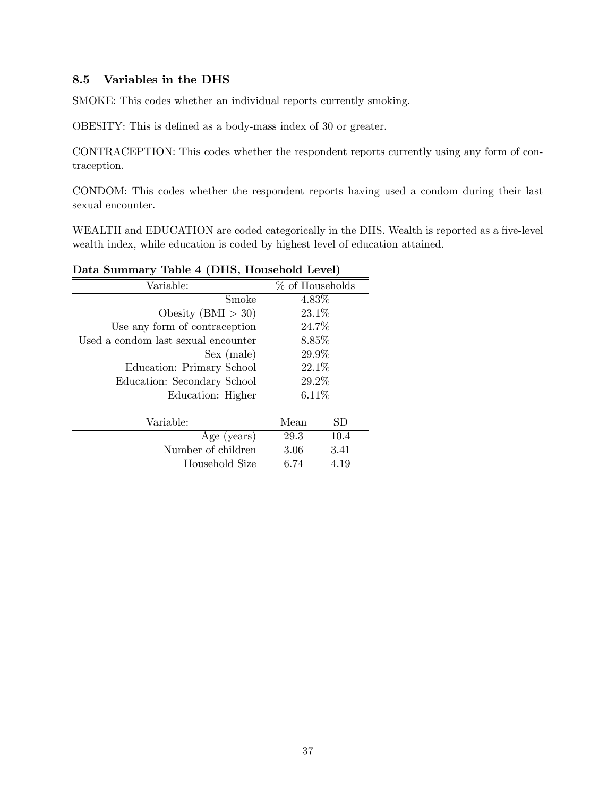### 8.5 Variables in the DHS

SMOKE: This codes whether an individual reports currently smoking.

OBESITY: This is defined as a body-mass index of 30 or greater.

CONTRACEPTION: This codes whether the respondent reports currently using any form of contraception.

CONDOM: This codes whether the respondent reports having used a condom during their last sexual encounter.

WEALTH and EDUCATION are coded categorically in the DHS. Wealth is reported as a five-level wealth index, while education is coded by highest level of education attained.

| Dava buillinal y Table + (DIIb, Housellold Devel) |                 |             |  |  |  |
|---------------------------------------------------|-----------------|-------------|--|--|--|
| Variable:                                         | % of Households |             |  |  |  |
| Smoke                                             | 4.83%           |             |  |  |  |
| Obesity (BMI $>$ 30)                              | 23.1\%          |             |  |  |  |
| Use any form of contraception                     | 24.7%           |             |  |  |  |
| Used a condom last sexual encounter               | 8.85%           |             |  |  |  |
| Sex (male)                                        | 29.9%           |             |  |  |  |
| Education: Primary School                         | 22.1\%          |             |  |  |  |
| Education: Secondary School                       | 29.2%           |             |  |  |  |
| Education: Higher                                 | 6.11%           |             |  |  |  |
|                                                   |                 |             |  |  |  |
| Variable:                                         | Mean            | $_{\rm SD}$ |  |  |  |
| Age (years)                                       | 29.3            | 10.4        |  |  |  |
| Number of children                                | 3.06            | 3.41        |  |  |  |
| Household Size                                    | 6.74            | 4.19        |  |  |  |
|                                                   |                 |             |  |  |  |

## Data Summary Table 4 (DHS, Household Level)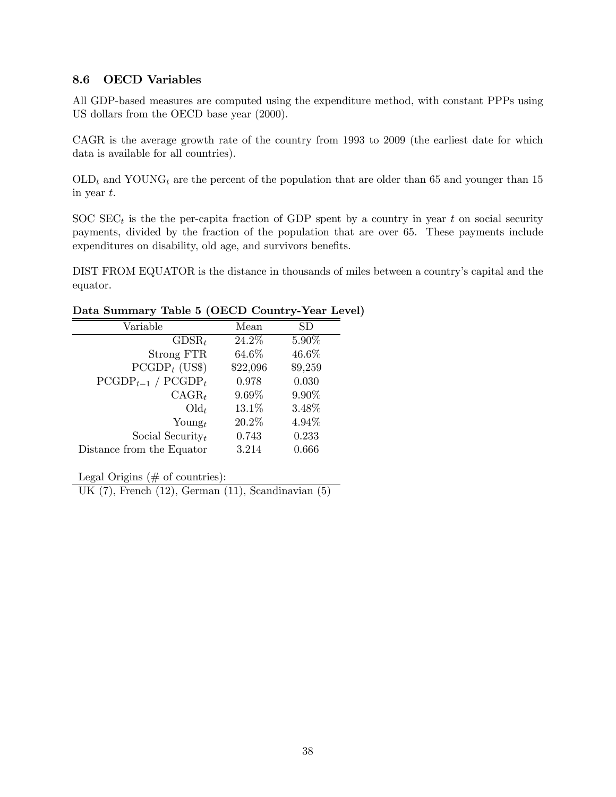## 8.6 OECD Variables

All GDP-based measures are computed using the expenditure method, with constant PPPs using US dollars from the OECD base year (2000).

CAGR is the average growth rate of the country from 1993 to 2009 (the earliest date for which data is available for all countries).

 $OLD_t$  and YOUNG<sub>t</sub> are the percent of the population that are older than 65 and younger than 15 in year  $t$ .

SOC  $SEC_t$  is the the per-capita fraction of GDP spent by a country in year t on social security payments, divided by the fraction of the population that are over 65. These payments include expenditures on disability, old age, and survivors benefits.

DIST FROM EQUATOR is the distance in thousands of miles between a country's capital and the equator.

| Mean     | SD      |
|----------|---------|
| 24.2%    | 5.90%   |
| 64.6%    | 46.6%   |
| \$22,096 | \$9,259 |
| 0.978    | 0.030   |
| 9.69%    | 9.90%   |
| 13.1%    | 3.48%   |
| 20.2%    | 4.94%   |
| 0.743    | 0.233   |
| 3.214    | 0.666   |
|          |         |

### Data Summary Table 5 (OECD Country-Year Level)

Legal Origins (# of countries):

UK (7), French (12), German (11), Scandinavian (5)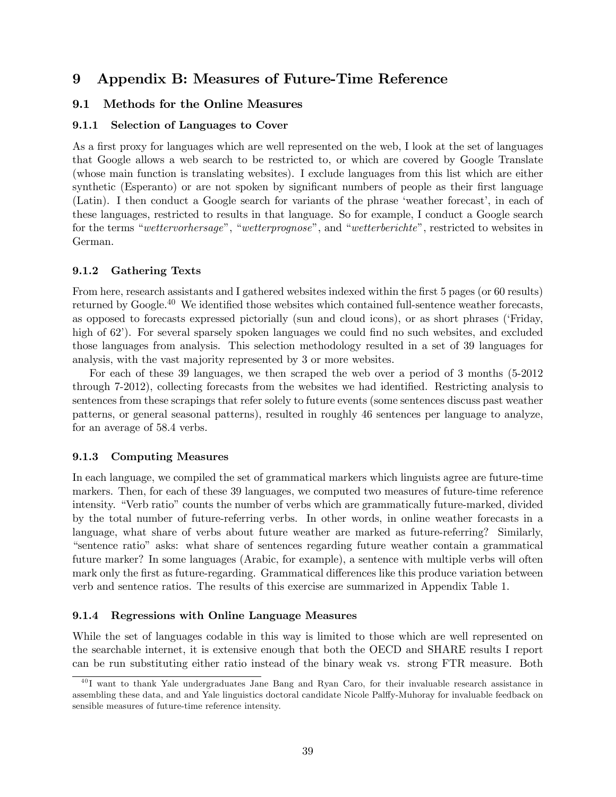## 9 Appendix B: Measures of Future-Time Reference

### 9.1 Methods for the Online Measures

### 9.1.1 Selection of Languages to Cover

As a first proxy for languages which are well represented on the web, I look at the set of languages that Google allows a web search to be restricted to, or which are covered by Google Translate (whose main function is translating websites). I exclude languages from this list which are either synthetic (Esperanto) or are not spoken by significant numbers of people as their first language (Latin). I then conduct a Google search for variants of the phrase 'weather forecast', in each of these languages, restricted to results in that language. So for example, I conduct a Google search for the terms "wettervorhersage", "wetterprognose", and "wetterberichte", restricted to websites in German.

### 9.1.2 Gathering Texts

From here, research assistants and I gathered websites indexed within the first 5 pages (or 60 results) returned by Google.<sup>40</sup> We identified those websites which contained full-sentence weather forecasts, as opposed to forecasts expressed pictorially (sun and cloud icons), or as short phrases ('Friday, high of 62'). For several sparsely spoken languages we could find no such websites, and excluded those languages from analysis. This selection methodology resulted in a set of 39 languages for analysis, with the vast majority represented by 3 or more websites.

For each of these 39 languages, we then scraped the web over a period of 3 months (5-2012 through 7-2012), collecting forecasts from the websites we had identified. Restricting analysis to sentences from these scrapings that refer solely to future events (some sentences discuss past weather patterns, or general seasonal patterns), resulted in roughly 46 sentences per language to analyze, for an average of  $58.4$  verbs.

### 9.1.3 Computing Measures

In each language, we compiled the set of grammatical markers which linguists agree are future-time markers. Then, for each of these 39 languages, we computed two measures of future-time reference intensity. "Verb ratio" counts the number of verbs which are grammatically future-marked, divided by the total number of future-referring verbs. In other words, in online weather forecasts in a language, what share of verbs about future weather are marked as future-referring? Similarly, "sentence ratio" asks: what share of sentences regarding future weather contain a grammatical future marker? In some languages (Arabic, for example), a sentence with multiple verbs will often mark only the first as future-regarding. Grammatical differences like this produce variation between verb and sentence ratios. The results of this exercise are summarized in Appendix Table 1.

### 9.1.4 Regressions with Online Language Measures

While the set of languages codable in this way is limited to those which are well represented on the searchable internet, it is extensive enough that both the OECD and SHARE results I report can be run substituting either ratio instead of the binary weak vs. strong FTR measure. Both

<sup>&</sup>lt;sup>40</sup>I want to thank Yale undergraduates Jane Bang and Ryan Caro, for their invaluable research assistance in assembling these data, and and Yale linguistics doctoral candidate Nicole Palffy-Muhoray for invaluable feedback on sensible measures of future-time reference intensity.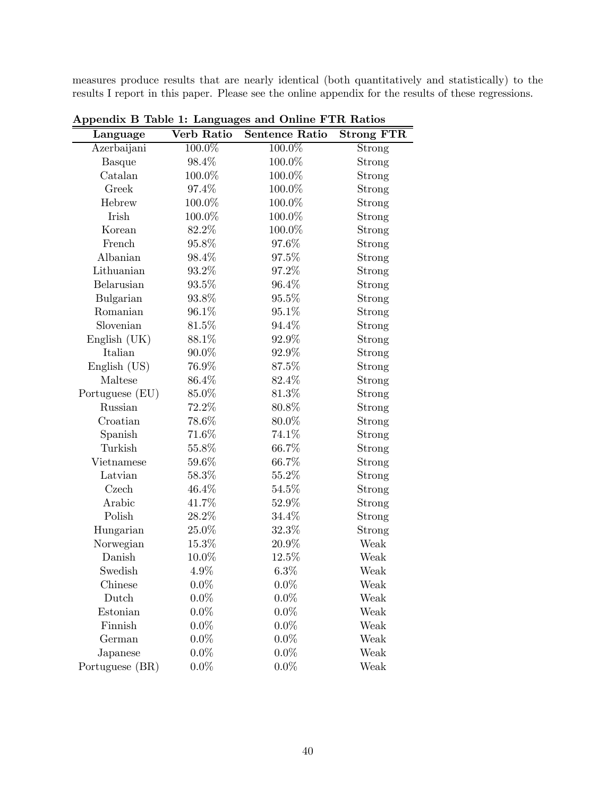measures produce results that are nearly identical (both quantitatively and statistically) to the results I report in this paper. Please see the online appendix for the results of these regressions.

| Language        | Verb Ratio | Sentence Ratio | <b>Strong FTR</b> |
|-----------------|------------|----------------|-------------------|
| Azerbaijani     | 100.0%     | 100.0%         | Strong            |
| <b>Basque</b>   | 98.4%      | 100.0%         | Strong            |
| Catalan         | 100.0%     | 100.0%         | Strong            |
| Greek           | 97.4%      | 100.0%         | Strong            |
| Hebrew          | 100.0%     | 100.0%         | Strong            |
| Irish           | 100.0%     | 100.0%         | Strong            |
| Korean          | 82.2%      | 100.0%         | Strong            |
| French          | 95.8%      | 97.6%          | Strong            |
| Albanian        | 98.4%      | 97.5%          | Strong            |
| Lithuanian      | 93.2%      | 97.2%          | Strong            |
| Belarusian      | 93.5%      | 96.4%          | Strong            |
| Bulgarian       | 93.8%      | 95.5%          | Strong            |
| Romanian        | 96.1%      | $95.1\%$       | Strong            |
| Slovenian       | 81.5%      | 94.4%          | Strong            |
| English (UK)    | 88.1%      | 92.9%          | Strong            |
| Italian         | 90.0%      | 92.9%          | Strong            |
| English (US)    | 76.9%      | 87.5%          | Strong            |
| Maltese         | 86.4%      | 82.4%          | Strong            |
| Portuguese (EU) | 85.0%      | 81.3%          | Strong            |
| Russian         | $72.2\%$   | 80.8%          | Strong            |
| Croatian        | 78.6%      | 80.0%          | Strong            |
| Spanish         | 71.6%      | 74.1%          | Strong            |
| Turkish         | 55.8%      | 66.7%          | Strong            |
| Vietnamese      | 59.6%      | 66.7%          | Strong            |
| Latvian         | 58.3%      | 55.2%          | Strong            |
| Czech           | 46.4%      | $54.5\%$       | Strong            |
| Arabic          | 41.7%      | 52.9%          | Strong            |
| Polish          | 28.2%      | 34.4%          | Strong            |
| Hungarian       | 25.0%      | 32.3%          | Strong            |
| Norwegian       | 15.3%      | 20.9%          | Weak              |
| Danish          | 10.0%      | $12.5\%$       | Weak              |
| Swedish         | 4.9%       | 6.3%           | Weak              |
| Chinese         | $0.0\%$    | $0.0\%$        | Weak              |
| Dutch           | $0.0\%$    | $0.0\%$        | Weak              |
| Estonian        | $0.0\%$    | $0.0\%$        | Weak              |
| Finnish         | $0.0\%$    | $0.0\%$        | Weak              |
| German          | $0.0\%$    | $0.0\%$        | Weak              |
| Japanese        | $0.0\%$    | $0.0\%$        | Weak              |
| Portuguese (BR) | $0.0\%$    | $0.0\%$        | Weak              |

Appendix B Table 1: Languages and Online FTR Ratios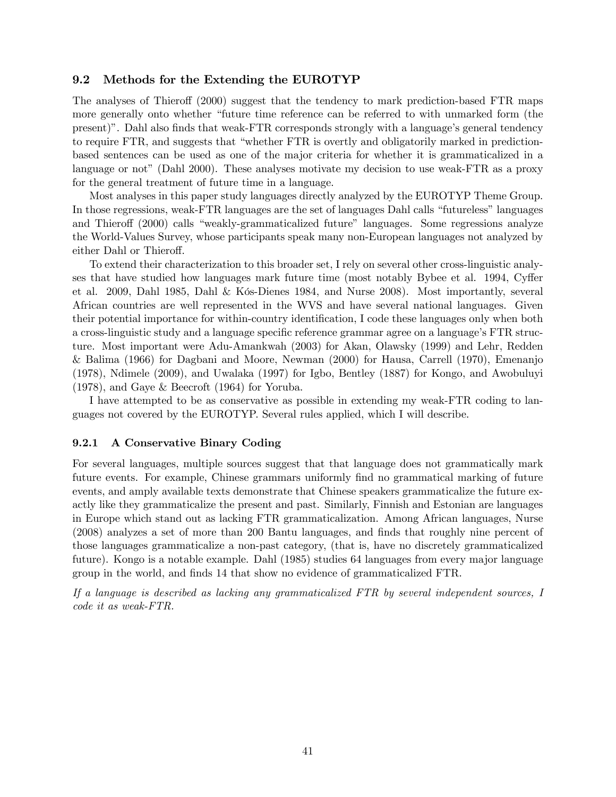### 9.2 Methods for the Extending the EUROTYP

The analyses of Thieroff (2000) suggest that the tendency to mark prediction-based FTR maps more generally onto whether "future time reference can be referred to with unmarked form (the present)". Dahl also finds that weak-FTR corresponds strongly with a language's general tendency to require FTR, and suggests that "whether FTR is overtly and obligatorily marked in predictionbased sentences can be used as one of the major criteria for whether it is grammaticalized in a language or not" (Dahl 2000). These analyses motivate my decision to use weak-FTR as a proxy for the general treatment of future time in a language.

Most analyses in this paper study languages directly analyzed by the EUROTYP Theme Group. In those regressions, weak-FTR languages are the set of languages Dahl calls "futureless" languages and Thieroff (2000) calls "weakly-grammaticalized future" languages. Some regressions analyze the World-Values Survey, whose participants speak many non-European languages not analyzed by either Dahl or Thieroff.

To extend their characterization to this broader set, I rely on several other cross-linguistic analyses that have studied how languages mark future time (most notably Bybee et al. 1994, Cyffer et al. 2009, Dahl 1985, Dahl & Kós-Dienes 1984, and Nurse 2008). Most importantly, several African countries are well represented in the WVS and have several national languages. Given their potential importance for within-country identification, I code these languages only when both a cross-linguistic study and a language specific reference grammar agree on a language's FTR structure. Most important were Adu-Amankwah (2003) for Akan, Olawsky (1999) and Lehr, Redden & Balima (1966) for Dagbani and Moore, Newman (2000) for Hausa, Carrell (1970), Emenanjo (1978), Ndimele (2009), and Uwalaka (1997) for Igbo, Bentley (1887) for Kongo, and Awobuluyi (1978), and Gaye & Beecroft (1964) for Yoruba.

I have attempted to be as conservative as possible in extending my weak-FTR coding to languages not covered by the EUROTYP. Several rules applied, which I will describe.

#### 9.2.1 A Conservative Binary Coding

For several languages, multiple sources suggest that that language does not grammatically mark future events. For example, Chinese grammars uniformly find no grammatical marking of future events, and amply available texts demonstrate that Chinese speakers grammaticalize the future exactly like they grammaticalize the present and past. Similarly, Finnish and Estonian are languages in Europe which stand out as lacking FTR grammaticalization. Among African languages, Nurse (2008) analyzes a set of more than 200 Bantu languages, and finds that roughly nine percent of those languages grammaticalize a non-past category, (that is, have no discretely grammaticalized future). Kongo is a notable example. Dahl (1985) studies 64 languages from every major language group in the world, and finds 14 that show no evidence of grammaticalized FTR.

If a language is described as lacking any grammaticalized FTR by several independent sources, I code it as weak-FTR.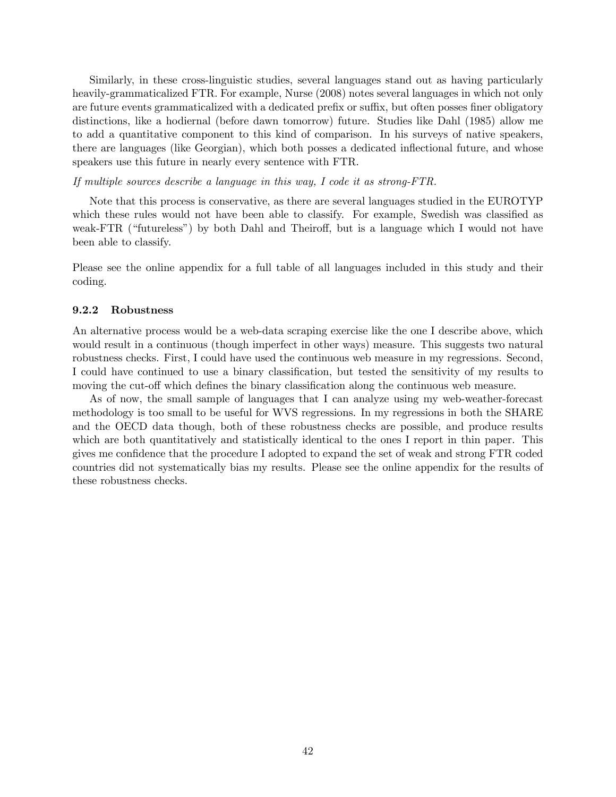Similarly, in these cross-linguistic studies, several languages stand out as having particularly heavily-grammaticalized FTR. For example, Nurse (2008) notes several languages in which not only are future events grammaticalized with a dedicated prefix or suffix, but often posses finer obligatory distinctions, like a hodiernal (before dawn tomorrow) future. Studies like Dahl (1985) allow me to add a quantitative component to this kind of comparison. In his surveys of native speakers, there are languages (like Georgian), which both posses a dedicated inflectional future, and whose speakers use this future in nearly every sentence with FTR.

If multiple sources describe a language in this way, I code it as strong-FTR.

Note that this process is conservative, as there are several languages studied in the EUROTYP which these rules would not have been able to classify. For example, Swedish was classified as weak-FTR ("futureless") by both Dahl and Theiroff, but is a language which I would not have been able to classify.

Please see the online appendix for a full table of all languages included in this study and their coding.

#### 9.2.2 Robustness

An alternative process would be a web-data scraping exercise like the one I describe above, which would result in a continuous (though imperfect in other ways) measure. This suggests two natural robustness checks. First, I could have used the continuous web measure in my regressions. Second, I could have continued to use a binary classification, but tested the sensitivity of my results to moving the cut-off which defines the binary classification along the continuous web measure.

As of now, the small sample of languages that I can analyze using my web-weather-forecast methodology is too small to be useful for WVS regressions. In my regressions in both the SHARE and the OECD data though, both of these robustness checks are possible, and produce results which are both quantitatively and statistically identical to the ones I report in thin paper. This gives me confidence that the procedure I adopted to expand the set of weak and strong FTR coded countries did not systematically bias my results. Please see the online appendix for the results of these robustness checks.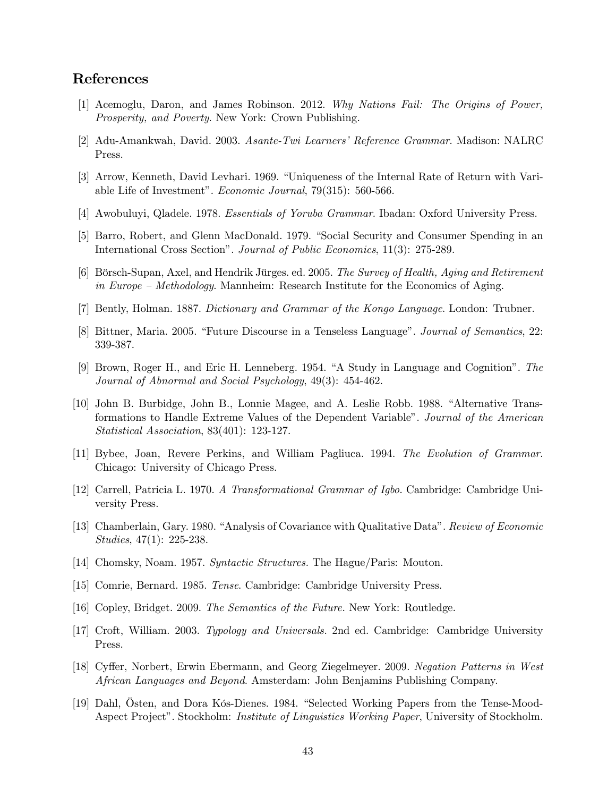## References

- [1] Acemoglu, Daron, and James Robinson. 2012. Why Nations Fail: The Origins of Power, Prosperity, and Poverty. New York: Crown Publishing.
- [2] Adu-Amankwah, David. 2003. Asante-Twi Learners' Reference Grammar. Madison: NALRC Press.
- [3] Arrow, Kenneth, David Levhari. 1969. "Uniqueness of the Internal Rate of Return with Variable Life of Investment". Economic Journal, 79(315): 560-566.
- [4] Awobuluyi, Qladele. 1978. Essentials of Yoruba Grammar. Ibadan: Oxford University Press.
- [5] Barro, Robert, and Glenn MacDonald. 1979. "Social Security and Consumer Spending in an International Cross Section". Journal of Public Economics, 11(3): 275-289.
- [6] Börsch-Supan, Axel, and Hendrik Jürges. ed. 2005. The Survey of Health, Aging and Retirement in Europe — Methodology. Mannheim: Research Institute for the Economics of Aging.
- [7] Bently, Holman. 1887. Dictionary and Grammar of the Kongo Language. London: Trubner.
- [8] Bittner, Maria. 2005. "Future Discourse in a Tenseless Language". Journal of Semantics, 22: 339-387.
- [9] Brown, Roger H., and Eric H. Lenneberg. 1954. "A Study in Language and Cognition". The Journal of Abnormal and Social Psychology, 49(3): 454-462.
- [10] John B. Burbidge, John B., Lonnie Magee, and A. Leslie Robb. 1988. "Alternative Transformations to Handle Extreme Values of the Dependent Variable". Journal of the American Statistical Association, 83(401): 123-127.
- [11] Bybee, Joan, Revere Perkins, and William Pagliuca. 1994. The Evolution of Grammar. Chicago: University of Chicago Press.
- [12] Carrell, Patricia L. 1970. A Transformational Grammar of Igbo. Cambridge: Cambridge University Press.
- [13] Chamberlain, Gary. 1980. "Analysis of Covariance with Qualitative Data". Review of Economic Studies, 47(1): 225-238.
- [14] Chomsky, Noam. 1957. Syntactic Structures. The Hague/Paris: Mouton.
- [15] Comrie, Bernard. 1985. Tense. Cambridge: Cambridge University Press.
- [16] Copley, Bridget. 2009. The Semantics of the Future. New York: Routledge.
- [17] Croft, William. 2003. Typology and Universals. 2nd ed. Cambridge: Cambridge University Press.
- [18] Cyffer, Norbert, Erwin Ebermann, and Georg Ziegelmeyer. 2009. Negation Patterns in West African Languages and Beyond. Amsterdam: John Benjamins Publishing Company.
- [19] Dahl, Östen, and Dora Kós-Dienes. 1984. "Selected Working Papers from the Tense-Mood-Aspect Project". Stockholm: *Institute of Linguistics Working Paper*, University of Stockholm.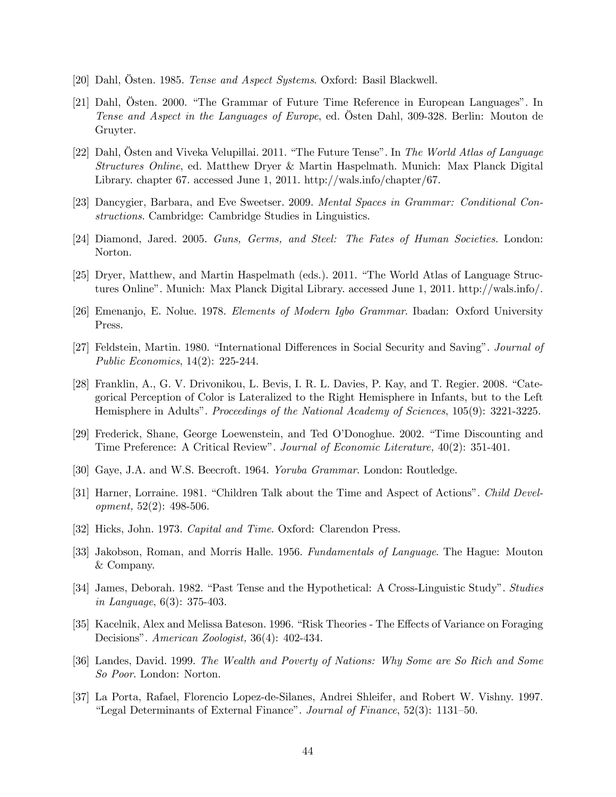- [20] Dahl, Östen. 1985. Tense and Aspect Systems. Oxford: Basil Blackwell.
- [21] Dahl, Östen. 2000. "The Grammar of Future Time Reference in European Languages". In Tense and Aspect in the Languages of Europe, ed. Östen Dahl, 309-328. Berlin: Mouton de Gruyter.
- [22] Dahl, Östen and Viveka Velupillai. 2011. "The Future Tense". In The World Atlas of Language Structures Online, ed. Matthew Dryer & Martin Haspelmath. Munich: Max Planck Digital Library. chapter 67. accessed June 1, 2011. http://wals.info/chapter/67.
- [23] Dancygier, Barbara, and Eve Sweetser. 2009. Mental Spaces in Grammar: Conditional Constructions. Cambridge: Cambridge Studies in Linguistics.
- [24] Diamond, Jared. 2005. Guns, Germs, and Steel: The Fates of Human Societies. London: Norton.
- [25] Dryer, Matthew, and Martin Haspelmath (eds.). 2011. "The World Atlas of Language Structures Online". Munich: Max Planck Digital Library. accessed June 1, 2011. http://wals.info/.
- [26] Emenanjo, E. Nolue. 1978. Elements of Modern Igbo Grammar. Ibadan: Oxford University Press.
- [27] Feldstein, Martin. 1980. "International Differences in Social Security and Saving". Journal of Public Economics, 14(2): 225-244.
- [28] Franklin, A., G. V. Drivonikou, L. Bevis, I. R. L. Davies, P. Kay, and T. Regier. 2008. "Categorical Perception of Color is Lateralized to the Right Hemisphere in Infants, but to the Left Hemisphere in Adults". Proceedings of the National Academy of Sciences, 105(9): 3221-3225.
- [29] Frederick, Shane, George Loewenstein, and Ted O'Donoghue. 2002. "Time Discounting and Time Preference: A Critical Review". Journal of Economic Literature, 40(2): 351-401.
- [30] Gaye, J.A. and W.S. Beecroft. 1964. Yoruba Grammar. London: Routledge.
- [31] Harner, Lorraine. 1981. "Children Talk about the Time and Aspect of Actions". Child Development, 52(2): 498-506.
- [32] Hicks, John. 1973. *Capital and Time*. Oxford: Clarendon Press.
- [33] Jakobson, Roman, and Morris Halle. 1956. Fundamentals of Language. The Hague: Mouton & Company.
- [34] James, Deborah. 1982. "Past Tense and the Hypothetical: A Cross-Linguistic Study". Studies in Language, 6(3): 375-403.
- [35] Kacelnik, Alex and Melissa Bateson. 1996. "Risk Theories The Effects of Variance on Foraging Decisions". American Zoologist, 36(4): 402-434.
- [36] Landes, David. 1999. The Wealth and Poverty of Nations: Why Some are So Rich and Some So Poor. London: Norton.
- [37] La Porta, Rafael, Florencio Lopez-de-Silanes, Andrei Shleifer, and Robert W. Vishny. 1997. "Legal Determinants of External Finance". Journal of Finance, 52(3): 1131—50.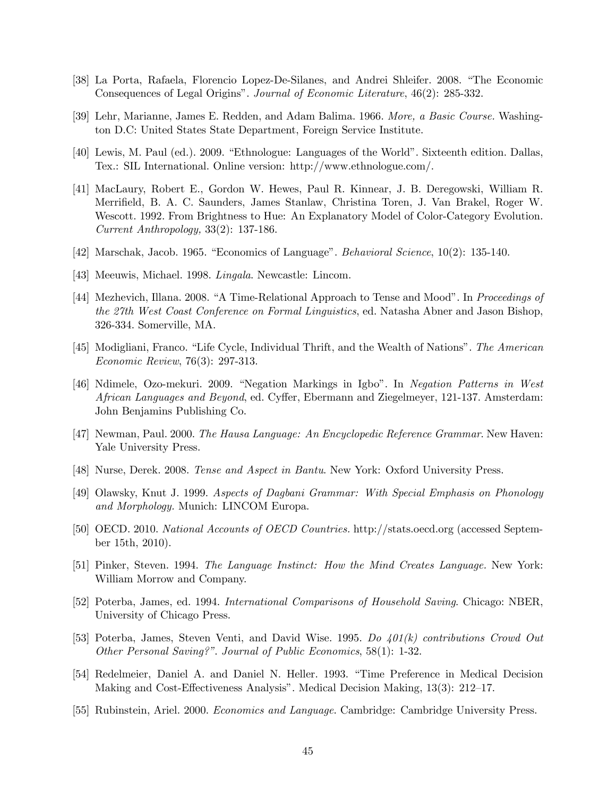- [38] La Porta, Rafaela, Florencio Lopez-De-Silanes, and Andrei Shleifer. 2008. "The Economic Consequences of Legal Origins". Journal of Economic Literature, 46(2): 285-332.
- [39] Lehr, Marianne, James E. Redden, and Adam Balima. 1966. More, a Basic Course. Washington D.C: United States State Department, Foreign Service Institute.
- [40] Lewis, M. Paul (ed.). 2009. "Ethnologue: Languages of the World". Sixteenth edition. Dallas, Tex.: SIL International. Online version: http://www.ethnologue.com/.
- [41] MacLaury, Robert E., Gordon W. Hewes, Paul R. Kinnear, J. B. Deregowski, William R. Merrifield, B. A. C. Saunders, James Stanlaw, Christina Toren, J. Van Brakel, Roger W. Wescott. 1992. From Brightness to Hue: An Explanatory Model of Color-Category Evolution. Current Anthropology, 33(2): 137-186.
- [42] Marschak, Jacob. 1965. "Economics of Language". Behavioral Science, 10(2): 135-140.
- [43] Meeuwis, Michael. 1998. Lingala. Newcastle: Lincom.
- [44] Mezhevich, Illana. 2008. "A Time-Relational Approach to Tense and Mood". In Proceedings of the 27th West Coast Conference on Formal Linguistics, ed. Natasha Abner and Jason Bishop, 326-334. Somerville, MA.
- [45] Modigliani, Franco. "Life Cycle, Individual Thrift, and the Wealth of Nations". The American Economic Review, 76(3): 297-313.
- [46] Ndimele, Ozo-mekuri. 2009. "Negation Markings in Igbo". In Negation Patterns in West African Languages and Beyond, ed. Cyffer, Ebermann and Ziegelmeyer, 121-137. Amsterdam: John Benjamins Publishing Co.
- [47] Newman, Paul. 2000. The Hausa Language: An Encyclopedic Reference Grammar. New Haven: Yale University Press.
- [48] Nurse, Derek. 2008. Tense and Aspect in Bantu. New York: Oxford University Press.
- [49] Olawsky, Knut J. 1999. Aspects of Dagbani Grammar: With Special Emphasis on Phonology and Morphology. Munich: LINCOM Europa.
- [50] OECD. 2010. National Accounts of OECD Countries. http://stats.oecd.org (accessed September 15th, 2010).
- [51] Pinker, Steven. 1994. The Language Instinct: How the Mind Creates Language. New York: William Morrow and Company.
- [52] Poterba, James, ed. 1994. International Comparisons of Household Saving. Chicago: NBER, University of Chicago Press.
- [53] Poterba, James, Steven Venti, and David Wise. 1995. Do  $401(k)$  contributions Crowd Out Other Personal Saving?". Journal of Public Economics, 58(1): 1-32.
- [54] Redelmeier, Daniel A. and Daniel N. Heller. 1993. "Time Preference in Medical Decision Making and Cost-Effectiveness Analysis". Medical Decision Making, 13(3): 212—17.
- [55] Rubinstein, Ariel. 2000. Economics and Language. Cambridge: Cambridge University Press.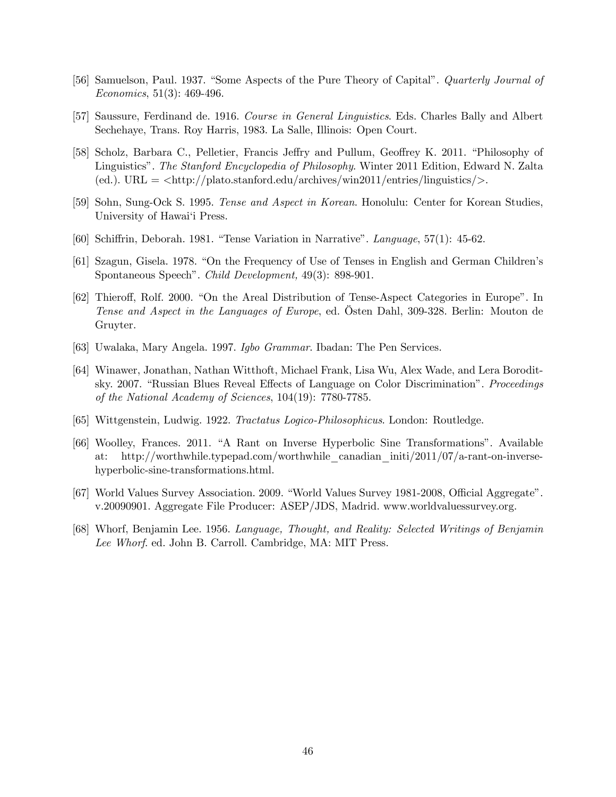- [56] Samuelson, Paul. 1937. "Some Aspects of the Pure Theory of Capital". Quarterly Journal of Economics, 51(3): 469-496.
- [57] Saussure, Ferdinand de. 1916. Course in General Linguistics. Eds. Charles Bally and Albert Sechehaye, Trans. Roy Harris, 1983. La Salle, Illinois: Open Court.
- [58] Scholz, Barbara C., Pelletier, Francis Jeffry and Pullum, Geoffrey K. 2011. "Philosophy of Linguistics". The Stanford Encyclopedia of Philosophy. Winter 2011 Edition, Edward N. Zalta (ed.).  $URL = <\frac{\text{http://plato.stanford.edu/archives/win2011/entries/linguistics/>.}$
- [59] Sohn, Sung-Ock S. 1995. Tense and Aspect in Korean. Honolulu: Center for Korean Studies, University of Hawai'i Press.
- [60] Schiffrin, Deborah. 1981. "Tense Variation in Narrative". Language, 57(1): 45-62.
- [61] Szagun, Gisela. 1978. "On the Frequency of Use of Tenses in English and German Children's Spontaneous Speech". Child Development, 49(3): 898-901.
- [62] Thieroff, Rolf. 2000. "On the Areal Distribution of Tense-Aspect Categories in Europe". In Tense and Aspect in the Languages of Europe, ed. Östen Dahl, 309-328. Berlin: Mouton de Gruyter.
- [63] Uwalaka, Mary Angela. 1997. Igbo Grammar. Ibadan: The Pen Services.
- [64] Winawer, Jonathan, Nathan Witthoft, Michael Frank, Lisa Wu, Alex Wade, and Lera Boroditsky. 2007. "Russian Blues Reveal Effects of Language on Color Discrimination". Proceedings of the National Academy of Sciences, 104(19): 7780-7785.
- [65] Wittgenstein, Ludwig. 1922. Tractatus Logico-Philosophicus. London: Routledge.
- [66] Woolley, Frances. 2011. "A Rant on Inverse Hyperbolic Sine Transformations". Available at: http://worthwhile.typepad.com/worthwhile\_canadian\_initi/2011/07/a-rant-on-inversehyperbolic-sine-transformations.html.
- [67] World Values Survey Association. 2009. "World Values Survey 1981-2008, Official Aggregate". v.20090901. Aggregate File Producer: ASEP/JDS, Madrid. www.worldvaluessurvey.org.
- [68] Whorf, Benjamin Lee. 1956. Language, Thought, and Reality: Selected Writings of Benjamin Lee Whorf. ed. John B. Carroll. Cambridge, MA: MIT Press.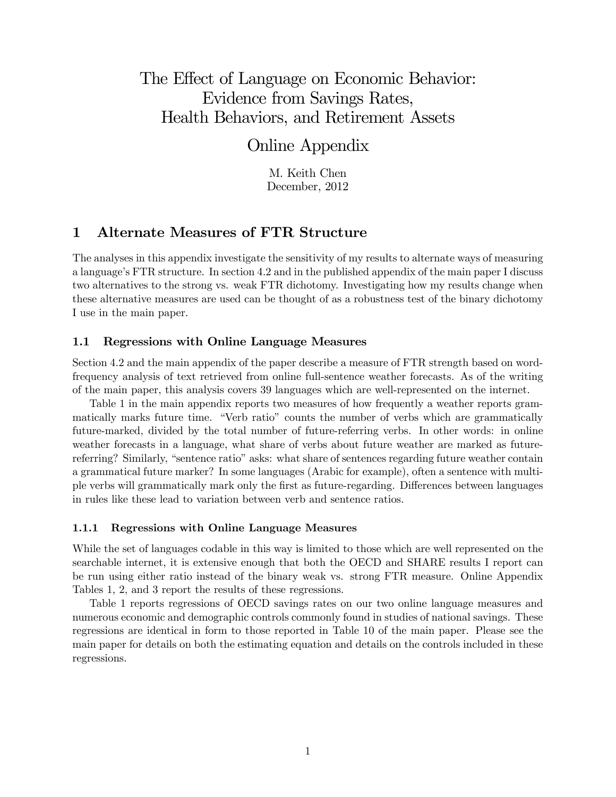# The Effect of Language on Economic Behavior: Evidence from Savings Rates, Health Behaviors, and Retirement Assets

## Online Appendix

M. Keith Chen December, 2012

## 1 Alternate Measures of FTR Structure

The analyses in this appendix investigate the sensitivity of my results to alternate ways of measuring a language's FTR structure. In section 42 and in the published appendix of the main paper I discuss two alternatives to the strong vs. weak FTR dichotomy. Investigating how my results change when these alternative measures are used can be thought of as a robustness test of the binary dichotomy I use in the main paper.

### 1.1 Regressions with Online Language Measures

Section 4.2 and the main appendix of the paper describe a measure of FTR strength based on wordfrequency analysis of text retrieved from online full-sentence weather forecasts. As of the writing of the main paper, this analysis covers 39 languages which are well-represented on the internet.

Table 1 in the main appendix reports two measures of how frequently a weather reports grammatically marks future time. "Verb ratio" counts the number of verbs which are grammatically future-marked, divided by the total number of future-referring verbs. In other words: in online weather forecasts in a language, what share of verbs about future weather are marked as futurereferring? Similarly, "sentence ratio" asks: what share of sentences regarding future weather contain a grammatical future marker? In some languages (Arabic for example), often a sentence with multiple verbs will grammatically mark only the first as future-regarding. Differences between languages in rules like these lead to variation between verb and sentence ratios.

### 1.1.1 Regressions with Online Language Measures

While the set of languages codable in this way is limited to those which are well represented on the searchable internet, it is extensive enough that both the OECD and SHARE results I report can be run using either ratio instead of the binary weak vs. strong FTR measure. Online Appendix Tables 1, 2, and 3 report the results of these regressions.

Table 1 reports regressions of OECD savings rates on our two online language measures and numerous economic and demographic controls commonly found in studies of national savings. These regressions are identical in form to those reported in Table 10 of the main paper. Please see the main paper for details on both the estimating equation and details on the controls included in these regressions.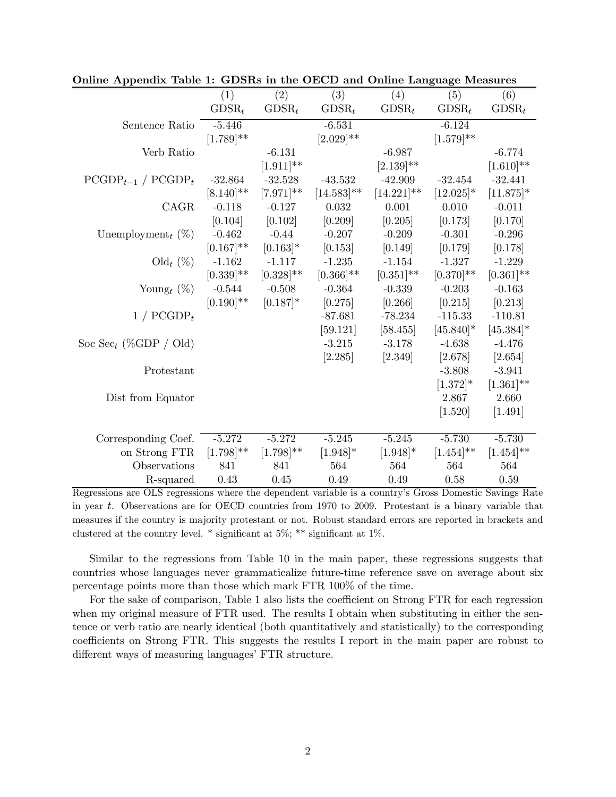|                                   | (1)            | $\overline{(2)}$ | $\overline{(3)}$ | (4)            | (5)            | (6)            |
|-----------------------------------|----------------|------------------|------------------|----------------|----------------|----------------|
|                                   | $GDSR_t$       | $GDSR_t$         | $GDSR_t$         | $GDSR_t$       | $GDSR_t$       | $GDSR_t$       |
| Sentence Ratio                    | $-5.446$       |                  | $-6.531$         |                | $-6.124$       |                |
|                                   | $[1.789]^{**}$ |                  | $[2.029]$ **     |                | $[1.579]^{**}$ |                |
| Verb Ratio                        |                | $-6.131$         |                  | $-6.987$       |                | $-6.774$       |
|                                   |                | $[1.911]$ **     |                  | $[2.139]^{**}$ |                | $[1.610]^{**}$ |
| $PCGDP_{t-1}$ / $PCGDP_t$         | $-32.864$      | $-32.528$        | $-43.532$        | $-42.909$      | $-32.454$      | $-32.441$      |
|                                   | $[8.140]^{**}$ | $[7.971]$ **     | $[14.583]$ **    | $[14.221]$ **  | $[12.025]$ *   | $[11.875]$ *   |
| CAGR                              | $-0.118$       | $-0.127$         | 0.032            | 0.001          | 0.010          | $-0.011$       |
|                                   | [0.104]        | [0.102]          | [0.209]          | [0.205]        | [0.173]        | [0.170]        |
| Unemployment <sub>t</sub> $(\%)$  | $-0.462$       | $-0.44$          | $-0.207$         | $-0.209$       | $-0.301$       | $-0.296$       |
|                                   | $[0.167]$ **   | $[0.163]$ *      | [0.153]          | [0.149]        | [0.179]        | [0.178]        |
| $\text{Old}_t (\%)$               | $-1.162$       | $-1.117$         | $-1.235$         | $-1.154$       | $-1.327$       | $-1.229$       |
|                                   | $[0.339]$ **   | $[0.328]^{**}$   | $[0.366]^{**}$   | $[0.351]$ **   | $[0.370]$ **   | $[0.361]$ **   |
| Young <sub>t</sub> $(\%)$         | $-0.544$       | $-0.508$         | $-0.364$         | $-0.339$       | $-0.203$       | $-0.163$       |
|                                   | $[0.190]$ **   | $[0.187]$ *      | [0.275]          | [0.266]        | [0.215]        | [0.213]        |
| $1 / PCGDP_t$                     |                |                  | $-87.681$        | $-78.234$      | $-115.33$      | $-110.81$      |
|                                   |                |                  | [59.121]         | [58.455]       | $[45.840]$ *   | $[45.384]$ *   |
| Soc Sec <sub>t</sub> (%GDP / Old) |                |                  | $-3.215$         | $-3.178$       | $-4.638$       | $-4.476$       |
|                                   |                |                  | [2.285]          | [2.349]        | [2.678]        | [2.654]        |
| Protestant                        |                |                  |                  |                | $-3.808$       | $-3.941$       |
|                                   |                |                  |                  |                | $[1.372]$ *    | $[1.361]$ **   |
| Dist from Equator                 |                |                  |                  |                | 2.867          | 2.660          |
|                                   |                |                  |                  |                | [1.520]        | [1.491]        |
|                                   |                |                  |                  |                |                |                |
| Corresponding Coef.               | $-5.272$       | $-5.272$         | $-5.245$         | $-5.245$       | $-5.730$       | $-5.730$       |
| on Strong FTR                     | $[1.798]^{**}$ | $[1.798]^{**}$   | $[1.948]$ *      | $[1.948]$ *    | $[1.454]^{**}$ | $[1.454]^{**}$ |
| Observations                      | 841            | 841              | 564              | 564            | 564            | 564            |
| R-squared                         | 0.43           | 0.45             | 0.49             | 0.49           | 0.58           | 0.59           |

| Online Appendix Table 1: GDSRs in the OECD and Online Language Measures |  |  |  |  |
|-------------------------------------------------------------------------|--|--|--|--|
|-------------------------------------------------------------------------|--|--|--|--|

Regressions are OLS regressions where the dependent variable is a country's Gross Domestic Savings Rate in year  $t$ . Observations are for OECD countries from 1970 to 2009. Protestant is a binary variable that measures if the country is majority protestant or not. Robust standard errors are reported in brackets and clustered at the country level. \* significant at 5%; \*\* significant at 1%.

Similar to the regressions from Table 10 in the main paper, these regressions suggests that countries whose languages never grammaticalize future-time reference save on average about six percentage points more than those which mark FTR 100% of the time.

For the sake of comparison, Table 1 also lists the coefficient on Strong FTR for each regression when my original measure of FTR used. The results I obtain when substituting in either the sentence or verb ratio are nearly identical (both quantitatively and statistically) to the corresponding coefficients on Strong FTR. This suggests the results I report in the main paper are robust to different ways of measuring languages' FTR structure.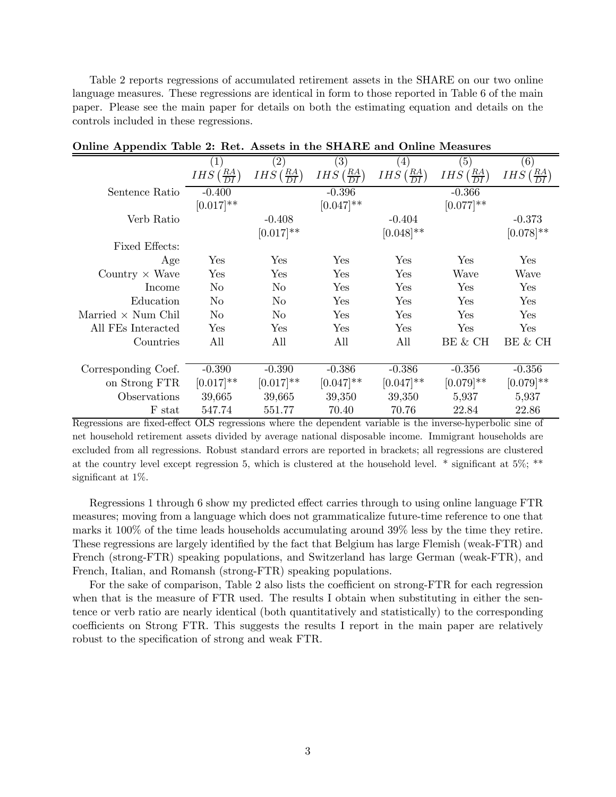Table 2 reports regressions of accumulated retirement assets in the SHARE on our two online language measures. These regressions are identical in form to those reported in Table 6 of the main paper. Please see the main paper for details on both the estimating equation and details on the controls included in these regressions.

| -rr                       |                                     |                                 |                                         |                                         |                                 |                                            |
|---------------------------|-------------------------------------|---------------------------------|-----------------------------------------|-----------------------------------------|---------------------------------|--------------------------------------------|
|                           | (1)                                 | $\left( 2\right)$               | (3)                                     | $\left(4\right)$                        | (5)                             | (6)                                        |
|                           | $\left(\frac{RA}{DI}\right)$<br>IHS | $IHS\left(\frac{RA}{DI}\right)$ | <i>IHS</i> $\left(\frac{RA}{DI}\right)$ | <i>IHS</i> $\left(\frac{RA}{DI}\right)$ | $IHS\left(\frac{RA}{DI}\right)$ | $\left(\frac{RA}{DI}\right)$<br><b>IHS</b> |
| Sentence Ratio            | $-0.400$                            |                                 | $-0.396$                                |                                         | $-0.366$                        |                                            |
|                           | $[0.017]**$                         |                                 | $[0.047]$ **                            |                                         | $[0.077]$ **                    |                                            |
| Verb Ratio                |                                     | $-0.408$                        |                                         | $-0.404$                                |                                 | $-0.373$                                   |
|                           |                                     | $[0.017]$ **                    |                                         | $[0.048]$ **                            |                                 | $[0.078]$ **                               |
| Fixed Effects:            |                                     |                                 |                                         |                                         |                                 |                                            |
| Age                       | $\operatorname{Yes}$                | Yes                             | Yes                                     | Yes                                     | Yes                             | <b>Yes</b>                                 |
| Country $\times$ Wave     | $\operatorname{Yes}$                | Yes                             | Yes                                     | Yes                                     | Wave                            | Wave                                       |
| Income                    | No                                  | No.                             | Yes                                     | $\operatorname{Yes}$                    | Yes                             | Yes                                        |
| Education                 | N <sub>o</sub>                      | No.                             | Yes                                     | Yes                                     | Yes                             | Yes                                        |
| Married $\times$ Num Chil | No                                  | No                              | Yes                                     | Yes                                     | Yes                             | Yes                                        |
| All FEs Interacted        | Yes                                 | Yes                             | Yes                                     | Yes                                     | Yes                             | Yes                                        |
| Countries                 | All                                 | All                             | All                                     | All                                     | BE & CH                         | BE & CH                                    |
|                           |                                     |                                 |                                         |                                         |                                 |                                            |
| Corresponding Coef.       | $-0.390$                            | $-0.390$                        | $-0.386$                                | $-0.386$                                | $-0.356$                        | $-0.356$                                   |
| on Strong FTR             | $[0.017]$ **                        | $[0.017]**$                     | $[0.047]$ **                            | $[0.047]$ **                            | $[0.079]$ **                    | $[0.079]$ **                               |
| Observations              | 39,665                              | 39,665                          | 39,350                                  | 39,350                                  | 5,937                           | 5,937                                      |
| F stat                    | 547.74                              | 551.77                          | 70.40                                   | 70.76                                   | 22.84                           | 22.86                                      |

| Online Appendix Table 2: Ret. Assets in the SHARE and Online Measures |  |  |  |
|-----------------------------------------------------------------------|--|--|--|
|-----------------------------------------------------------------------|--|--|--|

Regressions are fixed-effect OLS regressions where the dependent variable is the inverse-hyperbolic sine of net household retirement assets divided by average national disposable income. Immigrant households are excluded from all regressions. Robust standard errors are reported in brackets; all regressions are clustered at the country level except regression 5, which is clustered at the household level. \* significant at 5%; \*\* significant at 1%.

Regressions 1 through 6 show my predicted effect carries through to using online language FTR measures; moving from a language which does not grammaticalize future-time reference to one that marks it 100% of the time leads households accumulating around 39% less by the time they retire. These regressions are largely identified by the fact that Belgium has large Flemish (weak-FTR) and French (strong-FTR) speaking populations, and Switzerland has large German (weak-FTR), and French, Italian, and Romansh (strong-FTR) speaking populations.

For the sake of comparison, Table 2 also lists the coefficient on strong-FTR for each regression when that is the measure of FTR used. The results I obtain when substituting in either the sentence or verb ratio are nearly identical (both quantitatively and statistically) to the corresponding coefficients on Strong FTR. This suggests the results I report in the main paper are relatively robust to the specification of strong and weak FTR.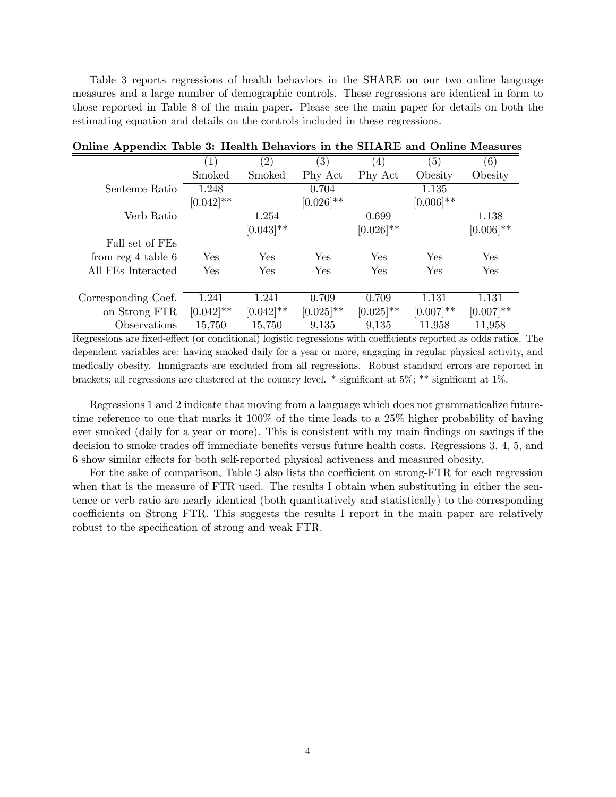Table 3 reports regressions of health behaviors in the SHARE on our two online language measures and a large number of demographic controls. These regressions are identical in form to those reported in Table 8 of the main paper. Please see the main paper for details on both the estimating equation and details on the controls included in these regressions.

|                        | $\left( 1\right)$ | $\left( 2\right)$ | (3)            | $\left( 4\right)$ | (5)          | (6)          |
|------------------------|-------------------|-------------------|----------------|-------------------|--------------|--------------|
|                        | Smoked            | Smoked            | Phy Act        | Phy Act           | Obesity      | Obesity      |
| Sentence Ratio         | 1.248             |                   | 0.704          |                   | 1.135        |              |
|                        | $[0.042]$ **      |                   | $[0.026]^{**}$ |                   | $[0.006]$ ** |              |
| Verb Ratio             |                   | 1.254             |                | 0.699             |              | 1.138        |
|                        |                   | $[0.043]$ **      |                | $[0.026]^{**}$    |              | $[0.006]$ ** |
| Full set of FEs        |                   |                   |                |                   |              |              |
| from $reg 4$ table $6$ | Yes               | Yes               | Yes            | Yes               | Yes          | Yes          |
| All FEs Interacted     | Yes               | Yes               | <b>Yes</b>     | Yes               | Yes          | Yes          |
|                        |                   |                   |                |                   |              |              |
| Corresponding Coef.    | 1.241             | 1.241             | 0.709          | 0.709             | 1.131        | 1.131        |
| on Strong FTR          | $[0.042]$ **      | $[0.042]$ **      | $[0.025]$ **   | $[0.025]$ **      | $[0.007]$ ** | $[0.007]$ ** |
| Observations           | 15,750            | 15,750            | 9,135          | 9,135             | 11,958       | 11,958       |

### Online Appendix Table 3: Health Behaviors in the SHARE and Online Measures

Regressions are fixed-effect (or conditional) logistic regressions with coefficients reported as odds ratios. The dependent variables are: having smoked daily for a year or more, engaging in regular physical activity, and medically obesity. Immigrants are excluded from all regressions. Robust standard errors are reported in brackets; all regressions are clustered at the country level. \* significant at 5%; \*\* significant at 1%.

Regressions 1 and 2 indicate that moving from a language which does not grammaticalize futuretime reference to one that marks it 100% of the time leads to a 25% higher probability of having ever smoked (daily for a year or more). This is consistent with my main findings on savings if the decision to smoke trades off immediate benefits versus future health costs. Regressions 3, 4, 5, and 6 show similar effects for both self-reported physical activeness and measured obesity.

For the sake of comparison, Table 3 also lists the coefficient on strong-FTR for each regression when that is the measure of FTR used. The results I obtain when substituting in either the sentence or verb ratio are nearly identical (both quantitatively and statistically) to the corresponding coefficients on Strong FTR. This suggests the results I report in the main paper are relatively robust to the specification of strong and weak FTR.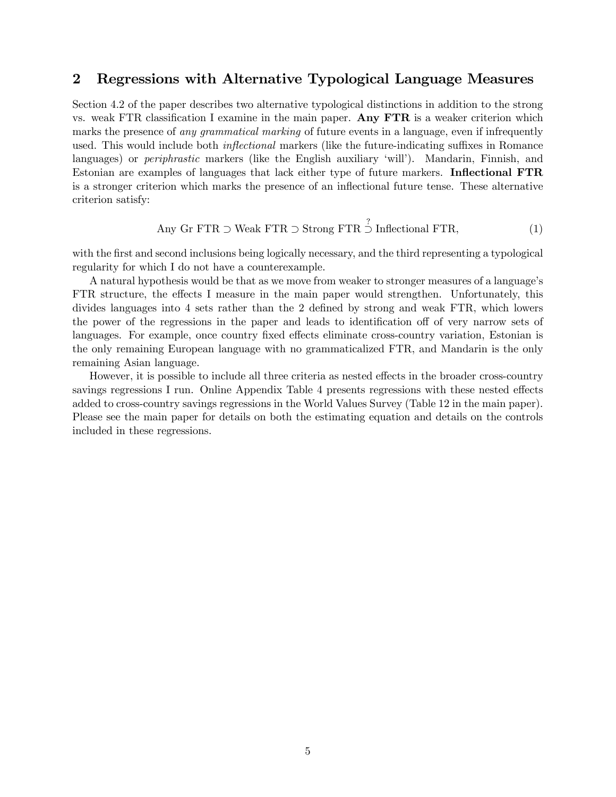## 2 Regressions with Alternative Typological Language Measures

Section 4.2 of the paper describes two alternative typological distinctions in addition to the strong vs. weak FTR classification I examine in the main paper. Any FTR is a weaker criterion which marks the presence of any grammatical marking of future events in a language, even if infrequently used. This would include both *inflectional* markers (like the future-indicating suffixes in Romance languages) or *periphrastic* markers (like the English auxiliary 'will'). Mandarin, Finnish, and Estonian are examples of languages that lack either type of future markers. Inflectional FTR is a stronger criterion which marks the presence of an inflectional future tense. These alternative criterion satisfy:

Any Gr FTR 
$$
\supset
$$
 Weak FTR  $\supset$  Strong FTR  $\supset$  Inflectional FTR, (1)

with the first and second inclusions being logically necessary, and the third representing a typological regularity for which I do not have a counterexample.

A natural hypothesis would be that as we move from weaker to stronger measures of a language's FTR structure, the effects I measure in the main paper would strengthen. Unfortunately, this divides languages into 4 sets rather than the 2 defined by strong and weak FTR, which lowers the power of the regressions in the paper and leads to identification off of very narrow sets of languages. For example, once country fixed effects eliminate cross-country variation, Estonian is the only remaining European language with no grammaticalized FTR, and Mandarin is the only remaining Asian language.

However, it is possible to include all three criteria as nested effects in the broader cross-country savings regressions I run. Online Appendix Table 4 presents regressions with these nested effects added to cross-country savings regressions in the World Values Survey (Table 12 in the main paper). Please see the main paper for details on both the estimating equation and details on the controls included in these regressions.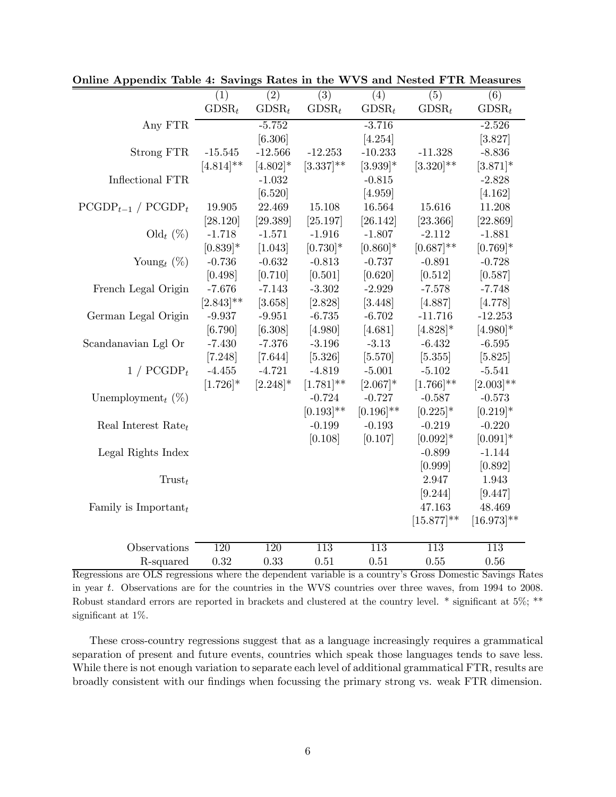|                                  | (1)            | (2)         | $\overline{(3)}$ | (4)              | (5)              | (6)              |
|----------------------------------|----------------|-------------|------------------|------------------|------------------|------------------|
|                                  | $GDSR_t$       | $GDSR_t$    | $GDSR_t$         | $GDSR_t$         | $GDSR_t$         | $GDSR_t$         |
| Any FTR                          |                | $-5.752$    |                  | $-3.716$         |                  | $-2.526$         |
|                                  |                | [6.306]     |                  | [4.254]          |                  | [3.827]          |
| Strong FTR                       | $-15.545$      | $-12.566$   | $-12.253$        | $-10.233$        | $-11.328$        | $-8.836$         |
|                                  | $[4.814]^{**}$ | $[4.802]*$  | $[3.337]^{**}$   | $[3.939]$ *      | $[3.320]$ **     | $[3.871]$ *      |
| Inflectional FTR                 |                | $-1.032$    |                  | $-0.815$         |                  | $-2.828$         |
|                                  |                | [6.520]     |                  | [4.959]          |                  | [4.162]          |
| $PCGDP_{t-1}$ / $PCGDP_t$        | 19.905         | 22.469      | 15.108           | 16.564           | 15.616           | 11.208           |
|                                  | [28.120]       | [29.389]    | [25.197]         | [26.142]         | [23.366]         | [22.869]         |
| $\text{Old}_t (\%)$              | $-1.718$       | $-1.571$    | $-1.916$         | $-1.807$         | $-2.112$         | $-1.881$         |
|                                  | $[0.839]$ *    | [1.043]     | $[0.730]$ *      | $[0.860]$ *      | $[0.687]$ **     | $[0.769]$ *      |
| Young <sub>t</sub> $(\%)$        | $-0.736$       | $-0.632$    | $-0.813$         | $-0.737$         | $-0.891$         | $-0.728$         |
|                                  | [0.498]        | [0.710]     | [0.501]          | [0.620]          | [0.512]          | [0.587]          |
| French Legal Origin              | $-7.676$       | $-7.143$    | $-3.302$         | $-2.929$         | $-7.578$         | $-7.748$         |
|                                  | $[2.843]$ **   | [3.658]     | [2.828]          | [3.448]          | [4.887]          | [4.778]          |
| German Legal Origin              | $-9.937$       | $-9.951$    | $-6.735$         | $-6.702$         | $-11.716$        | $-12.253$        |
|                                  | [6.790]        | [6.308]     | [4.980]          | [4.681]          | $[4.828]$ *      | $[4.980]$ *      |
| Scandanavian Lgl Or              | $-7.430$       | $-7.376$    | $-3.196$         | $-3.13$          | $-6.432$         | $-6.595$         |
|                                  | [7.248]        | [7.644]     | [5.326]          | [5.570]          | [5.355]          | [5.825]          |
| $1 / PCGDP_t$                    | $-4.455$       | $-4.721$    | $-4.819$         | $-5.001$         | $-5.102$         | $-5.541$         |
|                                  | $[1.726]$ *    | $[2.248]$ * | $[1.781]$ **     | $[2.067]$ *      | $[1.766]^{**}$   | $[2.003]$ **     |
| Unemployment <sub>t</sub> $(\%)$ |                |             | $-0.724$         | $-0.727$         | $-0.587$         | $-0.573$         |
|                                  |                |             | $[0.193]$ **     | $[0.196]$ **     | $[0.225]$ *      | $[0.219]*$       |
| Real Interest Rate $_t$          |                |             | $-0.199$         | $-0.193$         | $-0.219$         | $-0.220$         |
|                                  |                |             | [0.108]          | [0.107]          | $[0.092]*$       | $[0.091]*$       |
| Legal Rights Index               |                |             |                  |                  | $-0.899$         | $-1.144$         |
|                                  |                |             |                  |                  | [0.999]          | [0.892]          |
| $T_{\text{rust}_t}$              |                |             |                  |                  | 2.947            | 1.943            |
|                                  |                |             |                  |                  | [9.244]          | [9.447]          |
| Family is Important $_t$         |                |             |                  |                  | 47.163           | 48.469           |
|                                  |                |             |                  |                  | $[15.877]^{**}$  | $[16.973]$ **    |
| Observations                     | 120            | <b>120</b>  | $\overline{113}$ | $\overline{113}$ | $\overline{113}$ | $\overline{113}$ |
|                                  |                | 0.33        |                  |                  |                  |                  |
| R-squared                        | 0.32           |             | 0.51             | 0.51             | 0.55             | 0.56             |

Online Appendix Table 4: Savings Rates in the WVS and Nested FTR Measures

Regressions are OLS regressions where the dependent variable is a country's Gross Domestic Savings Rates in year t. Observations are for the countries in the WVS countries over three waves, from 1994 to 2008. Robust standard errors are reported in brackets and clustered at the country level. \* significant at 5%; \*\* significant at 1%.

These cross-country regressions suggest that as a language increasingly requires a grammatical separation of present and future events, countries which speak those languages tends to save less. While there is not enough variation to separate each level of additional grammatical FTR, results are broadly consistent with our findings when focussing the primary strong vs. weak FTR dimension.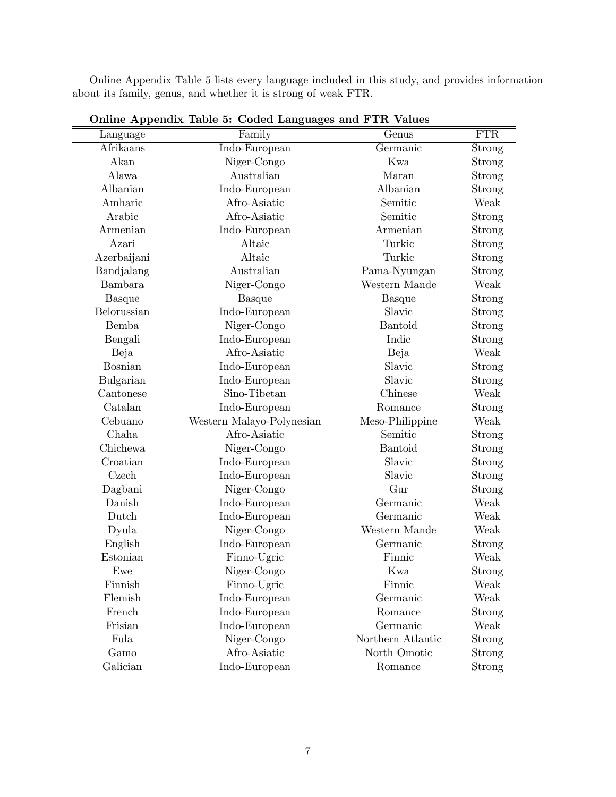Online Appendix Table 5 lists every language included in this study, and provides information about its family, genus, and whether it is strong of weak FTR.

| Language       | $\sigma$ and $\sigma$ is producted. The $\sigma$ of $\sigma$ of $\sigma$ and $\sigma$ and $\sigma$ is the set of $\sigma$<br>Family | Genus             | FTR           |
|----------------|-------------------------------------------------------------------------------------------------------------------------------------|-------------------|---------------|
| $A$ frikaans   | Indo-European                                                                                                                       | Germanic          | Strong        |
| Akan           | Niger-Congo                                                                                                                         | Kwa               | Strong        |
| Alawa          | Australian                                                                                                                          | Maran             | Strong        |
| Albanian       | Indo-European                                                                                                                       | Albanian          | Strong        |
| Amharic        | Afro-Asiatic                                                                                                                        | Semitic           | Weak          |
| Arabic         | Afro-Asiatic                                                                                                                        | Semitic           | Strong        |
| Armenian       | Indo-European                                                                                                                       | Armenian          | Strong        |
| Azari          | Altaic                                                                                                                              | Turkic            | Strong        |
| Azerbaijani    | Altaic                                                                                                                              | Turkic            | <b>Strong</b> |
| Bandjalang     | Australian                                                                                                                          | Pama-Nyungan      | Strong        |
| Bambara        | Niger-Congo                                                                                                                         | Western Mande     | Weak          |
| <b>Basque</b>  | <b>Basque</b>                                                                                                                       | <b>Basque</b>     | Strong        |
| Belorussian    | Indo-European                                                                                                                       | Slavic            | <b>Strong</b> |
| <b>Bemba</b>   | Niger-Congo                                                                                                                         | <b>Bantoid</b>    | Strong        |
| Bengali        | Indo-European                                                                                                                       | Indic             | Strong        |
| Beja           | Afro-Asiatic                                                                                                                        | Beja              | Weak          |
| <b>Bosnian</b> | Indo-European                                                                                                                       | Slavic            | Strong        |
| Bulgarian      | Indo-European                                                                                                                       | Slavic            | Strong        |
| Cantonese      | Sino-Tibetan                                                                                                                        | Chinese           | Weak          |
| Catalan        | Indo-European                                                                                                                       | Romance           | Strong        |
| Cebuano        | Western Malayo-Polynesian                                                                                                           | Meso-Philippine   | Weak          |
| Chaha          | Afro-Asiatic                                                                                                                        | Semitic           | Strong        |
| Chichewa       | Niger-Congo                                                                                                                         | Bantoid           | Strong        |
| Croatian       | Indo-European                                                                                                                       | Slavic            | Strong        |
| Czech          | Indo-European                                                                                                                       | Slavic            | Strong        |
| Dagbani        | Niger-Congo                                                                                                                         | Gur               | Strong        |
| Danish         | Indo-European                                                                                                                       | Germanic          | Weak          |
| Dutch          | Indo-European                                                                                                                       | Germanic          | Weak          |
| Dyula          | Niger-Congo                                                                                                                         | Western Mande     | Weak          |
| English        | Indo-European                                                                                                                       | Germanic          | Strong        |
| Estonian       | Finno-Ugric                                                                                                                         | Finnic            | Weak          |
| Ewe            | Niger-Congo                                                                                                                         | Kwa               | Strong        |
| Finnish        | Finno-Ugric                                                                                                                         | Finnic            | Weak          |
| Flemish        | Indo-European                                                                                                                       | Germanic          | Weak          |
| French         | Indo-European                                                                                                                       | Romance           | Strong        |
| Frisian        | Indo-European                                                                                                                       | Germanic          | Weak          |
| Fula           | Niger-Congo                                                                                                                         | Northern Atlantic | Strong        |
| Gamo           | Afro-Asiatic                                                                                                                        | North Omotic      | <b>Strong</b> |
| Galician       | Indo-European                                                                                                                       | Romance           | Strong        |

Online Appendix Table 5: Coded Languages and FTR Values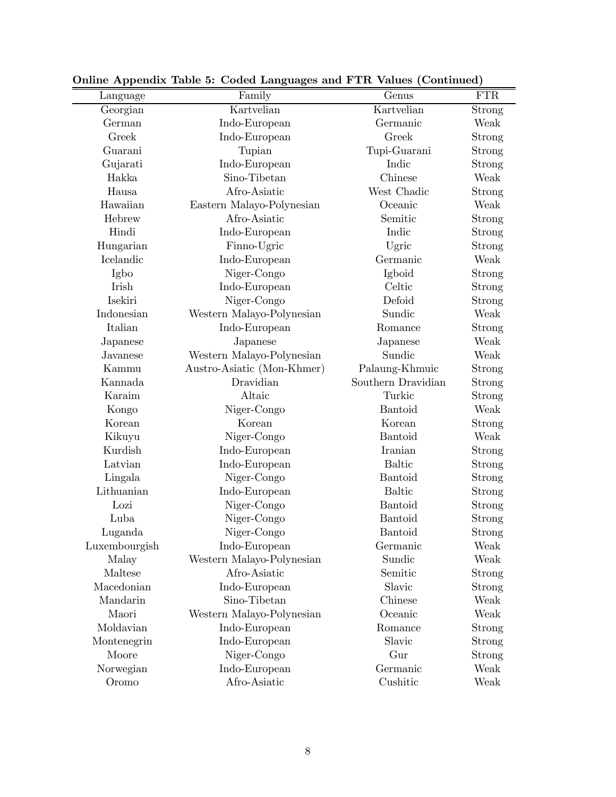| Language      | Family                     | Genus              | <b>FTR</b> |
|---------------|----------------------------|--------------------|------------|
| Georgian      | Kartvelian                 | Kartvelian         | Strong     |
| German        | Indo-European              | Germanic           | Weak       |
| Greek         | Indo-European              | Greek              | Strong     |
| Guarani       | Tupian                     | Tupi-Guarani       | Strong     |
| Gujarati      | Indo-European              | Indic              | Strong     |
| Hakka         | Sino-Tibetan               | Chinese            | Weak       |
| Hausa         | Afro-Asiatic               | West Chadic        | Strong     |
| Hawaiian      | Eastern Malayo-Polynesian  | Oceanic            | Weak       |
| Hebrew        | Afro-Asiatic               | Semitic            | Strong     |
| Hindi         | Indo-European              | Indic              | Strong     |
| Hungarian     | Finno-Ugric                | Ugric              | Strong     |
| Icelandic     | Indo-European              | Germanic           | Weak       |
| Igbo          | Niger-Congo                | Igboid             | Strong     |
| Irish         | Indo-European              | Celtic             | Strong     |
| Isekiri       | Niger-Congo                | Defoid             | Strong     |
| Indonesian    | Western Malayo-Polynesian  | Sundic             | Weak       |
| Italian       | Indo-European              | Romance            | Strong     |
| Japanese      | Japanese                   | Japanese           | Weak       |
| Javanese      | Western Malayo-Polynesian  | Sundic             | Weak       |
| Kammu         | Austro-Asiatic (Mon-Khmer) | Palaung-Khmuic     | Strong     |
| Kannada       | Dravidian                  | Southern Dravidian | Strong     |
| Karaim        | Altaic                     | Turkic             | Strong     |
| Kongo         | Niger-Congo                | Bantoid            | Weak       |
| Korean        | Korean                     | Korean             | Strong     |
| Kikuyu        | Niger-Congo                | <b>Bantoid</b>     | Weak       |
| Kurdish       | Indo-European              | Iranian            | Strong     |
| Latvian       | Indo-European              | <b>Baltic</b>      | Strong     |
| Lingala       | Niger-Congo                | Bantoid            | Strong     |
| Lithuanian    | Indo-European              | <b>Baltic</b>      | Strong     |
| Lozi          | Niger-Congo                | Bantoid            | Strong     |
| Luba          | Niger-Congo                | Bantoid            | Strong     |
| Luganda       | Niger-Congo                | Bantoid            | Strong     |
| Luxembourgish | Indo-European              | Germanic           | Weak       |
| Malay         | Western Malayo-Polynesian  | Sundic             | Weak       |
| Maltese       | Afro-Asiatic               | Semitic            | Strong     |
| Macedonian    | Indo-European              | Slavic             | Strong     |
| Mandarin      | Sino-Tibetan               | Chinese            | Weak       |
| Maori         | Western Malayo-Polynesian  | Oceanic            | Weak       |
| Moldavian     | Indo-European              | Romance            | Strong     |
| Montenegrin   | Indo-European              | Slavic             | Strong     |
| Moore         | Niger-Congo                | Gur                | Strong     |
| Norwegian     | Indo-European              | Germanic           | Weak       |
| Oromo         | Afro-Asiatic               | Cushitic           | Weak       |

Online Appendix Table 5: Coded Languages and FTR Values (Continued)